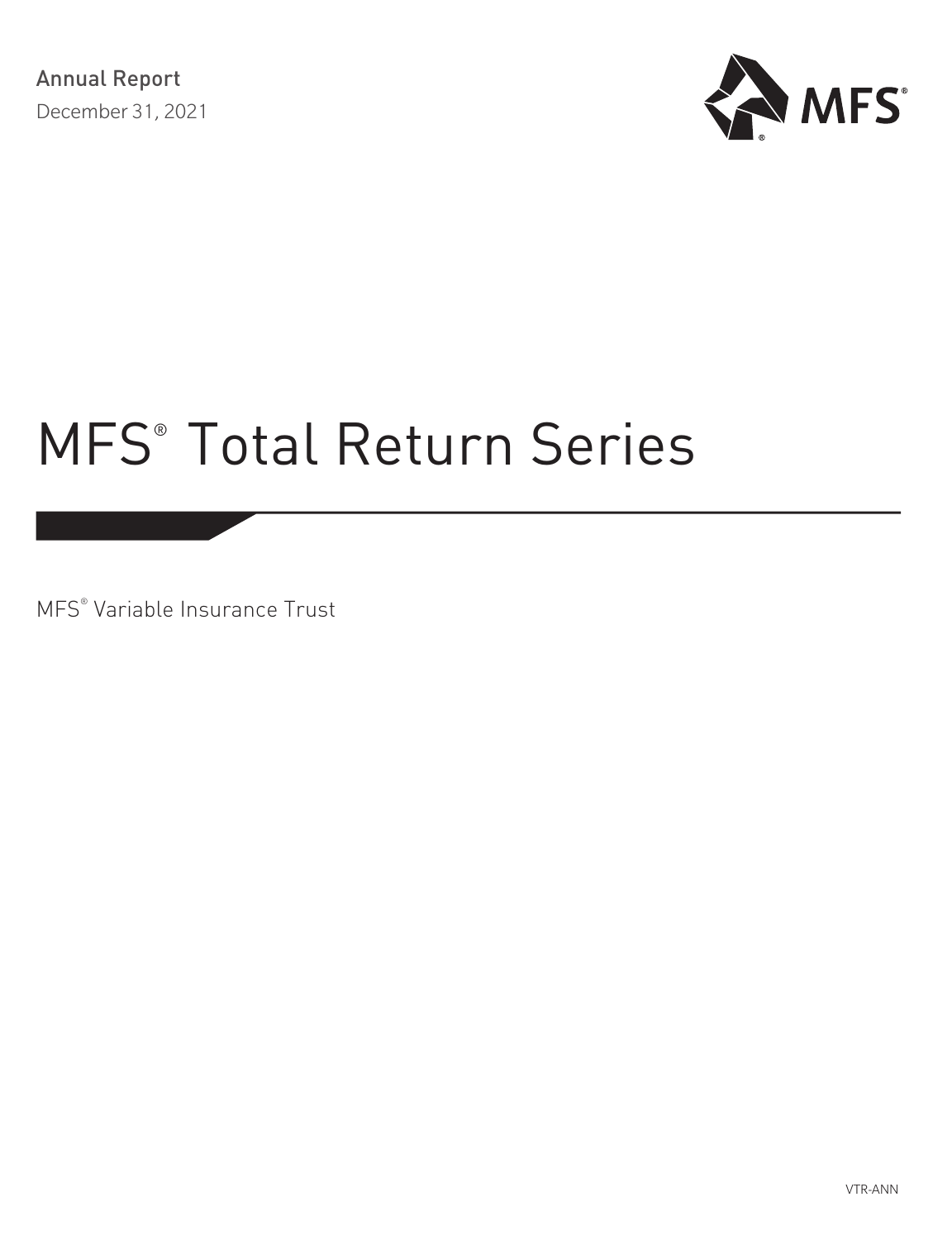

MFS® Variable Insurance Trust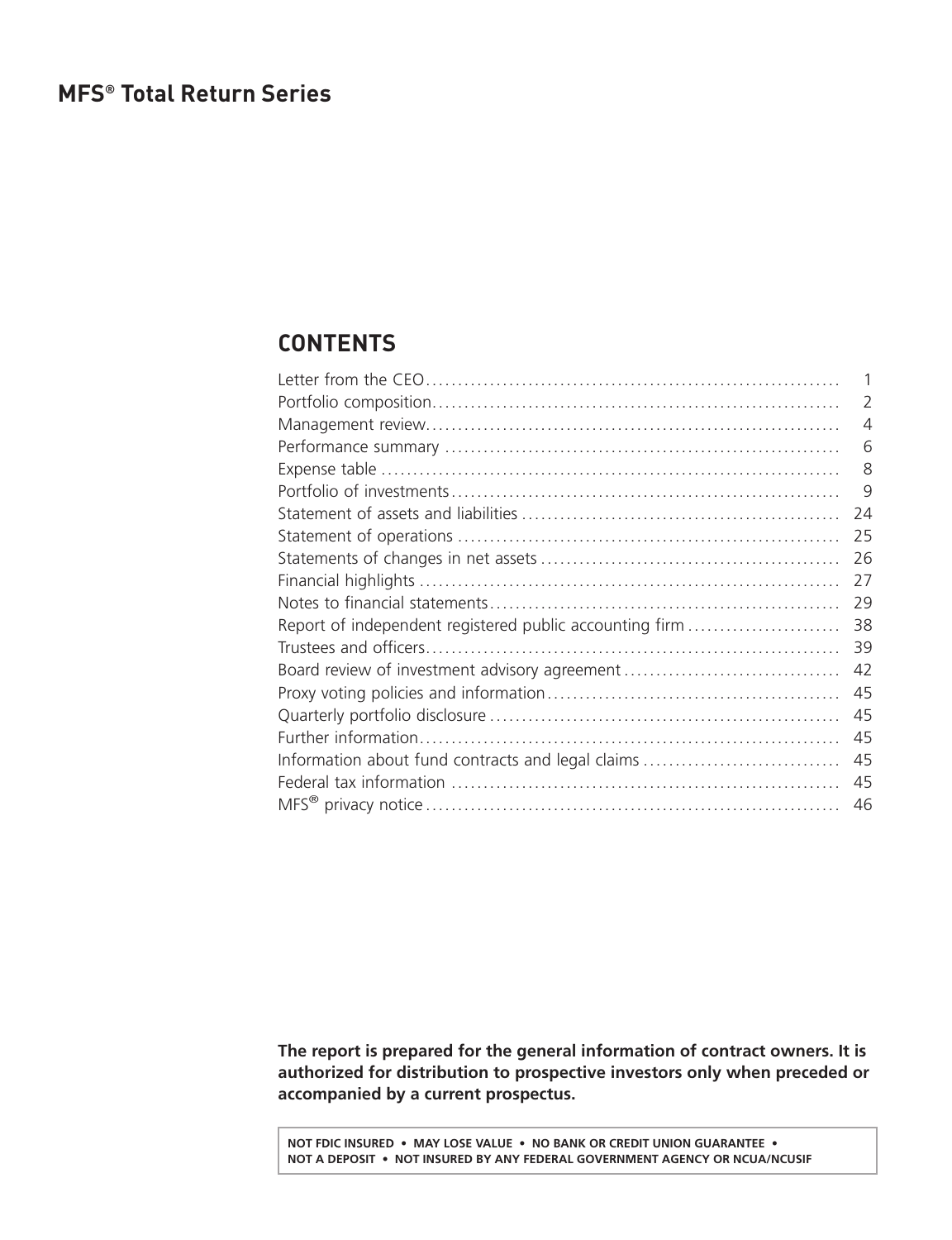### <span id="page-1-0"></span>**CONTENTS**

| 1  |
|----|
| 2  |
| 4  |
| 6  |
| 8  |
| 9  |
| 24 |
| 25 |
| 26 |
| 27 |
| 29 |
| 38 |
| 39 |
| 42 |
| 45 |
| 45 |
| 45 |
| 45 |
| 45 |
| 46 |
|    |

**The report is prepared for the general information of contract owners. It is authorized for distribution to prospective investors only when preceded or accompanied by a current prospectus.**

**NOT FDIC INSURED • MAY LOSE VALUE • NO BANK OR CREDIT UNION GUARANTEE • NOT A DEPOSIT • NOT INSURED BY ANY FEDERAL GOVERNMENT AGENCY OR NCUA/NCUSIF**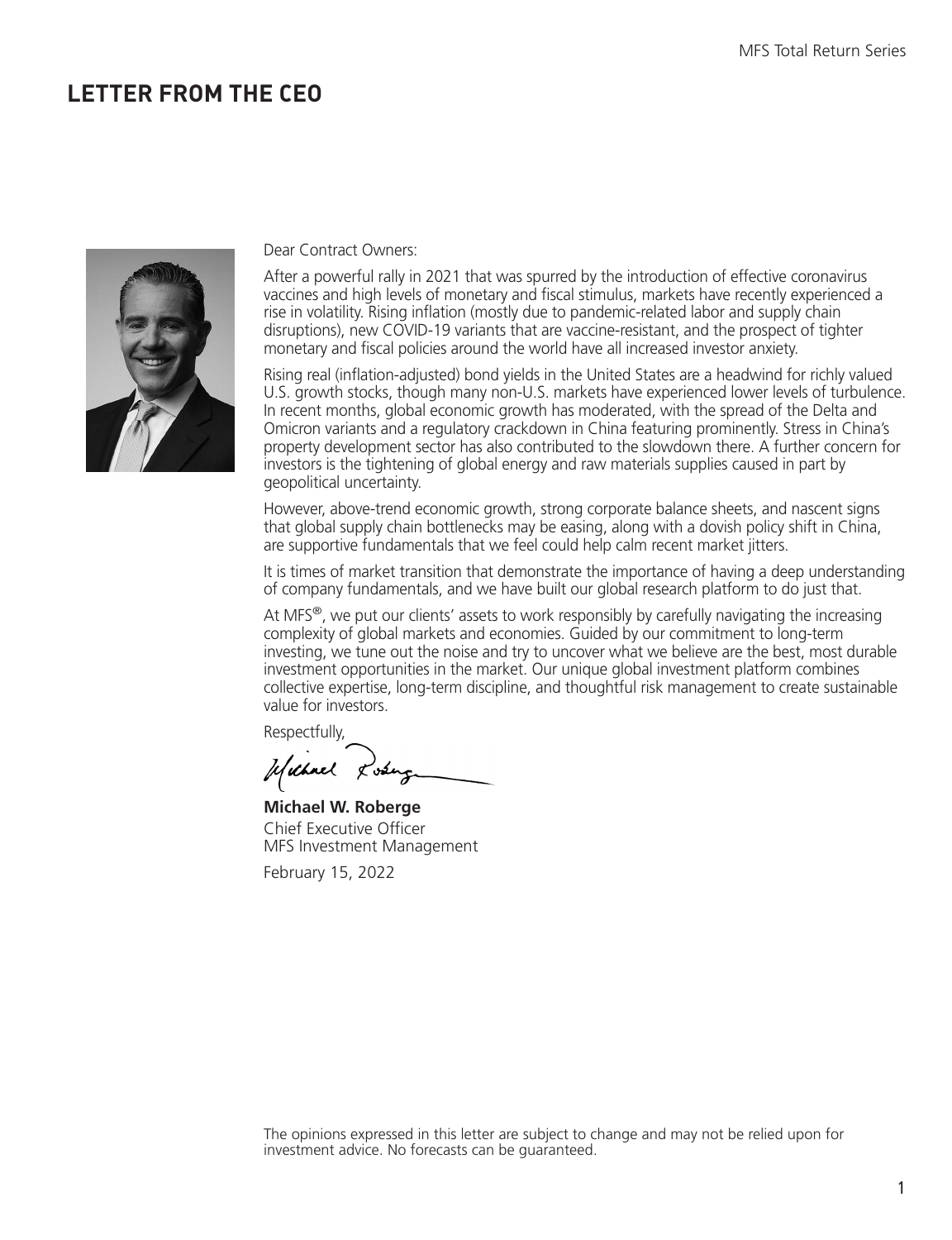### <span id="page-2-0"></span>**LETTER FROM THE CEO**



#### Dear Contract Owners:

After a powerful rally in 2021 that was spurred by the introduction of effective coronavirus vaccines and high levels of monetary and fiscal stimulus, markets have recently experienced a rise in volatility. Rising inflation (mostly due to pandemic-related labor and supply chain disruptions), new COVID-19 variants that are vaccine-resistant, and the prospect of tighter monetary and fiscal policies around the world have all increased investor anxiety.

Rising real (inflation-adjusted) bond yields in the United States are a headwind for richly valued U.S. growth stocks, though many non-U.S. markets have experienced lower levels of turbulence. In recent months, global economic growth has moderated, with the spread of the Delta and Omicron variants and a regulatory crackdown in China featuring prominently. Stress in China's property development sector has also contributed to the slowdown there. A further concern for investors is the tightening of global energy and raw materials supplies caused in part by geopolitical uncertainty.

However, above-trend economic growth, strong corporate balance sheets, and nascent signs that global supply chain bottlenecks may be easing, along with a dovish policy shift in China, are supportive fundamentals that we feel could help calm recent market jitters.

It is times of market transition that demonstrate the importance of having a deep understanding of company fundamentals, and we have built our global research platform to do just that.

At MFS<sup>®</sup>, we put our clients' assets to work responsibly by carefully navigating the increasing complexity of global markets and economies. Guided by our commitment to long-term investing, we tune out the noise and try to uncover what we believe are the best, most durable investment opportunities in the market. Our unique global investment platform combines collective expertise, long-term discipline, and thoughtful risk management to create sustainable value for investors.

Respectfully,

Usebuch Lose

**Michael W. Roberge** Chief Executive Officer MFS Investment Management

February 15, 2022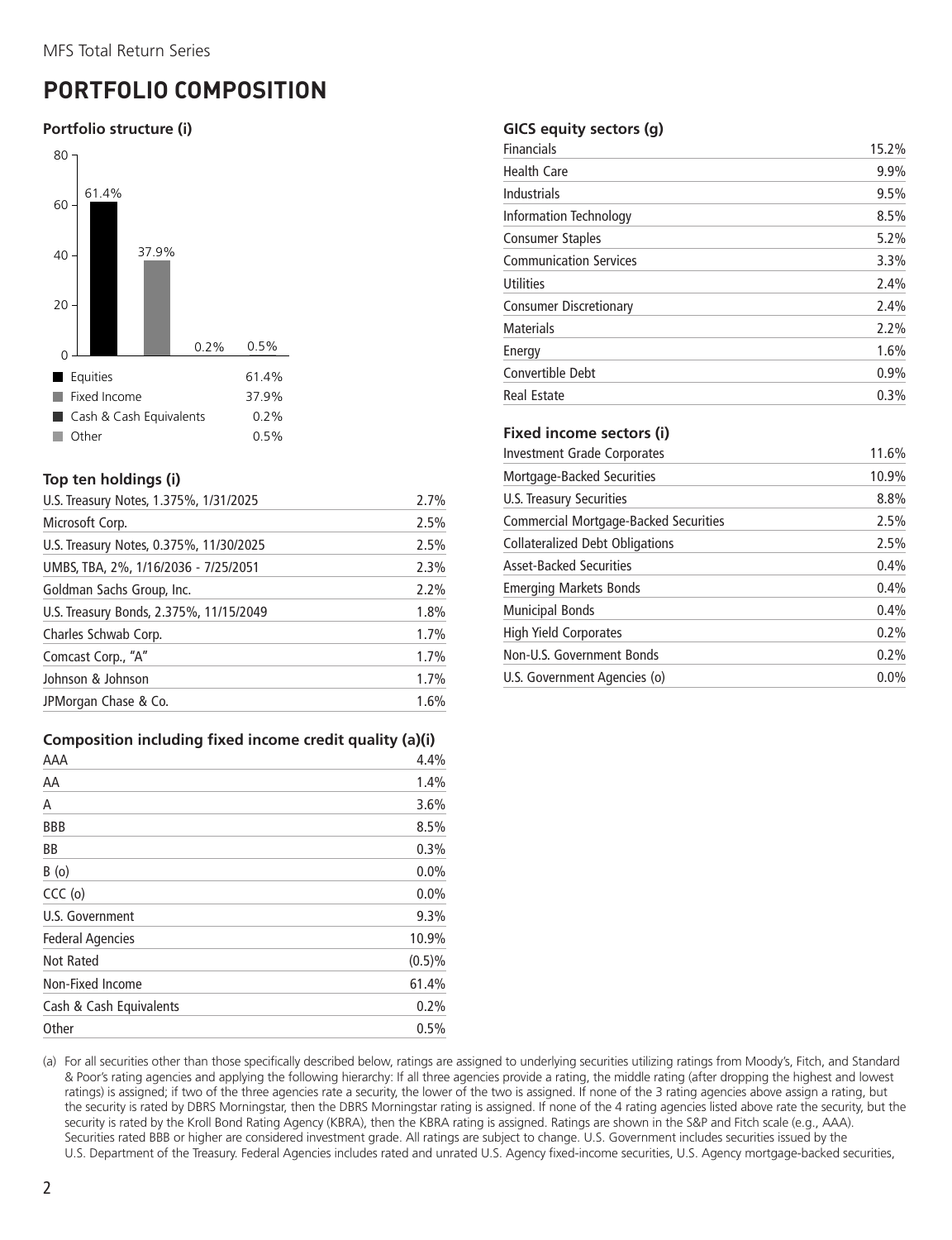### <span id="page-3-0"></span>**PORTFOLIO COMPOSITION**

#### **Portfolio structure (i)**



#### **Top ten holdings (i)**

| U.S. Treasury Notes, 1.375%, 1/31/2025  | 2.7% |
|-----------------------------------------|------|
| Microsoft Corp.                         | 2.5% |
| U.S. Treasury Notes, 0.375%, 11/30/2025 | 2.5% |
| UMBS, TBA, 2%, 1/16/2036 - 7/25/2051    | 2.3% |
| Goldman Sachs Group, Inc.               | 2.2% |
| U.S. Treasury Bonds, 2.375%, 11/15/2049 | 1.8% |
| Charles Schwab Corp.                    | 1.7% |
| Comcast Corp., "A"                      | 1.7% |
| Johnson & Johnson                       | 1.7% |
| JPMorgan Chase & Co.                    | 1.6% |

#### **Composition including fixed income credit quality (a)(i)**

| AAA                     | 4.4%      |
|-------------------------|-----------|
| AA                      | 1.4%      |
| А                       | 3.6%      |
| <b>BBB</b>              | 8.5%      |
| <b>BB</b>               | 0.3%      |
| B(0)                    | 0.0%      |
| $CCC$ (o)               | 0.0%      |
| U.S. Government         | 9.3%      |
| <b>Federal Agencies</b> | 10.9%     |
| <b>Not Rated</b>        | $(0.5)\%$ |
| Non-Fixed Income        | 61.4%     |
| Cash & Cash Equivalents | 0.2%      |
| Other                   | 0.5%      |

#### **GICS equity sectors (g)**

| Financials                    | 15.2% |
|-------------------------------|-------|
| <b>Health Care</b>            | 9.9%  |
| Industrials                   | 9.5%  |
| <b>Information Technology</b> | 8.5%  |
| <b>Consumer Staples</b>       | 5.2%  |
| <b>Communication Services</b> | 3.3%  |
| <b>Utilities</b>              | 2.4%  |
| <b>Consumer Discretionary</b> | 2.4%  |
| <b>Materials</b>              | 2.2%  |
| Energy                        | 1.6%  |
| Convertible Debt              | 0.9%  |
| <b>Real Estate</b>            | 0.3%  |

#### **Fixed income sectors (i)**

| Investment Grade Corporates            | 11.6% |
|----------------------------------------|-------|
| Mortgage-Backed Securities             | 10.9% |
| U.S. Treasury Securities               | 8.8%  |
| Commercial Mortgage-Backed Securities  | 2.5%  |
| <b>Collateralized Debt Obligations</b> | 2.5%  |
| <b>Asset-Backed Securities</b>         | 0.4%  |
| <b>Emerging Markets Bonds</b>          | 0.4%  |
| <b>Municipal Bonds</b>                 | 0.4%  |
| High Yield Corporates                  | 0.2%  |
| Non-U.S. Government Bonds              | 0.2%  |
| U.S. Government Agencies (o)           | 0.0%  |

(a) For all securities other than those specifically described below, ratings are assigned to underlying securities utilizing ratings from Moody's, Fitch, and Standard & Poor's rating agencies and applying the following hierarchy: If all three agencies provide a rating, the middle rating (after dropping the highest and lowest ratings) is assigned; if two of the three agencies rate a security, the lower of the two is assigned. If none of the 3 rating agencies above assign a rating, but the security is rated by DBRS Morningstar, then the DBRS Morningstar rating is assigned. If none of the 4 rating agencies listed above rate the security, but the security is rated by the Kroll Bond Rating Agency (KBRA), then the KBRA rating is assigned. Ratings are shown in the S&P and Fitch scale (e.g., AAA). Securities rated BBB or higher are considered investment grade. All ratings are subject to change. U.S. Government includes securities issued by the U.S. Department of the Treasury. Federal Agencies includes rated and unrated U.S. Agency fixed-income securities, U.S. Agency mortgage-backed securities,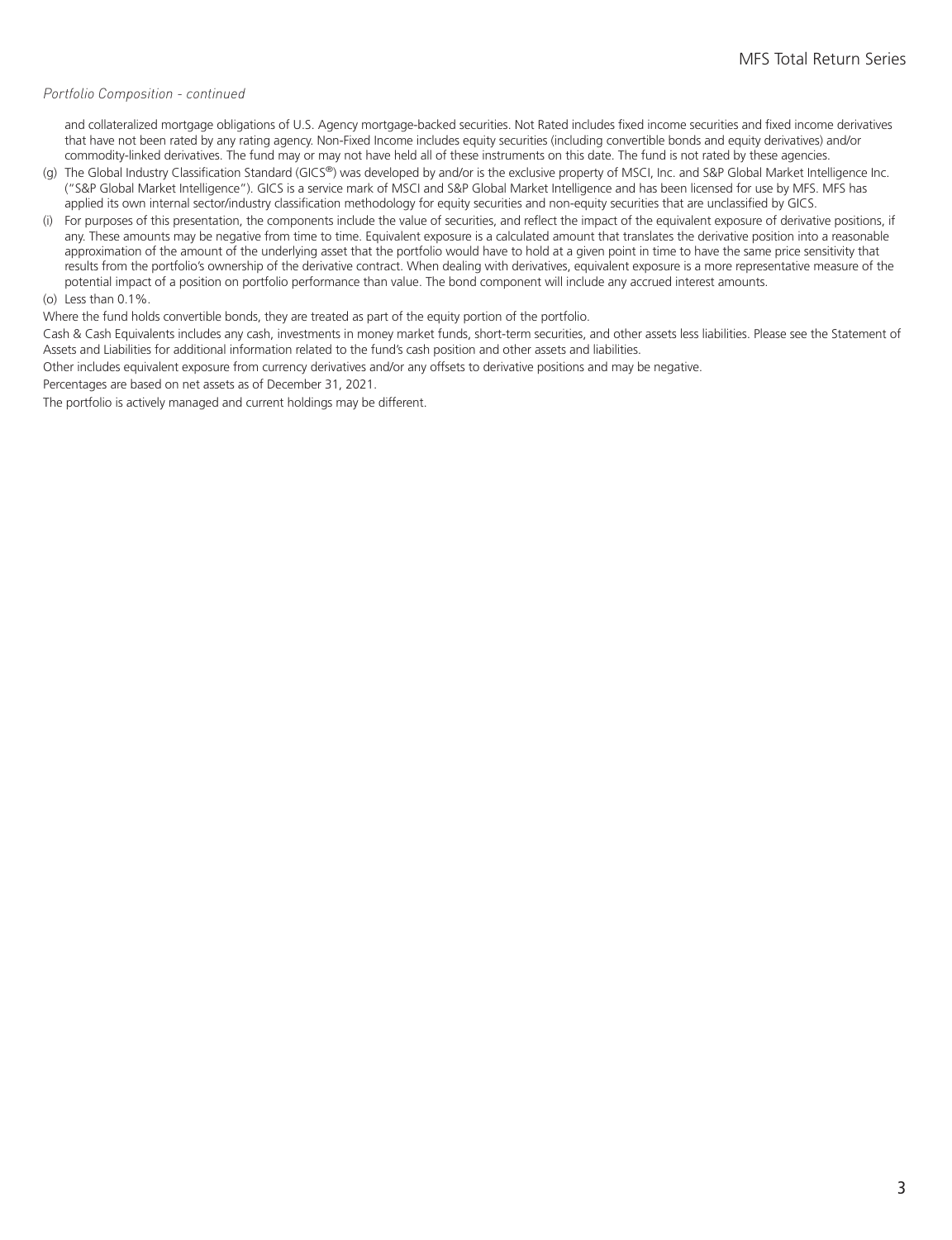#### *Portfolio Composition - continued*

and collateralized mortgage obligations of U.S. Agency mortgage-backed securities. Not Rated includes fixed income securities and fixed income derivatives that have not been rated by any rating agency. Non-Fixed Income includes equity securities (including convertible bonds and equity derivatives) and/or commodity-linked derivatives. The fund may or may not have held all of these instruments on this date. The fund is not rated by these agencies.

- (g) The Global Industry Classification Standard (GICS®) was developed by and/or is the exclusive property of MSCI, Inc. and S&P Global Market Intelligence Inc. ("S&P Global Market Intelligence"). GICS is a service mark of MSCI and S&P Global Market Intelligence and has been licensed for use by MFS. MFS has applied its own internal sector/industry classification methodology for equity securities and non-equity securities that are unclassified by GICS.
- (i) For purposes of this presentation, the components include the value of securities, and reflect the impact of the equivalent exposure of derivative positions, if any. These amounts may be negative from time to time. Equivalent exposure is a calculated amount that translates the derivative position into a reasonable approximation of the amount of the underlying asset that the portfolio would have to hold at a given point in time to have the same price sensitivity that results from the portfolio's ownership of the derivative contract. When dealing with derivatives, equivalent exposure is a more representative measure of the potential impact of a position on portfolio performance than value. The bond component will include any accrued interest amounts.

#### (o) Less than 0.1%.

Where the fund holds convertible bonds, they are treated as part of the equity portion of the portfolio.

Cash & Cash Equivalents includes any cash, investments in money market funds, short-term securities, and other assets less liabilities. Please see the Statement of Assets and Liabilities for additional information related to the fund's cash position and other assets and liabilities.

Other includes equivalent exposure from currency derivatives and/or any offsets to derivative positions and may be negative.

Percentages are based on net assets as of December 31, 2021.

The portfolio is actively managed and current holdings may be different.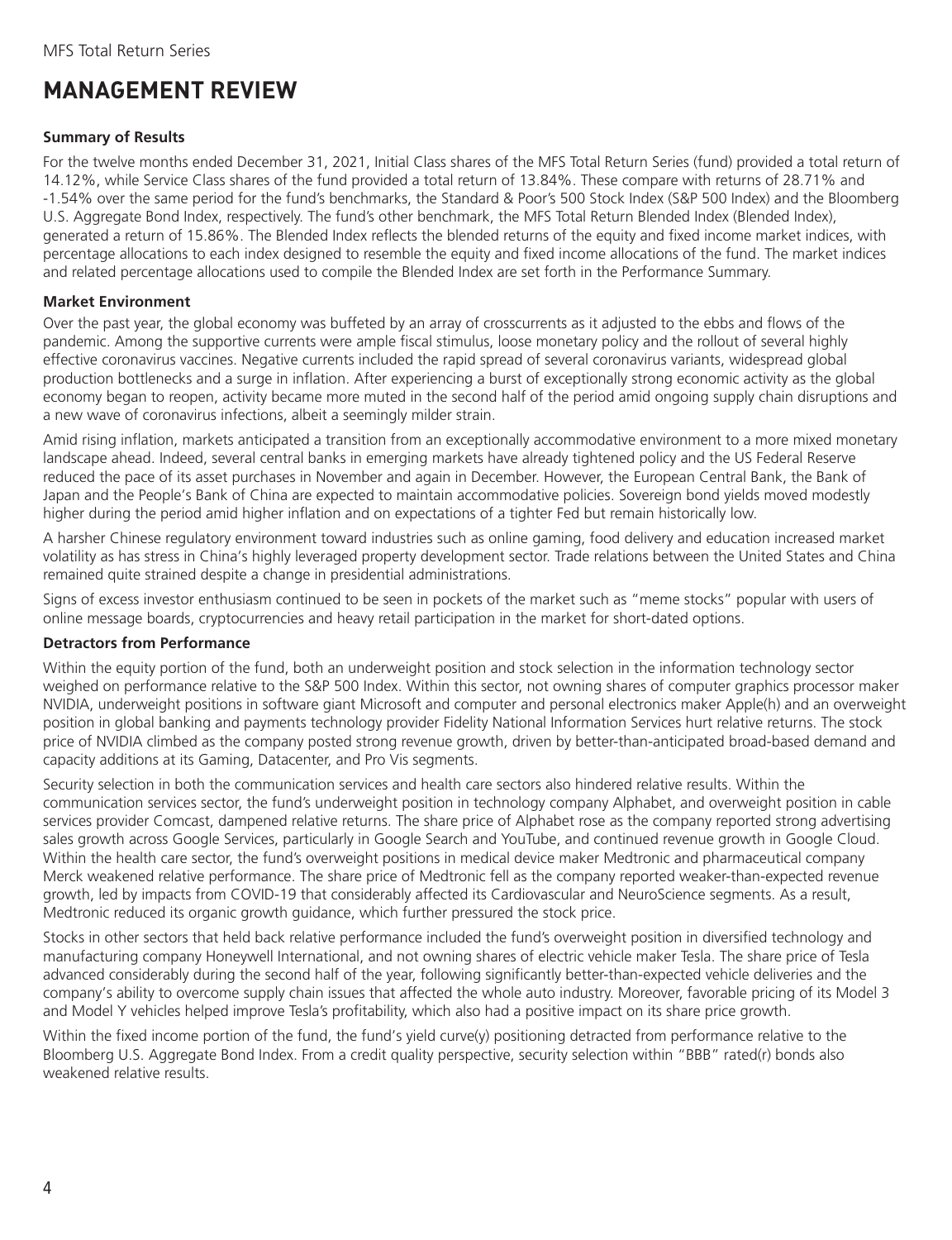### <span id="page-5-0"></span>**MANAGEMENT REVIEW**

#### **Summary of Results**

For the twelve months ended December 31, 2021, Initial Class shares of the MFS Total Return Series (fund) provided a total return of 14.12%, while Service Class shares of the fund provided a total return of 13.84%. These compare with returns of 28.71% and -1.54% over the same period for the fund's benchmarks, the Standard & Poor's 500 Stock Index (S&P 500 Index) and the Bloomberg U.S. Aggregate Bond Index, respectively. The fund's other benchmark, the MFS Total Return Blended Index (Blended Index), generated a return of 15.86%. The Blended Index reflects the blended returns of the equity and fixed income market indices, with percentage allocations to each index designed to resemble the equity and fixed income allocations of the fund. The market indices and related percentage allocations used to compile the Blended Index are set forth in the Performance Summary.

#### **Market Environment**

Over the past year, the global economy was buffeted by an array of crosscurrents as it adjusted to the ebbs and flows of the pandemic. Among the supportive currents were ample fiscal stimulus, loose monetary policy and the rollout of several highly effective coronavirus vaccines. Negative currents included the rapid spread of several coronavirus variants, widespread global production bottlenecks and a surge in inflation. After experiencing a burst of exceptionally strong economic activity as the global economy began to reopen, activity became more muted in the second half of the period amid ongoing supply chain disruptions and a new wave of coronavirus infections, albeit a seemingly milder strain.

Amid rising inflation, markets anticipated a transition from an exceptionally accommodative environment to a more mixed monetary landscape ahead. Indeed, several central banks in emerging markets have already tightened policy and the US Federal Reserve reduced the pace of its asset purchases in November and again in December. However, the European Central Bank, the Bank of Japan and the People's Bank of China are expected to maintain accommodative policies. Sovereign bond yields moved modestly higher during the period amid higher inflation and on expectations of a tighter Fed but remain historically low.

A harsher Chinese regulatory environment toward industries such as online gaming, food delivery and education increased market volatility as has stress in China's highly leveraged property development sector. Trade relations between the United States and China remained quite strained despite a change in presidential administrations.

Signs of excess investor enthusiasm continued to be seen in pockets of the market such as "meme stocks" popular with users of online message boards, cryptocurrencies and heavy retail participation in the market for short-dated options.

#### **Detractors from Performance**

Within the equity portion of the fund, both an underweight position and stock selection in the information technology sector weighed on performance relative to the S&P 500 Index. Within this sector, not owning shares of computer graphics processor maker NVIDIA, underweight positions in software giant Microsoft and computer and personal electronics maker Apple(h) and an overweight position in global banking and payments technology provider Fidelity National Information Services hurt relative returns. The stock price of NVIDIA climbed as the company posted strong revenue growth, driven by better-than-anticipated broad-based demand and capacity additions at its Gaming, Datacenter, and Pro Vis segments.

Security selection in both the communication services and health care sectors also hindered relative results. Within the communication services sector, the fund's underweight position in technology company Alphabet, and overweight position in cable services provider Comcast, dampened relative returns. The share price of Alphabet rose as the company reported strong advertising sales growth across Google Services, particularly in Google Search and YouTube, and continued revenue growth in Google Cloud. Within the health care sector, the fund's overweight positions in medical device maker Medtronic and pharmaceutical company Merck weakened relative performance. The share price of Medtronic fell as the company reported weaker-than-expected revenue growth, led by impacts from COVID-19 that considerably affected its Cardiovascular and NeuroScience segments. As a result, Medtronic reduced its organic growth guidance, which further pressured the stock price.

Stocks in other sectors that held back relative performance included the fund's overweight position in diversified technology and manufacturing company Honeywell International, and not owning shares of electric vehicle maker Tesla. The share price of Tesla advanced considerably during the second half of the year, following significantly better-than-expected vehicle deliveries and the company's ability to overcome supply chain issues that affected the whole auto industry. Moreover, favorable pricing of its Model 3 and Model Y vehicles helped improve Tesla's profitability, which also had a positive impact on its share price growth.

Within the fixed income portion of the fund, the fund's yield curve(y) positioning detracted from performance relative to the Bloomberg U.S. Aggregate Bond Index. From a credit quality perspective, security selection within "BBB" rated(r) bonds also weakened relative results.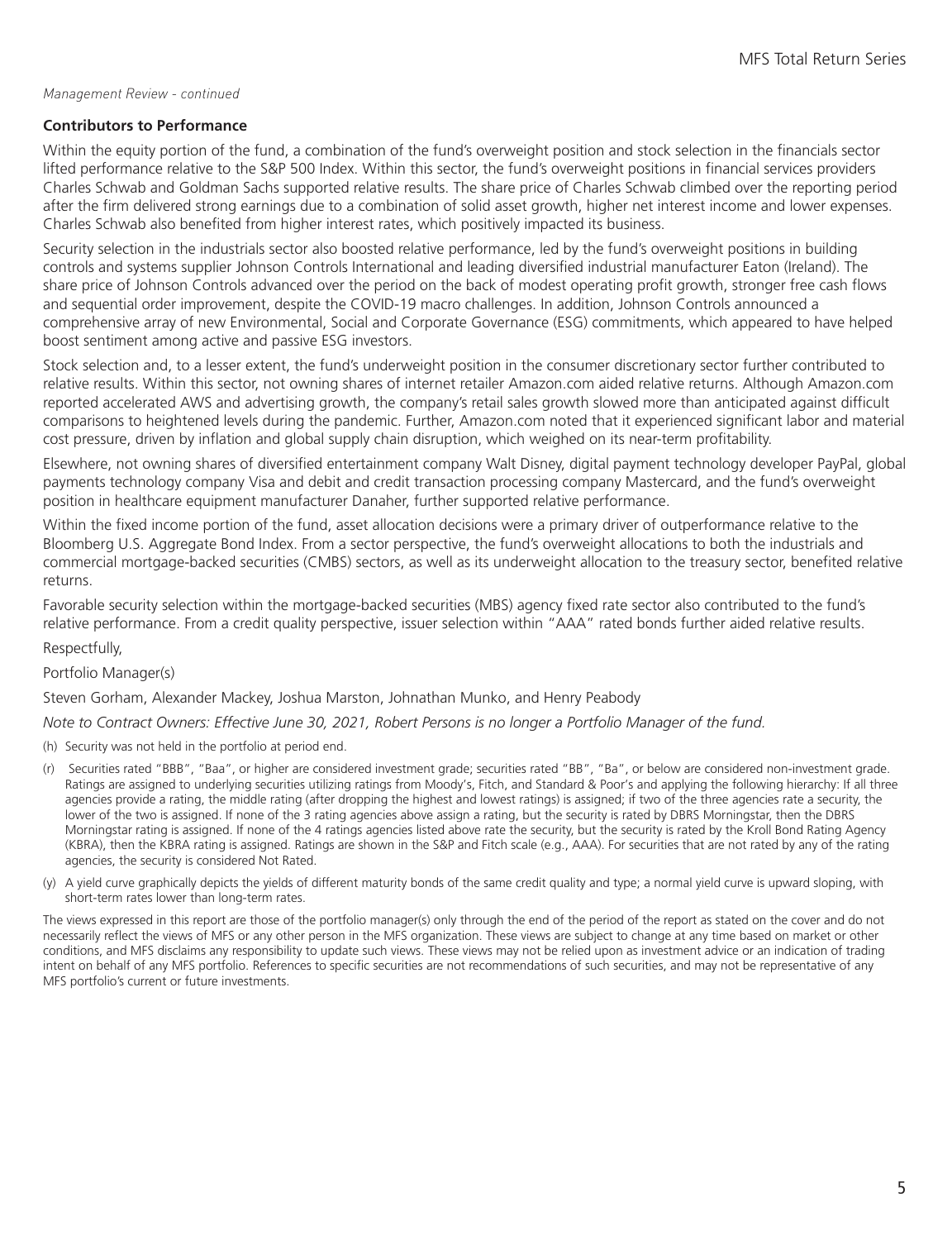#### *Management Review - continued*

#### **Contributors to Performance**

Within the equity portion of the fund, a combination of the fund's overweight position and stock selection in the financials sector lifted performance relative to the S&P 500 Index. Within this sector, the fund's overweight positions in financial services providers Charles Schwab and Goldman Sachs supported relative results. The share price of Charles Schwab climbed over the reporting period after the firm delivered strong earnings due to a combination of solid asset growth, higher net interest income and lower expenses. Charles Schwab also benefited from higher interest rates, which positively impacted its business.

Security selection in the industrials sector also boosted relative performance, led by the fund's overweight positions in building controls and systems supplier Johnson Controls International and leading diversified industrial manufacturer Eaton (Ireland). The share price of Johnson Controls advanced over the period on the back of modest operating profit growth, stronger free cash flows and sequential order improvement, despite the COVID-19 macro challenges. In addition, Johnson Controls announced a comprehensive array of new Environmental, Social and Corporate Governance (ESG) commitments, which appeared to have helped boost sentiment among active and passive ESG investors.

Stock selection and, to a lesser extent, the fund's underweight position in the consumer discretionary sector further contributed to relative results. Within this sector, not owning shares of internet retailer Amazon.com aided relative returns. Although Amazon.com reported accelerated AWS and advertising growth, the company's retail sales growth slowed more than anticipated against difficult comparisons to heightened levels during the pandemic. Further, Amazon.com noted that it experienced significant labor and material cost pressure, driven by inflation and global supply chain disruption, which weighed on its near-term profitability.

Elsewhere, not owning shares of diversified entertainment company Walt Disney, digital payment technology developer PayPal, global payments technology company Visa and debit and credit transaction processing company Mastercard, and the fund's overweight position in healthcare equipment manufacturer Danaher, further supported relative performance.

Within the fixed income portion of the fund, asset allocation decisions were a primary driver of outperformance relative to the Bloomberg U.S. Aggregate Bond Index. From a sector perspective, the fund's overweight allocations to both the industrials and commercial mortgage-backed securities (CMBS) sectors, as well as its underweight allocation to the treasury sector, benefited relative returns.

Favorable security selection within the mortgage-backed securities (MBS) agency fixed rate sector also contributed to the fund's relative performance. From a credit quality perspective, issuer selection within "AAA" rated bonds further aided relative results.

Respectfully,

Portfolio Manager(s)

Steven Gorham, Alexander Mackey, Joshua Marston, Johnathan Munko, and Henry Peabody

*Note to Contract Owners: Effective June 30, 2021, Robert Persons is no longer a Portfolio Manager of the fund.*

(h) Security was not held in the portfolio at period end.

- (r) Securities rated "BBB", "Baa", or higher are considered investment grade; securities rated "BB", "Ba", or below are considered non-investment grade. Ratings are assigned to underlying securities utilizing ratings from Moody's, Fitch, and Standard & Poor's and applying the following hierarchy: If all three agencies provide a rating, the middle rating (after dropping the highest and lowest ratings) is assigned; if two of the three agencies rate a security, the lower of the two is assigned. If none of the 3 rating agencies above assign a rating, but the security is rated by DBRS Morningstar, then the DBRS Morningstar rating is assigned. If none of the 4 ratings agencies listed above rate the security, but the security is rated by the Kroll Bond Rating Agency (KBRA), then the KBRA rating is assigned. Ratings are shown in the S&P and Fitch scale (e.g., AAA). For securities that are not rated by any of the rating agencies, the security is considered Not Rated.
- (y) A yield curve graphically depicts the yields of different maturity bonds of the same credit quality and type; a normal yield curve is upward sloping, with short-term rates lower than long-term rates.

The views expressed in this report are those of the portfolio manager(s) only through the end of the period of the report as stated on the cover and do not necessarily reflect the views of MFS or any other person in the MFS organization. These views are subject to change at any time based on market or other conditions, and MFS disclaims any responsibility to update such views. These views may not be relied upon as investment advice or an indication of trading intent on behalf of any MFS portfolio. References to specific securities are not recommendations of such securities, and may not be representative of any MFS portfolio's current or future investments.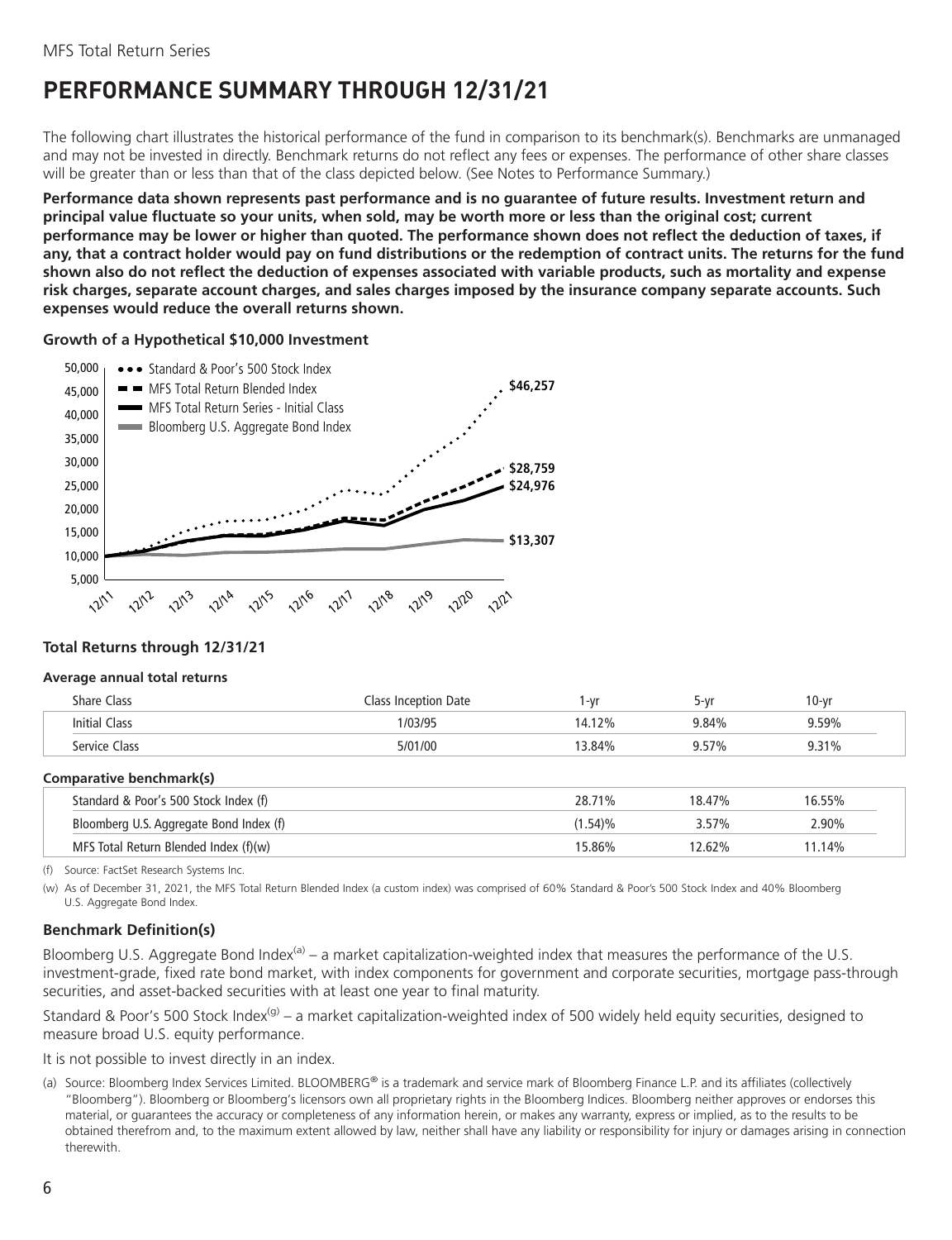### <span id="page-7-0"></span>**PERFORMANCE SUMMARY THROUGH 12/31/21**

The following chart illustrates the historical performance of the fund in comparison to its benchmark(s). Benchmarks are unmanaged and may not be invested in directly. Benchmark returns do not reflect any fees or expenses. The performance of other share classes will be greater than or less than that of the class depicted below. (See Notes to Performance Summary.)

**Performance data shown represents past performance and is no guarantee of future results. Investment return and principal value fluctuate so your units, when sold, may be worth more or less than the original cost; current performance may be lower or higher than quoted. The performance shown does not reflect the deduction of taxes, if any, that a contract holder would pay on fund distributions or the redemption of contract units. The returns for the fund shown also do not reflect the deduction of expenses associated with variable products, such as mortality and expense risk charges, separate account charges, and sales charges imposed by the insurance company separate accounts. Such expenses would reduce the overall returns shown.**

#### **Growth of a Hypothetical \$10,000 Investment**



#### **Total Returns through 12/31/21**

#### **Average annual total returns**

| <b>Share Class</b>   | Class Inception Date<br>$(-1)$ | 10-vr<br><b>5-Vr</b> |
|----------------------|--------------------------------|----------------------|
| <b>Initial Class</b> | 1/03/95<br>12%<br>14           | 9.59%<br>9.84%       |
| Service Class        | 13.84%<br>5/01/00              | 9.31%                |

#### **Comparative benchmark(s)**

| Standard & Poor's 500 Stock Index (f)   | 28.71%  | 18.47%   | 16.55% |
|-----------------------------------------|---------|----------|--------|
| Bloomberg U.S. Aggregate Bond Index (f) | (1.54)% | $3.57\%$ | .90%   |
| MFS Total Return Blended Index (f)(w)   | 15.86%  | 12.62%   | 11.14% |

(f) Source: FactSet Research Systems Inc.

(w) As of December 31, 2021, the MFS Total Return Blended Index (a custom index) was comprised of 60% Standard & Poor's 500 Stock Index and 40% Bloomberg U.S. Aggregate Bond Index.

#### **Benchmark Definition(s)**

Bloomberg U.S. Aggregate Bond Index<sup>(a)</sup> – a market capitalization-weighted index that measures the performance of the U.S. investment-grade, fixed rate bond market, with index components for government and corporate securities, mortgage pass-through securities, and asset-backed securities with at least one year to final maturity.

Standard & Poor's 500 Stock Index<sup>(g)</sup> – a market capitalization-weighted index of 500 widely held equity securities, designed to measure broad U.S. equity performance.

It is not possible to invest directly in an index.

(a) Source: Bloomberg Index Services Limited. BLOOMBERG® is a trademark and service mark of Bloomberg Finance L.P. and its affiliates (collectively "Bloomberg"). Bloomberg or Bloomberg's licensors own all proprietary rights in the Bloomberg Indices. Bloomberg neither approves or endorses this material, or guarantees the accuracy or completeness of any information herein, or makes any warranty, express or implied, as to the results to be obtained therefrom and, to the maximum extent allowed by law, neither shall have any liability or responsibility for injury or damages arising in connection therewith.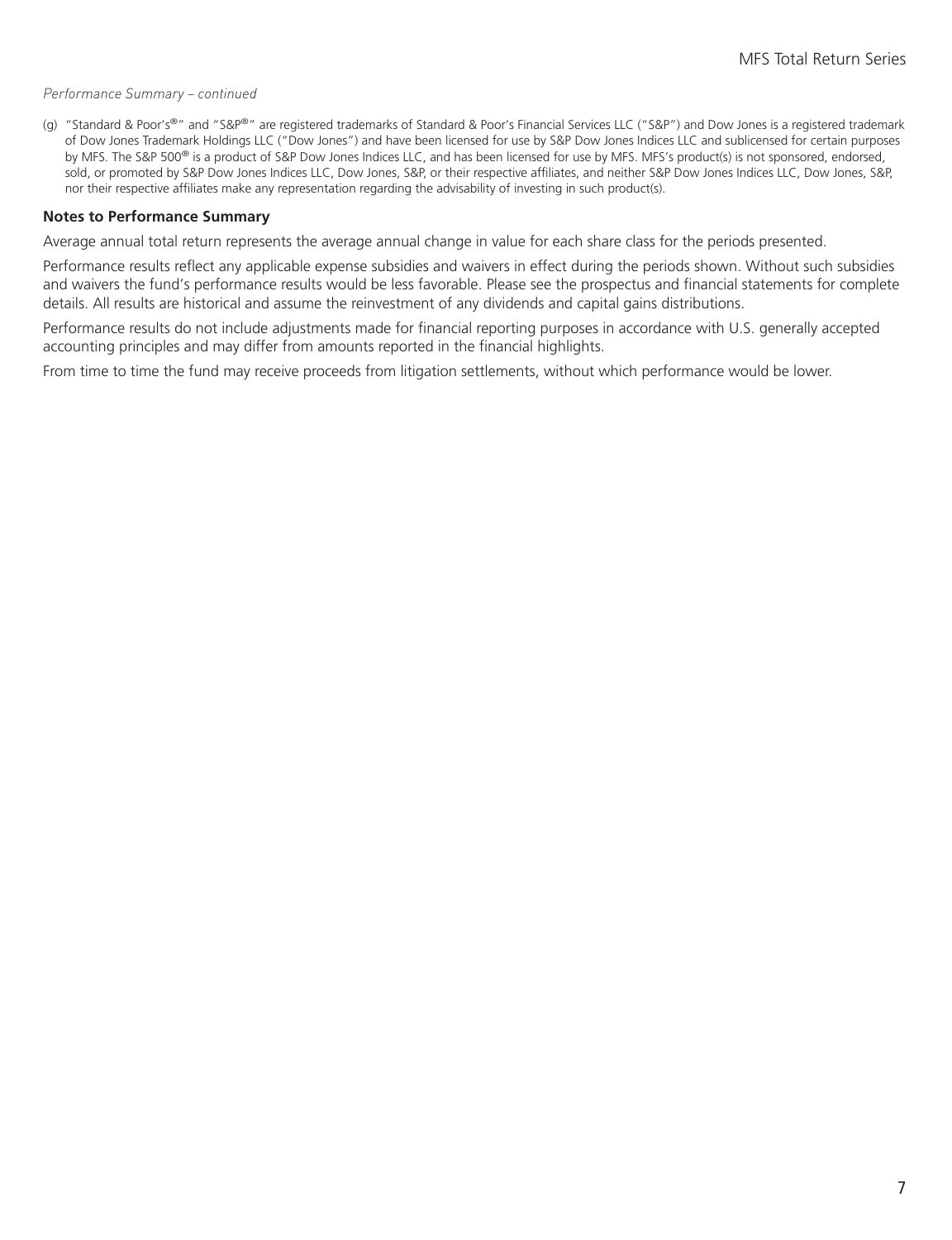#### *Performance Summary – continued*

(g) "Standard & Poor's®" and "S&P®" are registered trademarks of Standard & Poor's Financial Services LLC ("S&P") and Dow Jones is a registered trademark of Dow Jones Trademark Holdings LLC ("Dow Jones") and have been licensed for use by S&P Dow Jones Indices LLC and sublicensed for certain purposes by MFS. The S&P 500<sup>®</sup> is a product of S&P Dow Jones Indices LLC, and has been licensed for use by MFS. MFS's product(s) is not sponsored, endorsed, sold, or promoted by S&P Dow Jones Indices LLC, Dow Jones, S&P, or their respective affiliates, and neither S&P Dow Jones Indices LLC, Dow Jones, S&P, nor their respective affiliates make any representation regarding the advisability of investing in such product(s).

#### **Notes to Performance Summary**

Average annual total return represents the average annual change in value for each share class for the periods presented.

Performance results reflect any applicable expense subsidies and waivers in effect during the periods shown. Without such subsidies and waivers the fund's performance results would be less favorable. Please see the prospectus and financial statements for complete details. All results are historical and assume the reinvestment of any dividends and capital gains distributions.

Performance results do not include adjustments made for financial reporting purposes in accordance with U.S. generally accepted accounting principles and may differ from amounts reported in the financial highlights.

From time to time the fund may receive proceeds from litigation settlements, without which performance would be lower.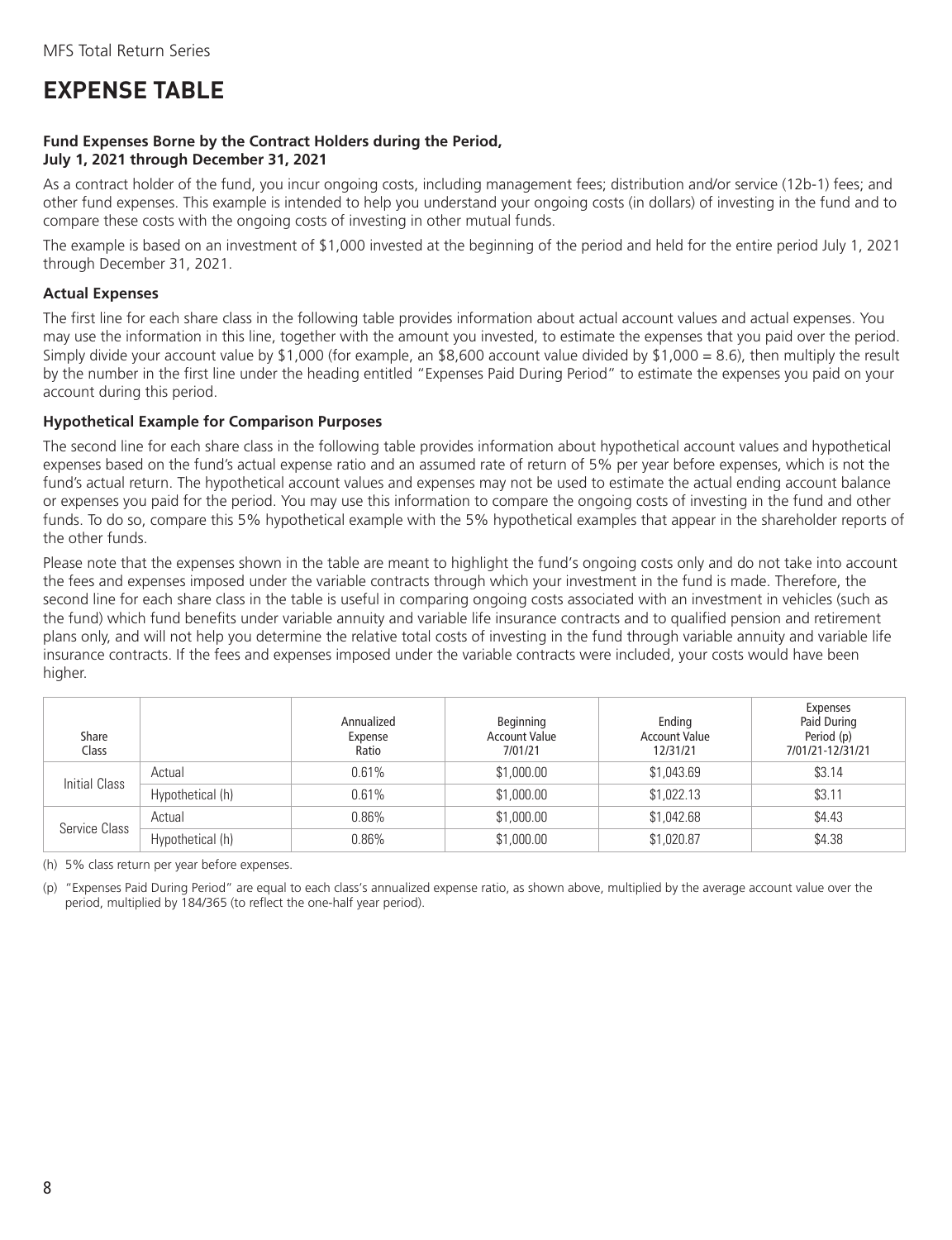### <span id="page-9-0"></span>**EXPENSE TABLE**

#### **Fund Expenses Borne by the Contract Holders during the Period, July 1, 2021 through December 31, 2021**

As a contract holder of the fund, you incur ongoing costs, including management fees; distribution and/or service (12b-1) fees; and other fund expenses. This example is intended to help you understand your ongoing costs (in dollars) of investing in the fund and to compare these costs with the ongoing costs of investing in other mutual funds.

The example is based on an investment of \$1,000 invested at the beginning of the period and held for the entire period July 1, 2021 through December 31, 2021.

#### **Actual Expenses**

The first line for each share class in the following table provides information about actual account values and actual expenses. You may use the information in this line, together with the amount you invested, to estimate the expenses that you paid over the period. Simply divide your account value by \$1,000 (for example, an \$8,600 account value divided by \$1,000 = 8.6), then multiply the result by the number in the first line under the heading entitled "Expenses Paid During Period" to estimate the expenses you paid on your account during this period.

#### **Hypothetical Example for Comparison Purposes**

The second line for each share class in the following table provides information about hypothetical account values and hypothetical expenses based on the fund's actual expense ratio and an assumed rate of return of 5% per year before expenses, which is not the fund's actual return. The hypothetical account values and expenses may not be used to estimate the actual ending account balance or expenses you paid for the period. You may use this information to compare the ongoing costs of investing in the fund and other funds. To do so, compare this 5% hypothetical example with the 5% hypothetical examples that appear in the shareholder reports of the other funds.

Please note that the expenses shown in the table are meant to highlight the fund's ongoing costs only and do not take into account the fees and expenses imposed under the variable contracts through which your investment in the fund is made. Therefore, the second line for each share class in the table is useful in comparing ongoing costs associated with an investment in vehicles (such as the fund) which fund benefits under variable annuity and variable life insurance contracts and to qualified pension and retirement plans only, and will not help you determine the relative total costs of investing in the fund through variable annuity and variable life insurance contracts. If the fees and expenses imposed under the variable contracts were included, your costs would have been higher.

| Share<br>Class |                  | Annualized<br>Expense<br>Ratio | Beginning<br><b>Account Value</b><br>7/01/21 | Ending<br><b>Account Value</b><br>12/31/21 | Expenses<br>Paid During<br>Period (p)<br>7/01/21-12/31/21 |
|----------------|------------------|--------------------------------|----------------------------------------------|--------------------------------------------|-----------------------------------------------------------|
| Initial Class  | Actual           | 0.61%                          | \$1,000.00                                   | \$1,043.69                                 | \$3.14                                                    |
|                | Hypothetical (h) | 0.61%                          | \$1,000.00                                   | \$1,022.13                                 | \$3.11                                                    |
| Service Class  | Actual           | $0.86\%$                       | \$1,000.00                                   | \$1,042.68                                 | \$4.43                                                    |
|                | Hypothetical (h) | $0.86\%$                       | \$1,000.00                                   | \$1,020.87                                 | \$4.38                                                    |

(h) 5% class return per year before expenses.

(p) "Expenses Paid During Period" are equal to each class's annualized expense ratio, as shown above, multiplied by the average account value over the period, multiplied by 184/365 (to reflect the one-half year period).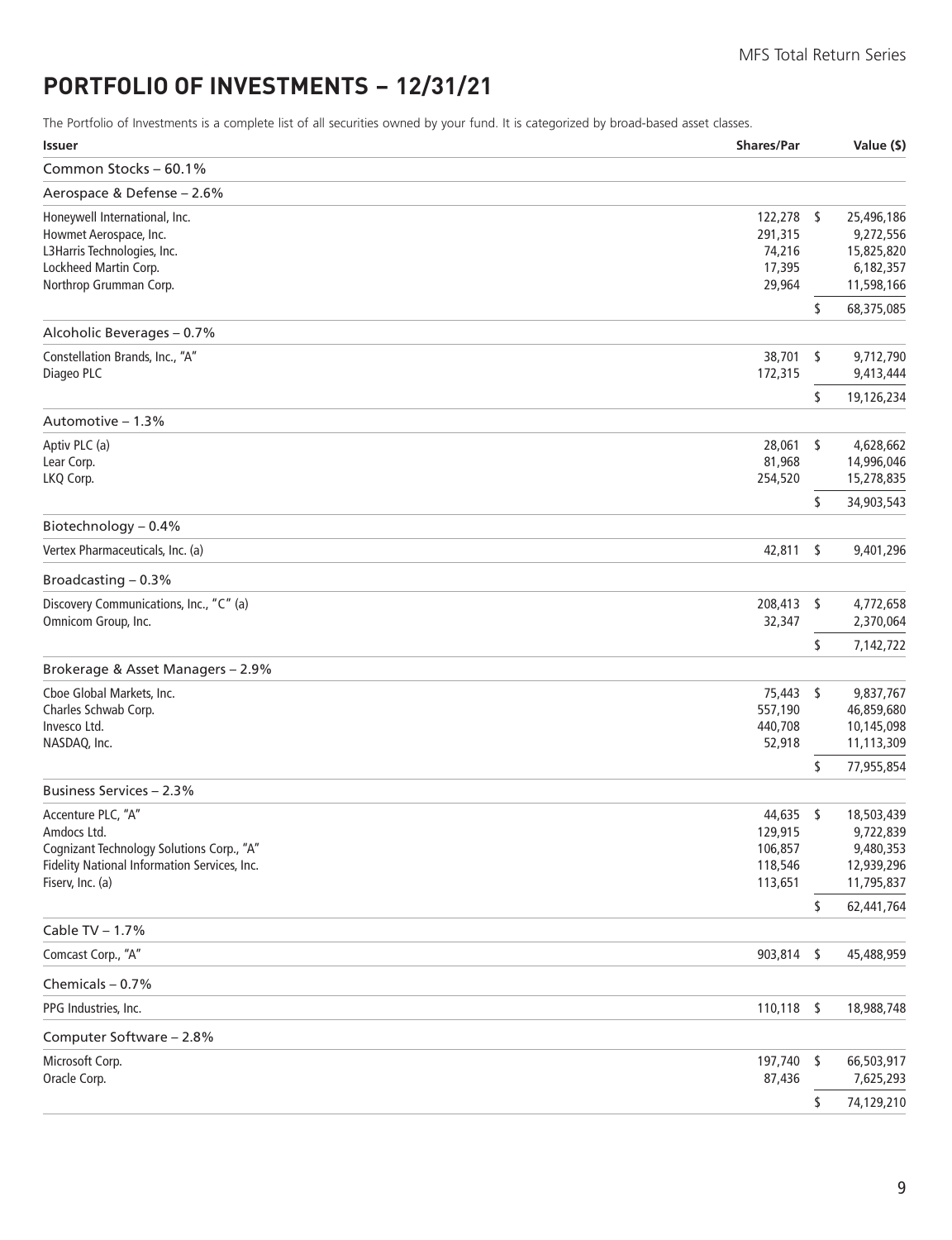### <span id="page-10-0"></span>**PORTFOLIO OF INVESTMENTS − 12/31/21**

The Portfolio of Investments is a complete list of all securities owned by your fund. It is categorized by broad-based asset classes.

| <b>Issuer</b>                                 | <b>Shares/Par</b> |      | Value (\$)               |
|-----------------------------------------------|-------------------|------|--------------------------|
| Common Stocks - 60.1%                         |                   |      |                          |
| Aerospace & Defense - 2.6%                    |                   |      |                          |
| Honeywell International, Inc.                 | 122,278 \$        |      | 25,496,186               |
| Howmet Aerospace, Inc.                        | 291,315           |      | 9,272,556                |
| L3Harris Technologies, Inc.                   | 74,216            |      | 15,825,820               |
| Lockheed Martin Corp.                         | 17,395            |      | 6,182,357                |
| Northrop Grumman Corp.                        | 29,964            |      | 11,598,166               |
| Alcoholic Beverages - 0.7%                    |                   | \$   | 68,375,085               |
|                                               |                   |      |                          |
| Constellation Brands, Inc., "A"<br>Diageo PLC | 38,701<br>172,315 | \$   | 9,712,790<br>9,413,444   |
|                                               |                   | \$   | 19,126,234               |
| Automotive - 1.3%                             |                   |      |                          |
| Aptiv PLC (a)                                 | 28,061            | \$   | 4,628,662                |
| Lear Corp.                                    | 81,968            |      | 14,996,046               |
| LKQ Corp.                                     | 254,520           |      | 15,278,835               |
|                                               |                   | \$   | 34,903,543               |
| Biotechnology - 0.4%                          |                   |      |                          |
| Vertex Pharmaceuticals, Inc. (a)              | 42,811            | \$   | 9,401,296                |
| Broadcasting $-0.3%$                          |                   |      |                          |
| Discovery Communications, Inc., "C" (a)       | 208,413           | -\$  | 4,772,658                |
| Omnicom Group, Inc.                           | 32,347            |      | 2,370,064                |
|                                               |                   | \$   | 7,142,722                |
| Brokerage & Asset Managers - 2.9%             |                   |      |                          |
| Cboe Global Markets, Inc.                     | 75,443 \$         |      | 9,837,767                |
| Charles Schwab Corp.                          | 557,190           |      | 46,859,680               |
| Invesco Ltd.                                  | 440,708           |      | 10,145,098               |
| NASDAQ, Inc.                                  | 52,918            |      | 11,113,309               |
|                                               |                   | \$   | 77,955,854               |
| Business Services - 2.3%                      |                   |      |                          |
| Accenture PLC, "A"                            | 44,635 \$         |      | 18,503,439               |
| Amdocs Ltd.                                   | 129,915           |      | 9,722,839                |
| Cognizant Technology Solutions Corp., "A"     | 106,857           |      | 9,480,353                |
| Fidelity National Information Services, Inc.  | 118,546           |      | 12,939,296               |
| Fiserv, Inc. (a)                              | 113,651           | \$   | 11,795,837<br>62,441,764 |
| Cable TV - 1.7%                               |                   |      |                          |
| Comcast Corp., "A"                            | 903,814           | \$   | 45,488,959               |
|                                               |                   |      |                          |
| Chemicals - 0.7%                              |                   |      |                          |
| PPG Industries, Inc.                          | 110,118           | - \$ | 18,988,748               |
| Computer Software - 2.8%                      |                   |      |                          |
| Microsoft Corp.<br>Oracle Corp.               | 197,740<br>87,436 | - \$ | 66,503,917<br>7,625,293  |
|                                               |                   |      |                          |
|                                               |                   | \$   | 74,129,210               |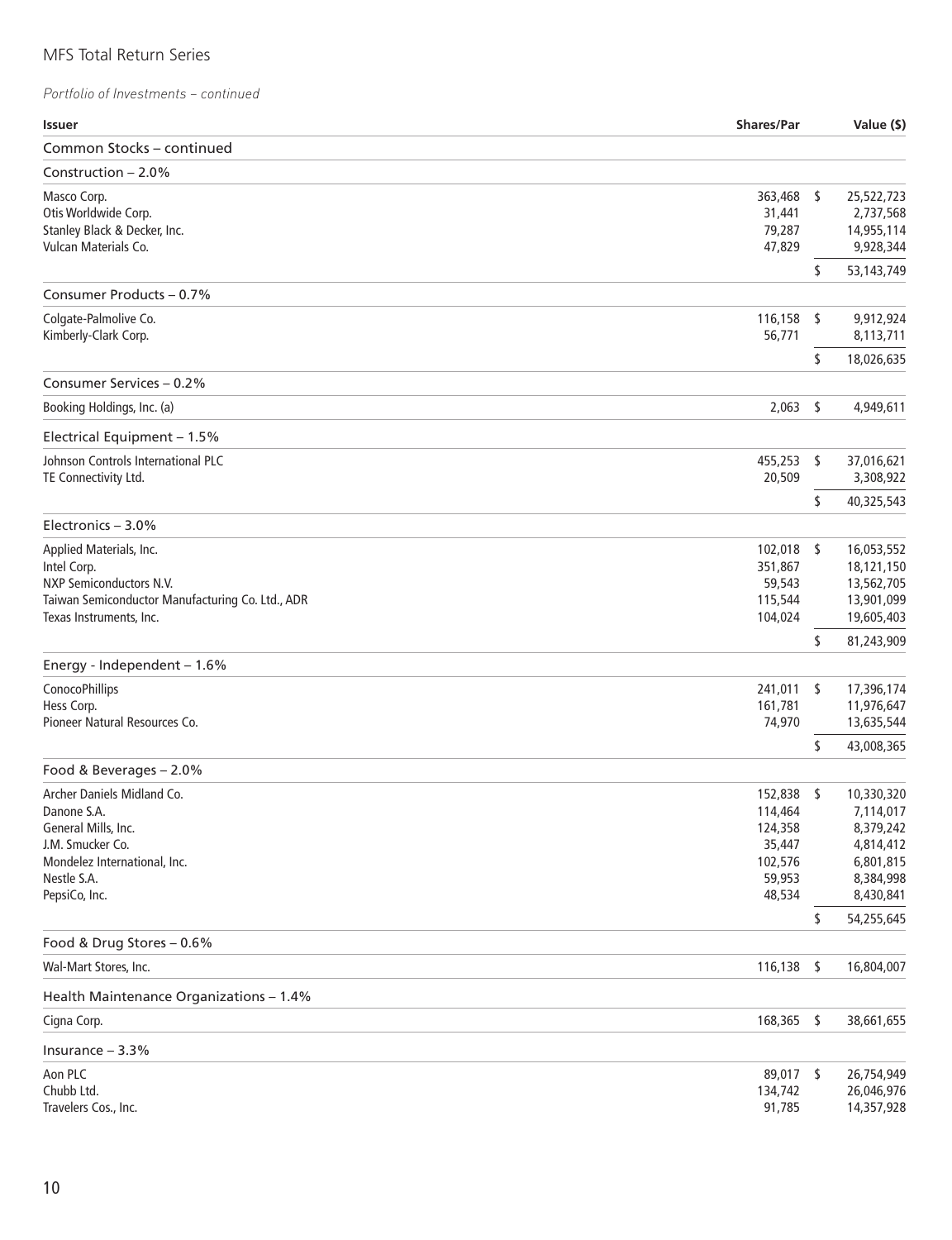| <b>Issuer</b>                                    | <b>Shares/Par</b>  |      | Value (\$)               |
|--------------------------------------------------|--------------------|------|--------------------------|
| Common Stocks - continued                        |                    |      |                          |
| Construction $-2.0\%$                            |                    |      |                          |
| Masco Corp.                                      | 363,468 \$         |      | 25,522,723               |
| Otis Worldwide Corp.                             | 31,441             |      | 2,737,568                |
| Stanley Black & Decker, Inc.                     | 79,287             |      | 14,955,114               |
| Vulcan Materials Co.                             | 47,829             |      | 9,928,344                |
|                                                  |                    | \$   | 53,143,749               |
| Consumer Products - 0.7%                         |                    |      |                          |
| Colgate-Palmolive Co.                            | 116,158            | -S   | 9,912,924                |
| Kimberly-Clark Corp.                             | 56,771             |      | 8,113,711                |
|                                                  |                    | \$   | 18,026,635               |
| Consumer Services - 0.2%                         |                    |      |                          |
| Booking Holdings, Inc. (a)                       | 2,063              | - \$ | 4,949,611                |
| Electrical Equipment - 1.5%                      |                    |      |                          |
| Johnson Controls International PLC               | 455,253            | \$   | 37,016,621               |
| TE Connectivity Ltd.                             | 20,509             |      | 3,308,922                |
|                                                  |                    | \$   | 40,325,543               |
| Electronics - 3.0%                               |                    |      |                          |
| Applied Materials, Inc.                          | $102,018$ \$       |      | 16,053,552               |
| Intel Corp.                                      | 351,867            |      | 18,121,150               |
| NXP Semiconductors N.V.                          | 59,543             |      | 13,562,705               |
| Taiwan Semiconductor Manufacturing Co. Ltd., ADR | 115,544            |      | 13,901,099               |
| Texas Instruments, Inc.                          | 104,024            |      | 19,605,403               |
|                                                  |                    | \$   | 81,243,909               |
| Energy - Independent - 1.6%                      |                    |      |                          |
| ConocoPhillips                                   | 241,011            | -S   | 17,396,174               |
| Hess Corp.<br>Pioneer Natural Resources Co.      | 161,781<br>74,970  |      | 11,976,647<br>13,635,544 |
|                                                  |                    |      |                          |
|                                                  |                    | \$   | 43,008,365               |
| Food & Beverages - 2.0%                          |                    |      |                          |
| Archer Daniels Midland Co.<br>Danone S.A.        | 152,838            | - \$ | 10,330,320               |
| General Mills, Inc.                              | 114,464<br>124,358 |      | 7,114,017<br>8,379,242   |
| J.M. Smucker Co.                                 | 35,447             |      | 4,814,412                |
| Mondelez International, Inc.                     | 102,576            |      | 6,801,815                |
| Nestle S.A.                                      | 59,953             |      | 8,384,998                |
| PepsiCo, Inc.                                    | 48,534             |      | 8,430,841                |
|                                                  |                    | \$   | 54,255,645               |
| Food & Drug Stores - 0.6%                        |                    |      |                          |
| Wal-Mart Stores, Inc.                            | 116,138            | \$   | 16,804,007               |
| Health Maintenance Organizations - 1.4%          |                    |      |                          |
| Cigna Corp.                                      | 168,365            | - \$ | 38,661,655               |
| Insurance $-3.3%$                                |                    |      |                          |
| Aon PLC                                          | 89,017 \$          |      | 26,754,949               |
| Chubb Ltd.                                       | 134,742            |      | 26,046,976               |
| Travelers Cos., Inc.                             | 91,785             |      | 14,357,928               |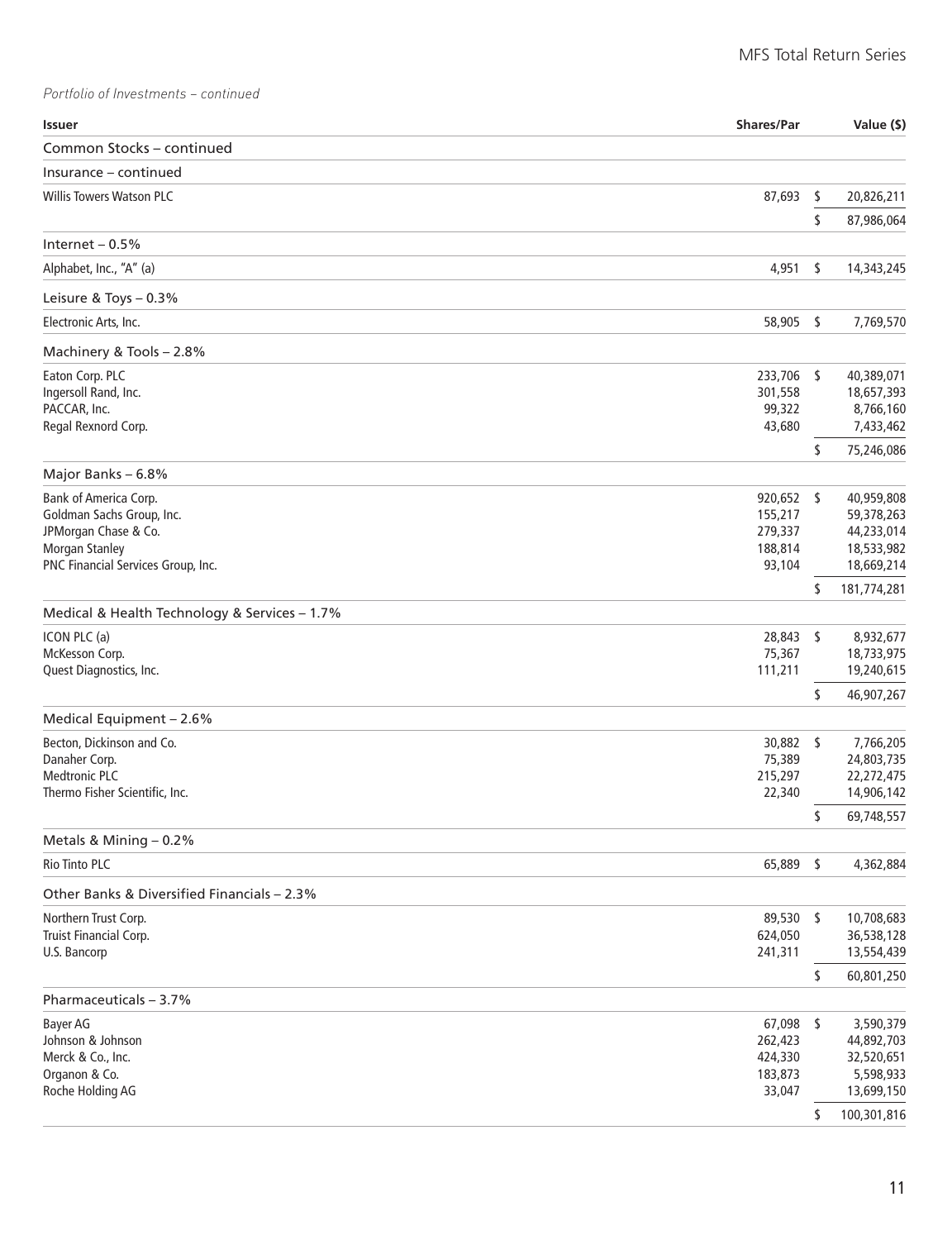| <b>Issuer</b>                                 | Shares/Par         | Value (\$)               |
|-----------------------------------------------|--------------------|--------------------------|
| Common Stocks - continued                     |                    |                          |
| Insurance - continued                         |                    |                          |
| <b>Willis Towers Watson PLC</b>               | 87,693             | \$<br>20,826,211         |
|                                               |                    | \$<br>87,986,064         |
| Internet $-0.5%$                              |                    |                          |
| Alphabet, Inc., "A" (a)                       | 4,951              | \$<br>14,343,245         |
| Leisure & Toys - 0.3%                         |                    |                          |
| Electronic Arts, Inc.                         | 58,905 \$          | 7,769,570                |
| Machinery & Tools - 2.8%                      |                    |                          |
| Eaton Corp. PLC                               | 233,706 \$         | 40,389,071               |
| Ingersoll Rand, Inc.                          | 301,558            | 18,657,393               |
| PACCAR, Inc.                                  | 99,322             | 8,766,160                |
| Regal Rexnord Corp.                           | 43,680             | 7,433,462                |
|                                               |                    | \$<br>75,246,086         |
| Major Banks - 6.8%                            |                    |                          |
| Bank of America Corp.                         | 920,652 \$         | 40,959,808               |
| Goldman Sachs Group, Inc.                     | 155,217            | 59,378,263               |
| JPMorgan Chase & Co.<br><b>Morgan Stanley</b> | 279,337<br>188,814 | 44,233,014<br>18,533,982 |
| PNC Financial Services Group, Inc.            | 93,104             | 18,669,214               |
|                                               |                    | \$<br>181,774,281        |
| Medical & Health Technology & Services - 1.7% |                    |                          |
| ICON PLC (a)                                  | 28,843 \$          | 8,932,677                |
| McKesson Corp.                                | 75,367             | 18,733,975               |
| Quest Diagnostics, Inc.                       | 111,211            | 19,240,615               |
|                                               |                    | \$<br>46,907,267         |
| Medical Equipment - 2.6%                      |                    |                          |
| Becton, Dickinson and Co.                     | 30,882 \$          | 7,766,205                |
| Danaher Corp.                                 | 75,389             | 24,803,735               |
| <b>Medtronic PLC</b>                          | 215,297            | 22,272,475               |
| Thermo Fisher Scientific, Inc.                | 22,340             | 14,906,142               |
|                                               |                    | \$<br>69,748,557         |
| Metals & Mining - 0.2%<br>Rio Tinto PLC       | 65,889 \$          | 4,362,884                |
|                                               |                    |                          |
| Other Banks & Diversified Financials - 2.3%   |                    |                          |
| Northern Trust Corp.                          | 89,530 \$          | 10,708,683               |
| Truist Financial Corp.<br>U.S. Bancorp        | 624,050<br>241,311 | 36,538,128<br>13,554,439 |
|                                               |                    | \$<br>60,801,250         |
| Pharmaceuticals - 3.7%                        |                    |                          |
| Bayer AG                                      | $67,098$ \$        | 3,590,379                |
| Johnson & Johnson                             | 262,423            | 44,892,703               |
| Merck & Co., Inc.                             | 424,330            | 32,520,651               |
| Organon & Co.                                 | 183,873            | 5,598,933                |
| Roche Holding AG                              | 33,047             | 13,699,150               |
|                                               |                    | \$<br>100,301,816        |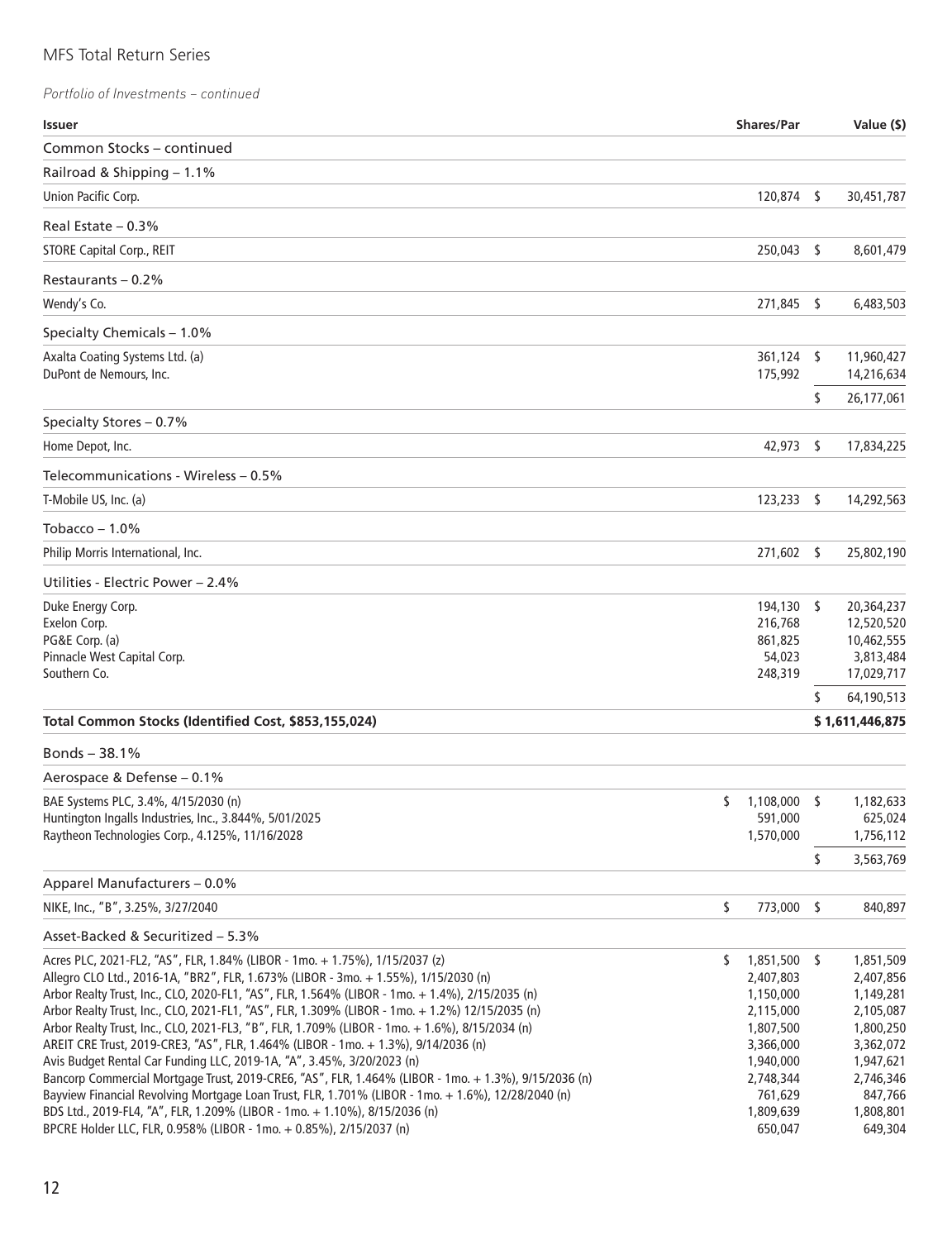| Common Stocks - continued<br>Railroad & Shipping - 1.1%<br>120,874<br>\$<br>30,451,787<br>Union Pacific Corp.<br>Real Estate $-0.3%$<br><b>STORE Capital Corp., REIT</b><br>250,043 \$<br>8,601,479<br>Restaurants - 0.2%<br>Wendy's Co.<br>271.845<br>- \$<br>6,483,503<br>Specialty Chemicals - 1.0%<br>Axalta Coating Systems Ltd. (a)<br>361,124 \$<br>11,960,427<br>DuPont de Nemours, Inc.<br>175,992<br>14,216,634<br>\$<br>26,177,061<br>Specialty Stores - 0.7%<br>Home Depot, Inc.<br>42,973<br>\$<br>17,834,225<br>Telecommunications - Wireless - 0.5%<br>T-Mobile US, Inc. (a)<br>$123,233$ \$<br>14,292,563<br>Tobacco – 1.0%<br>Philip Morris International, Inc.<br>271,602 \$<br>25,802,190<br>Utilities - Electric Power - 2.4%<br>Duke Energy Corp.<br>194,130 \$<br>20,364,237<br>Exelon Corp.<br>216,768<br>12,520,520<br>PG&E Corp. (a)<br>10,462,555<br>861,825<br>Pinnacle West Capital Corp.<br>54,023<br>3,813,484<br>Southern Co.<br>248,319<br>17,029,717<br>\$<br>64,190,513<br>Total Common Stocks (Identified Cost, \$853,155,024)<br>\$1,611,446,875<br>Bonds $-38.1%$<br>Aerospace & Defense - 0.1%<br>BAE Systems PLC, 3.4%, 4/15/2030 (n)<br>\$<br>1,108,000<br>s<br>1,182,633<br>Huntington Ingalls Industries, Inc., 3.844%, 5/01/2025<br>591,000<br>625,024<br>Raytheon Technologies Corp., 4.125%, 11/16/2028<br>1,756,112<br>1,570,000<br>\$<br>3,563,769<br>Apparel Manufacturers - 0.0%<br>\$<br>NIKE, Inc., "B", 3.25%, 3/27/2040<br>773,000 \$<br>840,897<br>Asset-Backed & Securitized - 5.3%<br>1,851,500 \$<br>1,851,509<br>Acres PLC, 2021-FL2, "AS", FLR, 1.84% (LIBOR - 1mo. + 1.75%), 1/15/2037 (z)<br>S.<br>Allegro CLO Ltd., 2016-1A, "BR2", FLR, 1.673% (LIBOR - 3mo. + 1.55%), 1/15/2030 (n)<br>2,407,803<br>2,407,856<br>Arbor Realty Trust, Inc., CLO, 2020-FL1, "AS", FLR, 1.564% (LIBOR - 1mo. + 1.4%), 2/15/2035 (n)<br>1,149,281<br>1,150,000<br>Arbor Realty Trust, Inc., CLO, 2021-FL1, "AS", FLR, 1.309% (LIBOR - 1mo. + 1.2%) 12/15/2035 (n)<br>2,105,087<br>2,115,000<br>Arbor Realty Trust, Inc., CLO, 2021-FL3, "B", FLR, 1.709% (LIBOR - 1mo. + 1.6%), 8/15/2034 (n)<br>1,807,500<br>1,800,250<br>AREIT CRE Trust, 2019-CRE3, "AS", FLR, 1.464% (LIBOR - 1mo. + 1.3%), 9/14/2036 (n)<br>3,366,000<br>3,362,072<br>Avis Budget Rental Car Funding LLC, 2019-1A, "A", 3.45%, 3/20/2023 (n)<br>1,940,000<br>1,947,621<br>Bancorp Commercial Mortgage Trust, 2019-CRE6, "AS", FLR, 1.464% (LIBOR - 1mo. + 1.3%), 9/15/2036 (n)<br>2,748,344<br>2,746,346<br>Bayview Financial Revolving Mortgage Loan Trust, FLR, 1.701% (LIBOR - 1mo. + 1.6%), 12/28/2040 (n)<br>761,629<br>847,766<br>BDS Ltd., 2019-FL4, "A", FLR, 1.209% (LIBOR - 1mo. + 1.10%), 8/15/2036 (n)<br>1,809,639<br>1,808,801<br>BPCRE Holder LLC, FLR, 0.958% (LIBOR - 1mo. + 0.85%), 2/15/2037 (n)<br>650,047<br>649,304 | <b>Issuer</b> | <b>Shares/Par</b> | Value (\$) |
|------------------------------------------------------------------------------------------------------------------------------------------------------------------------------------------------------------------------------------------------------------------------------------------------------------------------------------------------------------------------------------------------------------------------------------------------------------------------------------------------------------------------------------------------------------------------------------------------------------------------------------------------------------------------------------------------------------------------------------------------------------------------------------------------------------------------------------------------------------------------------------------------------------------------------------------------------------------------------------------------------------------------------------------------------------------------------------------------------------------------------------------------------------------------------------------------------------------------------------------------------------------------------------------------------------------------------------------------------------------------------------------------------------------------------------------------------------------------------------------------------------------------------------------------------------------------------------------------------------------------------------------------------------------------------------------------------------------------------------------------------------------------------------------------------------------------------------------------------------------------------------------------------------------------------------------------------------------------------------------------------------------------------------------------------------------------------------------------------------------------------------------------------------------------------------------------------------------------------------------------------------------------------------------------------------------------------------------------------------------------------------------------------------------------------------------------------------------------------------------------------------------------------------------------------------------------------------------------------------------------------------------------------------------------------------------------------------------------------------------------------------------------------------------------------------------------------------------------------------|---------------|-------------------|------------|
|                                                                                                                                                                                                                                                                                                                                                                                                                                                                                                                                                                                                                                                                                                                                                                                                                                                                                                                                                                                                                                                                                                                                                                                                                                                                                                                                                                                                                                                                                                                                                                                                                                                                                                                                                                                                                                                                                                                                                                                                                                                                                                                                                                                                                                                                                                                                                                                                                                                                                                                                                                                                                                                                                                                                                                                                                                                            |               |                   |            |
|                                                                                                                                                                                                                                                                                                                                                                                                                                                                                                                                                                                                                                                                                                                                                                                                                                                                                                                                                                                                                                                                                                                                                                                                                                                                                                                                                                                                                                                                                                                                                                                                                                                                                                                                                                                                                                                                                                                                                                                                                                                                                                                                                                                                                                                                                                                                                                                                                                                                                                                                                                                                                                                                                                                                                                                                                                                            |               |                   |            |
|                                                                                                                                                                                                                                                                                                                                                                                                                                                                                                                                                                                                                                                                                                                                                                                                                                                                                                                                                                                                                                                                                                                                                                                                                                                                                                                                                                                                                                                                                                                                                                                                                                                                                                                                                                                                                                                                                                                                                                                                                                                                                                                                                                                                                                                                                                                                                                                                                                                                                                                                                                                                                                                                                                                                                                                                                                                            |               |                   |            |
|                                                                                                                                                                                                                                                                                                                                                                                                                                                                                                                                                                                                                                                                                                                                                                                                                                                                                                                                                                                                                                                                                                                                                                                                                                                                                                                                                                                                                                                                                                                                                                                                                                                                                                                                                                                                                                                                                                                                                                                                                                                                                                                                                                                                                                                                                                                                                                                                                                                                                                                                                                                                                                                                                                                                                                                                                                                            |               |                   |            |
|                                                                                                                                                                                                                                                                                                                                                                                                                                                                                                                                                                                                                                                                                                                                                                                                                                                                                                                                                                                                                                                                                                                                                                                                                                                                                                                                                                                                                                                                                                                                                                                                                                                                                                                                                                                                                                                                                                                                                                                                                                                                                                                                                                                                                                                                                                                                                                                                                                                                                                                                                                                                                                                                                                                                                                                                                                                            |               |                   |            |
|                                                                                                                                                                                                                                                                                                                                                                                                                                                                                                                                                                                                                                                                                                                                                                                                                                                                                                                                                                                                                                                                                                                                                                                                                                                                                                                                                                                                                                                                                                                                                                                                                                                                                                                                                                                                                                                                                                                                                                                                                                                                                                                                                                                                                                                                                                                                                                                                                                                                                                                                                                                                                                                                                                                                                                                                                                                            |               |                   |            |
|                                                                                                                                                                                                                                                                                                                                                                                                                                                                                                                                                                                                                                                                                                                                                                                                                                                                                                                                                                                                                                                                                                                                                                                                                                                                                                                                                                                                                                                                                                                                                                                                                                                                                                                                                                                                                                                                                                                                                                                                                                                                                                                                                                                                                                                                                                                                                                                                                                                                                                                                                                                                                                                                                                                                                                                                                                                            |               |                   |            |
|                                                                                                                                                                                                                                                                                                                                                                                                                                                                                                                                                                                                                                                                                                                                                                                                                                                                                                                                                                                                                                                                                                                                                                                                                                                                                                                                                                                                                                                                                                                                                                                                                                                                                                                                                                                                                                                                                                                                                                                                                                                                                                                                                                                                                                                                                                                                                                                                                                                                                                                                                                                                                                                                                                                                                                                                                                                            |               |                   |            |
|                                                                                                                                                                                                                                                                                                                                                                                                                                                                                                                                                                                                                                                                                                                                                                                                                                                                                                                                                                                                                                                                                                                                                                                                                                                                                                                                                                                                                                                                                                                                                                                                                                                                                                                                                                                                                                                                                                                                                                                                                                                                                                                                                                                                                                                                                                                                                                                                                                                                                                                                                                                                                                                                                                                                                                                                                                                            |               |                   |            |
|                                                                                                                                                                                                                                                                                                                                                                                                                                                                                                                                                                                                                                                                                                                                                                                                                                                                                                                                                                                                                                                                                                                                                                                                                                                                                                                                                                                                                                                                                                                                                                                                                                                                                                                                                                                                                                                                                                                                                                                                                                                                                                                                                                                                                                                                                                                                                                                                                                                                                                                                                                                                                                                                                                                                                                                                                                                            |               |                   |            |
|                                                                                                                                                                                                                                                                                                                                                                                                                                                                                                                                                                                                                                                                                                                                                                                                                                                                                                                                                                                                                                                                                                                                                                                                                                                                                                                                                                                                                                                                                                                                                                                                                                                                                                                                                                                                                                                                                                                                                                                                                                                                                                                                                                                                                                                                                                                                                                                                                                                                                                                                                                                                                                                                                                                                                                                                                                                            |               |                   |            |
|                                                                                                                                                                                                                                                                                                                                                                                                                                                                                                                                                                                                                                                                                                                                                                                                                                                                                                                                                                                                                                                                                                                                                                                                                                                                                                                                                                                                                                                                                                                                                                                                                                                                                                                                                                                                                                                                                                                                                                                                                                                                                                                                                                                                                                                                                                                                                                                                                                                                                                                                                                                                                                                                                                                                                                                                                                                            |               |                   |            |
|                                                                                                                                                                                                                                                                                                                                                                                                                                                                                                                                                                                                                                                                                                                                                                                                                                                                                                                                                                                                                                                                                                                                                                                                                                                                                                                                                                                                                                                                                                                                                                                                                                                                                                                                                                                                                                                                                                                                                                                                                                                                                                                                                                                                                                                                                                                                                                                                                                                                                                                                                                                                                                                                                                                                                                                                                                                            |               |                   |            |
|                                                                                                                                                                                                                                                                                                                                                                                                                                                                                                                                                                                                                                                                                                                                                                                                                                                                                                                                                                                                                                                                                                                                                                                                                                                                                                                                                                                                                                                                                                                                                                                                                                                                                                                                                                                                                                                                                                                                                                                                                                                                                                                                                                                                                                                                                                                                                                                                                                                                                                                                                                                                                                                                                                                                                                                                                                                            |               |                   |            |
|                                                                                                                                                                                                                                                                                                                                                                                                                                                                                                                                                                                                                                                                                                                                                                                                                                                                                                                                                                                                                                                                                                                                                                                                                                                                                                                                                                                                                                                                                                                                                                                                                                                                                                                                                                                                                                                                                                                                                                                                                                                                                                                                                                                                                                                                                                                                                                                                                                                                                                                                                                                                                                                                                                                                                                                                                                                            |               |                   |            |
|                                                                                                                                                                                                                                                                                                                                                                                                                                                                                                                                                                                                                                                                                                                                                                                                                                                                                                                                                                                                                                                                                                                                                                                                                                                                                                                                                                                                                                                                                                                                                                                                                                                                                                                                                                                                                                                                                                                                                                                                                                                                                                                                                                                                                                                                                                                                                                                                                                                                                                                                                                                                                                                                                                                                                                                                                                                            |               |                   |            |
|                                                                                                                                                                                                                                                                                                                                                                                                                                                                                                                                                                                                                                                                                                                                                                                                                                                                                                                                                                                                                                                                                                                                                                                                                                                                                                                                                                                                                                                                                                                                                                                                                                                                                                                                                                                                                                                                                                                                                                                                                                                                                                                                                                                                                                                                                                                                                                                                                                                                                                                                                                                                                                                                                                                                                                                                                                                            |               |                   |            |
|                                                                                                                                                                                                                                                                                                                                                                                                                                                                                                                                                                                                                                                                                                                                                                                                                                                                                                                                                                                                                                                                                                                                                                                                                                                                                                                                                                                                                                                                                                                                                                                                                                                                                                                                                                                                                                                                                                                                                                                                                                                                                                                                                                                                                                                                                                                                                                                                                                                                                                                                                                                                                                                                                                                                                                                                                                                            |               |                   |            |
|                                                                                                                                                                                                                                                                                                                                                                                                                                                                                                                                                                                                                                                                                                                                                                                                                                                                                                                                                                                                                                                                                                                                                                                                                                                                                                                                                                                                                                                                                                                                                                                                                                                                                                                                                                                                                                                                                                                                                                                                                                                                                                                                                                                                                                                                                                                                                                                                                                                                                                                                                                                                                                                                                                                                                                                                                                                            |               |                   |            |
|                                                                                                                                                                                                                                                                                                                                                                                                                                                                                                                                                                                                                                                                                                                                                                                                                                                                                                                                                                                                                                                                                                                                                                                                                                                                                                                                                                                                                                                                                                                                                                                                                                                                                                                                                                                                                                                                                                                                                                                                                                                                                                                                                                                                                                                                                                                                                                                                                                                                                                                                                                                                                                                                                                                                                                                                                                                            |               |                   |            |
|                                                                                                                                                                                                                                                                                                                                                                                                                                                                                                                                                                                                                                                                                                                                                                                                                                                                                                                                                                                                                                                                                                                                                                                                                                                                                                                                                                                                                                                                                                                                                                                                                                                                                                                                                                                                                                                                                                                                                                                                                                                                                                                                                                                                                                                                                                                                                                                                                                                                                                                                                                                                                                                                                                                                                                                                                                                            |               |                   |            |
|                                                                                                                                                                                                                                                                                                                                                                                                                                                                                                                                                                                                                                                                                                                                                                                                                                                                                                                                                                                                                                                                                                                                                                                                                                                                                                                                                                                                                                                                                                                                                                                                                                                                                                                                                                                                                                                                                                                                                                                                                                                                                                                                                                                                                                                                                                                                                                                                                                                                                                                                                                                                                                                                                                                                                                                                                                                            |               |                   |            |
|                                                                                                                                                                                                                                                                                                                                                                                                                                                                                                                                                                                                                                                                                                                                                                                                                                                                                                                                                                                                                                                                                                                                                                                                                                                                                                                                                                                                                                                                                                                                                                                                                                                                                                                                                                                                                                                                                                                                                                                                                                                                                                                                                                                                                                                                                                                                                                                                                                                                                                                                                                                                                                                                                                                                                                                                                                                            |               |                   |            |
|                                                                                                                                                                                                                                                                                                                                                                                                                                                                                                                                                                                                                                                                                                                                                                                                                                                                                                                                                                                                                                                                                                                                                                                                                                                                                                                                                                                                                                                                                                                                                                                                                                                                                                                                                                                                                                                                                                                                                                                                                                                                                                                                                                                                                                                                                                                                                                                                                                                                                                                                                                                                                                                                                                                                                                                                                                                            |               |                   |            |
|                                                                                                                                                                                                                                                                                                                                                                                                                                                                                                                                                                                                                                                                                                                                                                                                                                                                                                                                                                                                                                                                                                                                                                                                                                                                                                                                                                                                                                                                                                                                                                                                                                                                                                                                                                                                                                                                                                                                                                                                                                                                                                                                                                                                                                                                                                                                                                                                                                                                                                                                                                                                                                                                                                                                                                                                                                                            |               |                   |            |
|                                                                                                                                                                                                                                                                                                                                                                                                                                                                                                                                                                                                                                                                                                                                                                                                                                                                                                                                                                                                                                                                                                                                                                                                                                                                                                                                                                                                                                                                                                                                                                                                                                                                                                                                                                                                                                                                                                                                                                                                                                                                                                                                                                                                                                                                                                                                                                                                                                                                                                                                                                                                                                                                                                                                                                                                                                                            |               |                   |            |
|                                                                                                                                                                                                                                                                                                                                                                                                                                                                                                                                                                                                                                                                                                                                                                                                                                                                                                                                                                                                                                                                                                                                                                                                                                                                                                                                                                                                                                                                                                                                                                                                                                                                                                                                                                                                                                                                                                                                                                                                                                                                                                                                                                                                                                                                                                                                                                                                                                                                                                                                                                                                                                                                                                                                                                                                                                                            |               |                   |            |
|                                                                                                                                                                                                                                                                                                                                                                                                                                                                                                                                                                                                                                                                                                                                                                                                                                                                                                                                                                                                                                                                                                                                                                                                                                                                                                                                                                                                                                                                                                                                                                                                                                                                                                                                                                                                                                                                                                                                                                                                                                                                                                                                                                                                                                                                                                                                                                                                                                                                                                                                                                                                                                                                                                                                                                                                                                                            |               |                   |            |
|                                                                                                                                                                                                                                                                                                                                                                                                                                                                                                                                                                                                                                                                                                                                                                                                                                                                                                                                                                                                                                                                                                                                                                                                                                                                                                                                                                                                                                                                                                                                                                                                                                                                                                                                                                                                                                                                                                                                                                                                                                                                                                                                                                                                                                                                                                                                                                                                                                                                                                                                                                                                                                                                                                                                                                                                                                                            |               |                   |            |
|                                                                                                                                                                                                                                                                                                                                                                                                                                                                                                                                                                                                                                                                                                                                                                                                                                                                                                                                                                                                                                                                                                                                                                                                                                                                                                                                                                                                                                                                                                                                                                                                                                                                                                                                                                                                                                                                                                                                                                                                                                                                                                                                                                                                                                                                                                                                                                                                                                                                                                                                                                                                                                                                                                                                                                                                                                                            |               |                   |            |
|                                                                                                                                                                                                                                                                                                                                                                                                                                                                                                                                                                                                                                                                                                                                                                                                                                                                                                                                                                                                                                                                                                                                                                                                                                                                                                                                                                                                                                                                                                                                                                                                                                                                                                                                                                                                                                                                                                                                                                                                                                                                                                                                                                                                                                                                                                                                                                                                                                                                                                                                                                                                                                                                                                                                                                                                                                                            |               |                   |            |
|                                                                                                                                                                                                                                                                                                                                                                                                                                                                                                                                                                                                                                                                                                                                                                                                                                                                                                                                                                                                                                                                                                                                                                                                                                                                                                                                                                                                                                                                                                                                                                                                                                                                                                                                                                                                                                                                                                                                                                                                                                                                                                                                                                                                                                                                                                                                                                                                                                                                                                                                                                                                                                                                                                                                                                                                                                                            |               |                   |            |
|                                                                                                                                                                                                                                                                                                                                                                                                                                                                                                                                                                                                                                                                                                                                                                                                                                                                                                                                                                                                                                                                                                                                                                                                                                                                                                                                                                                                                                                                                                                                                                                                                                                                                                                                                                                                                                                                                                                                                                                                                                                                                                                                                                                                                                                                                                                                                                                                                                                                                                                                                                                                                                                                                                                                                                                                                                                            |               |                   |            |
|                                                                                                                                                                                                                                                                                                                                                                                                                                                                                                                                                                                                                                                                                                                                                                                                                                                                                                                                                                                                                                                                                                                                                                                                                                                                                                                                                                                                                                                                                                                                                                                                                                                                                                                                                                                                                                                                                                                                                                                                                                                                                                                                                                                                                                                                                                                                                                                                                                                                                                                                                                                                                                                                                                                                                                                                                                                            |               |                   |            |
|                                                                                                                                                                                                                                                                                                                                                                                                                                                                                                                                                                                                                                                                                                                                                                                                                                                                                                                                                                                                                                                                                                                                                                                                                                                                                                                                                                                                                                                                                                                                                                                                                                                                                                                                                                                                                                                                                                                                                                                                                                                                                                                                                                                                                                                                                                                                                                                                                                                                                                                                                                                                                                                                                                                                                                                                                                                            |               |                   |            |
|                                                                                                                                                                                                                                                                                                                                                                                                                                                                                                                                                                                                                                                                                                                                                                                                                                                                                                                                                                                                                                                                                                                                                                                                                                                                                                                                                                                                                                                                                                                                                                                                                                                                                                                                                                                                                                                                                                                                                                                                                                                                                                                                                                                                                                                                                                                                                                                                                                                                                                                                                                                                                                                                                                                                                                                                                                                            |               |                   |            |
|                                                                                                                                                                                                                                                                                                                                                                                                                                                                                                                                                                                                                                                                                                                                                                                                                                                                                                                                                                                                                                                                                                                                                                                                                                                                                                                                                                                                                                                                                                                                                                                                                                                                                                                                                                                                                                                                                                                                                                                                                                                                                                                                                                                                                                                                                                                                                                                                                                                                                                                                                                                                                                                                                                                                                                                                                                                            |               |                   |            |
|                                                                                                                                                                                                                                                                                                                                                                                                                                                                                                                                                                                                                                                                                                                                                                                                                                                                                                                                                                                                                                                                                                                                                                                                                                                                                                                                                                                                                                                                                                                                                                                                                                                                                                                                                                                                                                                                                                                                                                                                                                                                                                                                                                                                                                                                                                                                                                                                                                                                                                                                                                                                                                                                                                                                                                                                                                                            |               |                   |            |
|                                                                                                                                                                                                                                                                                                                                                                                                                                                                                                                                                                                                                                                                                                                                                                                                                                                                                                                                                                                                                                                                                                                                                                                                                                                                                                                                                                                                                                                                                                                                                                                                                                                                                                                                                                                                                                                                                                                                                                                                                                                                                                                                                                                                                                                                                                                                                                                                                                                                                                                                                                                                                                                                                                                                                                                                                                                            |               |                   |            |
|                                                                                                                                                                                                                                                                                                                                                                                                                                                                                                                                                                                                                                                                                                                                                                                                                                                                                                                                                                                                                                                                                                                                                                                                                                                                                                                                                                                                                                                                                                                                                                                                                                                                                                                                                                                                                                                                                                                                                                                                                                                                                                                                                                                                                                                                                                                                                                                                                                                                                                                                                                                                                                                                                                                                                                                                                                                            |               |                   |            |
|                                                                                                                                                                                                                                                                                                                                                                                                                                                                                                                                                                                                                                                                                                                                                                                                                                                                                                                                                                                                                                                                                                                                                                                                                                                                                                                                                                                                                                                                                                                                                                                                                                                                                                                                                                                                                                                                                                                                                                                                                                                                                                                                                                                                                                                                                                                                                                                                                                                                                                                                                                                                                                                                                                                                                                                                                                                            |               |                   |            |
|                                                                                                                                                                                                                                                                                                                                                                                                                                                                                                                                                                                                                                                                                                                                                                                                                                                                                                                                                                                                                                                                                                                                                                                                                                                                                                                                                                                                                                                                                                                                                                                                                                                                                                                                                                                                                                                                                                                                                                                                                                                                                                                                                                                                                                                                                                                                                                                                                                                                                                                                                                                                                                                                                                                                                                                                                                                            |               |                   |            |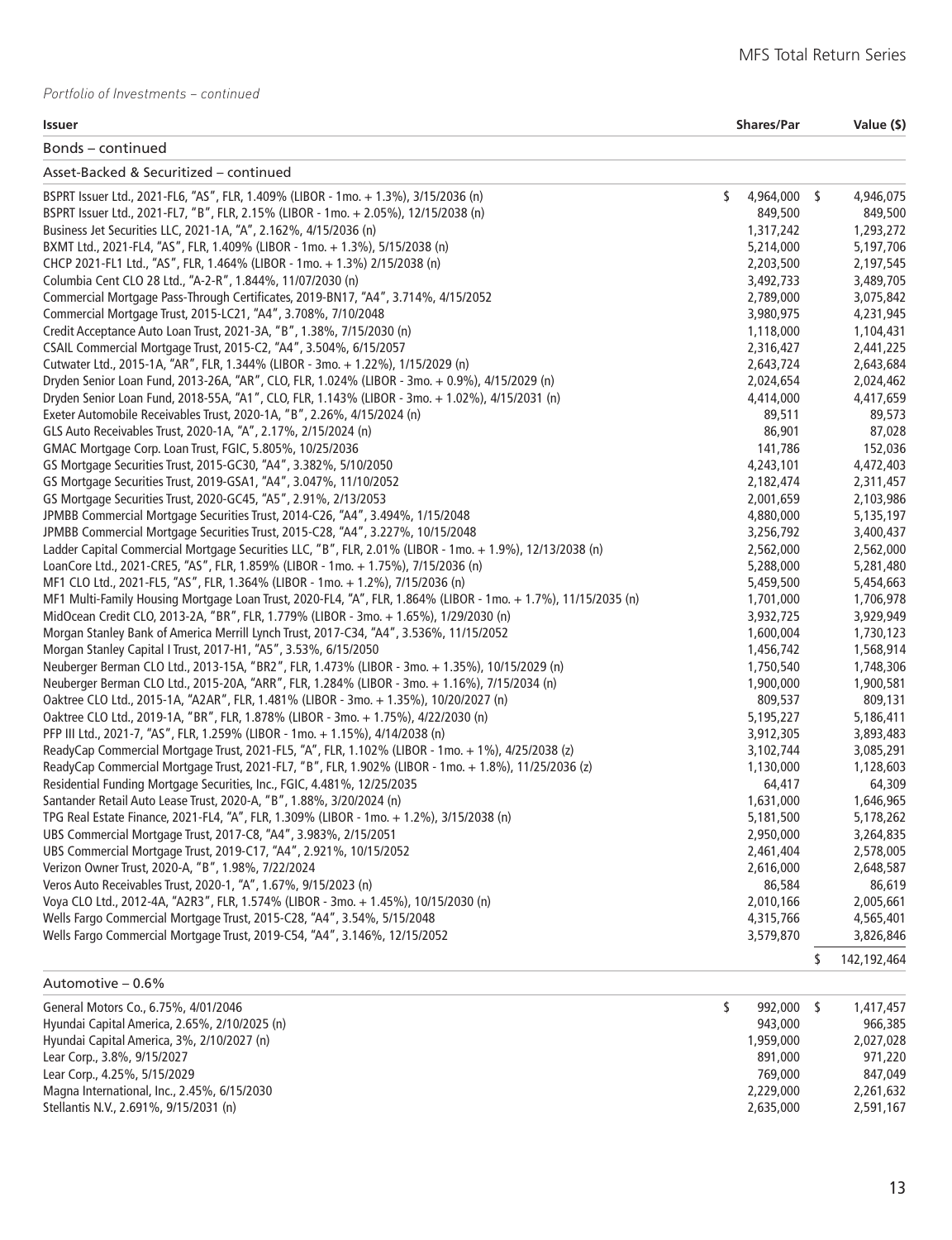| $\sim$<br>$\sim$<br>×<br>.,<br><br>. . |  |
|----------------------------------------|--|

| Bonds - continued                                                                                              |                    |                   |
|----------------------------------------------------------------------------------------------------------------|--------------------|-------------------|
| Asset-Backed & Securitized - continued                                                                         |                    |                   |
| BSPRT Issuer Ltd., 2021-FL6, "AS", FLR, 1.409% (LIBOR - 1mo. + 1.3%), 3/15/2036 (n)                            | \$<br>4,964,000 \$ | 4,946,075         |
| BSPRT Issuer Ltd., 2021-FL7, "B", FLR, 2.15% (LIBOR - 1mo. + 2.05%), 12/15/2038 (n)                            | 849,500            | 849,500           |
| Business Jet Securities LLC, 2021-1A, "A", 2.162%, 4/15/2036 (n)                                               | 1,317,242          | 1,293,272         |
| BXMT Ltd., 2021-FL4, "AS", FLR, 1.409% (LIBOR - 1mo. + 1.3%), 5/15/2038 (n)                                    | 5,214,000          | 5,197,706         |
| CHCP 2021-FL1 Ltd., "AS", FLR, 1.464% (LIBOR - 1mo. + 1.3%) 2/15/2038 (n)                                      | 2,203,500          | 2,197,545         |
| Columbia Cent CLO 28 Ltd., "A-2-R", 1.844%, 11/07/2030 (n)                                                     | 3,492,733          | 3,489,705         |
| Commercial Mortgage Pass-Through Certificates, 2019-BN17, "A4", 3.714%, 4/15/2052                              | 2,789,000          | 3,075,842         |
| Commercial Mortgage Trust, 2015-LC21, "A4", 3.708%, 7/10/2048                                                  | 3,980,975          | 4,231,945         |
| Credit Acceptance Auto Loan Trust, 2021-3A, "B", 1.38%, 7/15/2030 (n)                                          | 1,118,000          | 1,104,431         |
| CSAIL Commercial Mortgage Trust, 2015-C2, "A4", 3.504%, 6/15/2057                                              | 2,316,427          | 2,441,225         |
| Cutwater Ltd., 2015-1A, "AR", FLR, 1.344% (LIBOR - 3mo. + 1.22%), 1/15/2029 (n)                                | 2,643,724          | 2,643,684         |
| Dryden Senior Loan Fund, 2013-26A, "AR", CLO, FLR, 1.024% (LIBOR - 3mo. + 0.9%), 4/15/2029 (n)                 | 2,024,654          | 2,024,462         |
| Dryden Senior Loan Fund, 2018-55A, "A1", CLO, FLR, 1.143% (LIBOR - 3mo. + 1.02%), 4/15/2031 (n)                | 4,414,000          | 4,417,659         |
| Exeter Automobile Receivables Trust, 2020-1A, "B", 2.26%, 4/15/2024 (n)                                        | 89,511             | 89,573            |
| GLS Auto Receivables Trust, 2020-1A, "A", 2.17%, 2/15/2024 (n)                                                 | 86,901             | 87,028            |
| GMAC Mortgage Corp. Loan Trust, FGIC, 5.805%, 10/25/2036                                                       | 141,786            | 152,036           |
| GS Mortgage Securities Trust, 2015-GC30, "A4", 3.382%, 5/10/2050                                               | 4,243,101          | 4,472,403         |
| GS Mortgage Securities Trust, 2019-GSA1, "A4", 3.047%, 11/10/2052                                              | 2,182,474          | 2,311,457         |
| GS Mortgage Securities Trust, 2020-GC45, "A5", 2.91%, 2/13/2053                                                | 2,001,659          | 2,103,986         |
| JPMBB Commercial Mortgage Securities Trust, 2014-C26, "A4", 3.494%, 1/15/2048                                  | 4,880,000          | 5,135,197         |
| JPMBB Commercial Mortgage Securities Trust, 2015-C28, "A4", 3.227%, 10/15/2048                                 | 3,256,792          | 3,400,437         |
| Ladder Capital Commercial Mortgage Securities LLC, "B", FLR, 2.01% (LIBOR - 1mo. + 1.9%), 12/13/2038 (n)       | 2,562,000          | 2,562,000         |
| LoanCore Ltd., 2021-CRE5, "AS", FLR, 1.859% (LIBOR - 1mo. + 1.75%), 7/15/2036 (n)                              | 5,288,000          | 5,281,480         |
| MF1 CLO Ltd., 2021-FL5, "AS", FLR, 1.364% (LIBOR - 1mo. + 1.2%), 7/15/2036 (n)                                 | 5,459,500          | 5,454,663         |
| MF1 Multi-Family Housing Mortgage Loan Trust, 2020-FL4, "A", FLR, 1.864% (LIBOR - 1mo. + 1.7%), 11/15/2035 (n) | 1,701,000          | 1,706,978         |
| MidOcean Credit CLO, 2013-2A, "BR", FLR, 1.779% (LIBOR - 3mo. + 1.65%), 1/29/2030 (n)                          | 3,932,725          | 3,929,949         |
| Morgan Stanley Bank of America Merrill Lynch Trust, 2017-C34, "A4", 3.536%, 11/15/2052                         | 1,600,004          | 1,730,123         |
| Morgan Stanley Capital I Trust, 2017-H1, "A5", 3.53%, 6/15/2050                                                | 1,456,742          | 1,568,914         |
| Neuberger Berman CLO Ltd., 2013-15A, "BR2", FLR, 1.473% (LIBOR - 3mo. + 1.35%), 10/15/2029 (n)                 | 1,750,540          | 1,748,306         |
| Neuberger Berman CLO Ltd., 2015-20A, "ARR", FLR, 1.284% (LIBOR - 3mo. + 1.16%), 7/15/2034 (n)                  | 1,900,000          | 1,900,581         |
| Oaktree CLO Ltd., 2015-1A, "A2AR", FLR, 1.481% (LIBOR - 3mo. + 1.35%), 10/20/2027 (n)                          | 809,537            | 809,131           |
| Oaktree CLO Ltd., 2019-1A, "BR", FLR, 1.878% (LIBOR - 3mo. + 1.75%), 4/22/2030 (n)                             | 5,195,227          | 5,186,411         |
| PFP III Ltd., 2021-7, "AS", FLR, 1.259% (LIBOR - 1mo. + 1.15%), 4/14/2038 (n)                                  | 3,912,305          | 3,893,483         |
| ReadyCap Commercial Mortgage Trust, 2021-FL5, "A", FLR, 1.102% (LIBOR - 1mo. + 1%), 4/25/2038 (z)              | 3,102,744          | 3,085,291         |
| ReadyCap Commercial Mortgage Trust, 2021-FL7, "B", FLR, 1.902% (LIBOR - 1mo. + 1.8%), 11/25/2036 (z)           | 1,130,000          | 1,128,603         |
| Residential Funding Mortgage Securities, Inc., FGIC, 4.481%, 12/25/2035                                        | 64,417             | 64,309            |
| Santander Retail Auto Lease Trust, 2020-A, "B", 1.88%, 3/20/2024 (n)                                           | 1,631,000          | 1,646,965         |
| TPG Real Estate Finance, 2021-FL4, "A", FLR, 1.309% (LIBOR - 1mo. + 1.2%), 3/15/2038 (n)                       | 5,181,500          | 5,178,262         |
| UBS Commercial Mortgage Trust, 2017-C8, "A4", 3.983%, 2/15/2051                                                | 2,950,000          | 3,264,835         |
| UBS Commercial Mortgage Trust, 2019-C17, "A4", 2.921%, 10/15/2052                                              | 2,461,404          | 2,578,005         |
| Verizon Owner Trust, 2020-A, "B", 1.98%, 7/22/2024                                                             | 2,616,000          | 2,648,587         |
| Veros Auto Receivables Trust, 2020-1, "A", 1.67%, 9/15/2023 (n)                                                | 86,584             | 86,619            |
| Voya CLO Ltd., 2012-4A, "A2R3", FLR, 1.574% (LIBOR - 3mo. + 1.45%), 10/15/2030 (n)                             | 2,010,166          | 2,005,661         |
| Wells Fargo Commercial Mortgage Trust, 2015-C28, "A4", 3.54%, 5/15/2048                                        | 4,315,766          | 4,565,401         |
| Wells Fargo Commercial Mortgage Trust, 2019-C54, "A4", 3.146%, 12/15/2052                                      | 3,579,870          | 3,826,846         |
|                                                                                                                |                    | \$<br>142,192,464 |
| Automotive - 0.6%                                                                                              |                    |                   |
| General Motors Co., 6.75%, 4/01/2046                                                                           | \$<br>992,000 \$   | 1,417,457         |

| General Motors Co., 6.75%, 4/01/2046          | <b>992.UUU</b> | 1.417.437 |
|-----------------------------------------------|----------------|-----------|
| Hyundai Capital America, 2.65%, 2/10/2025 (n) | 943,000        | 966,385   |
| Hyundai Capital America, 3%, 2/10/2027 (n)    | 1,959,000      | 2.027.028 |
| Lear Corp., 3.8%, 9/15/2027                   | 891,000        | 971.220   |
| Lear Corp., 4.25%, 5/15/2029                  | 769,000        | 847,049   |
| Magna International, Inc., 2.45%, 6/15/2030   | 2,229,000      | 2,261,632 |
| Stellantis N.V., 2.691%, 9/15/2031 (n)        | 2,635,000      | 2,591,167 |
|                                               |                |           |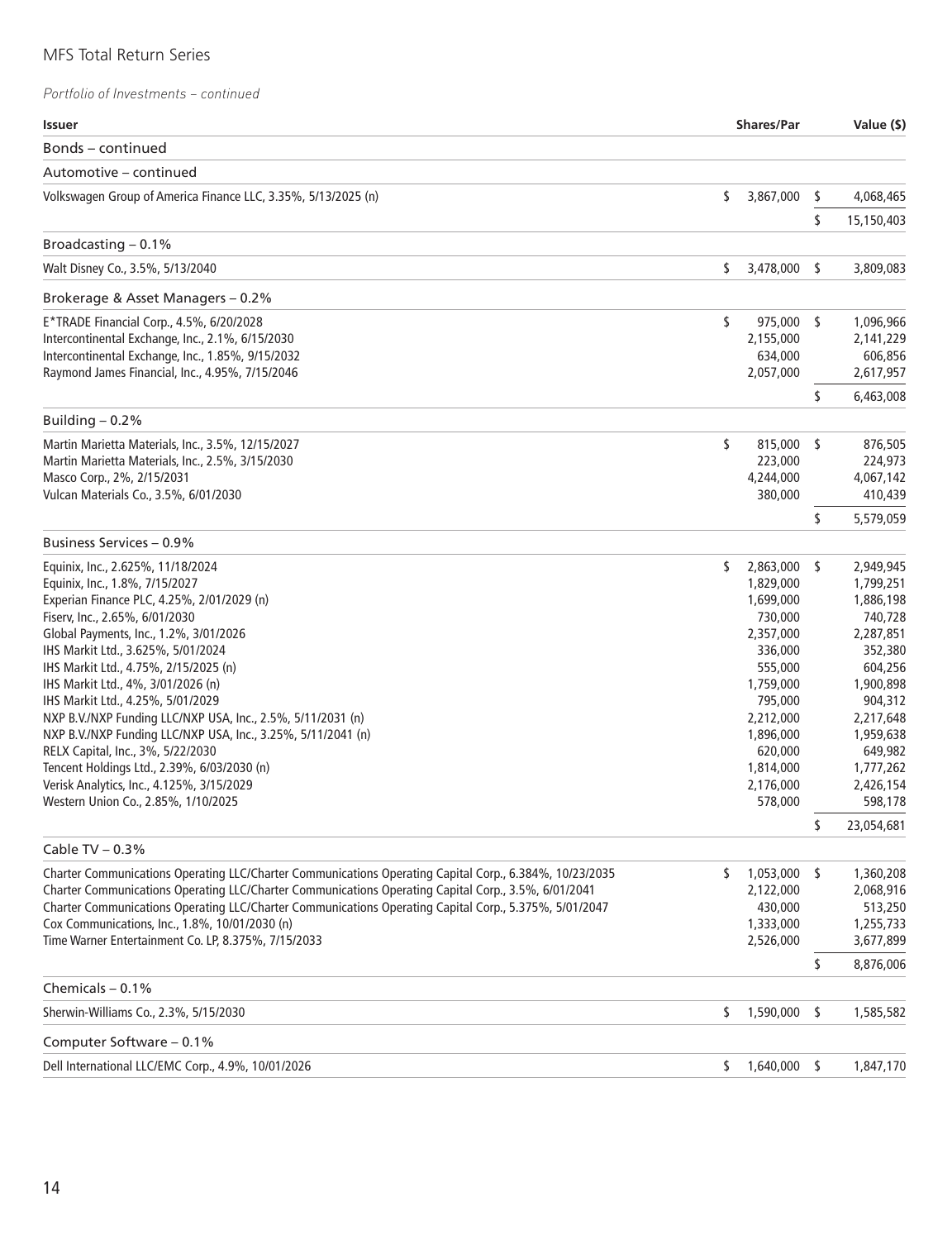| <b>Issuer</b>                                                                                           |    | <b>Shares/Par</b>    |     | Value (\$)           |
|---------------------------------------------------------------------------------------------------------|----|----------------------|-----|----------------------|
| Bonds – continued                                                                                       |    |                      |     |                      |
| Automotive – continued                                                                                  |    |                      |     |                      |
| Volkswagen Group of America Finance LLC, 3.35%, 5/13/2025 (n)                                           | \$ | 3,867,000            | \$  | 4,068,465            |
|                                                                                                         |    |                      | \$  | 15,150,403           |
| Broadcasting $-0.1\%$                                                                                   |    |                      |     |                      |
| Walt Disney Co., 3.5%, 5/13/2040                                                                        | \$ | 3,478,000            | - S | 3,809,083            |
| Brokerage & Asset Managers - 0.2%                                                                       |    |                      |     |                      |
| E*TRADE Financial Corp., 4.5%, 6/20/2028                                                                | \$ | 975,000 \$           |     | 1,096,966            |
| Intercontinental Exchange, Inc., 2.1%, 6/15/2030                                                        |    | 2,155,000            |     | 2,141,229            |
| Intercontinental Exchange, Inc., 1.85%, 9/15/2032                                                       |    | 634,000              |     | 606,856              |
| Raymond James Financial, Inc., 4.95%, 7/15/2046                                                         |    | 2,057,000            |     | 2,617,957            |
|                                                                                                         |    |                      | \$  | 6,463,008            |
| Building $-0.2%$                                                                                        |    |                      |     |                      |
| Martin Marietta Materials, Inc., 3.5%, 12/15/2027                                                       | \$ | 815,000 \$           |     | 876,505              |
| Martin Marietta Materials, Inc., 2.5%, 3/15/2030                                                        |    | 223,000              |     | 224,973              |
| Masco Corp., 2%, 2/15/2031                                                                              |    | 4,244,000            |     | 4,067,142            |
| Vulcan Materials Co., 3.5%, 6/01/2030                                                                   |    | 380,000              |     | 410,439              |
|                                                                                                         |    |                      | \$  | 5,579,059            |
| Business Services - 0.9%                                                                                |    |                      |     |                      |
| Equinix, Inc., 2.625%, 11/18/2024                                                                       | \$ | 2,863,000            | \$  | 2,949,945            |
| Equinix, Inc., 1.8%, 7/15/2027                                                                          |    | 1,829,000            |     | 1,799,251            |
| Experian Finance PLC, 4.25%, 2/01/2029 (n)                                                              |    | 1,699,000            |     | 1,886,198            |
| Fiserv, Inc., 2.65%, 6/01/2030                                                                          |    | 730,000              |     | 740,728              |
| Global Payments, Inc., 1.2%, 3/01/2026                                                                  |    | 2,357,000            |     | 2,287,851            |
| IHS Markit Ltd., 3.625%, 5/01/2024                                                                      |    | 336,000              |     | 352,380              |
| IHS Markit Ltd., 4.75%, 2/15/2025 (n)<br>IHS Markit Ltd., 4%, 3/01/2026 (n)                             |    | 555,000<br>1,759,000 |     | 604,256<br>1,900,898 |
| IHS Markit Ltd., 4.25%, 5/01/2029                                                                       |    | 795,000              |     | 904,312              |
| NXP B.V./NXP Funding LLC/NXP USA, Inc., 2.5%, 5/11/2031 (n)                                             |    | 2,212,000            |     | 2,217,648            |
| NXP B.V./NXP Funding LLC/NXP USA, Inc., 3.25%, 5/11/2041 (n)                                            |    | 1,896,000            |     | 1,959,638            |
| RELX Capital, Inc., 3%, 5/22/2030                                                                       |    | 620,000              |     | 649,982              |
| Tencent Holdings Ltd., 2.39%, 6/03/2030 (n)                                                             |    | 1,814,000            |     | 1,777,262            |
| Verisk Analytics, Inc., 4.125%, 3/15/2029                                                               |    | 2,176,000            |     | 2,426,154            |
| Western Union Co., 2.85%, 1/10/2025                                                                     |    | 578,000              |     | 598,178              |
|                                                                                                         |    |                      | \$  | 23,054,681           |
| Cable TV $-0.3%$                                                                                        |    |                      |     |                      |
| Charter Communications Operating LLC/Charter Communications Operating Capital Corp., 6.384%, 10/23/2035 | S. | 1,053,000            | -S  | 1,360,208            |
| Charter Communications Operating LLC/Charter Communications Operating Capital Corp., 3.5%, 6/01/2041    |    | 2,122,000            |     | 2,068,916            |
| Charter Communications Operating LLC/Charter Communications Operating Capital Corp., 5.375%, 5/01/2047  |    | 430,000              |     | 513,250              |
| Cox Communications, Inc., 1.8%, 10/01/2030 (n)                                                          |    | 1,333,000            |     | 1,255,733            |
| Time Warner Entertainment Co. LP, 8.375%, 7/15/2033                                                     |    | 2,526,000            |     | 3,677,899            |
| Chemicals $-0.1%$                                                                                       |    |                      | \$  | 8,876,006            |
| Sherwin-Williams Co., 2.3%, 5/15/2030                                                                   | \$ | 1,590,000            | s   | 1,585,582            |
|                                                                                                         |    |                      |     |                      |
| Computer Software - 0.1%                                                                                |    |                      |     |                      |
| Dell International LLC/EMC Corp., 4.9%, 10/01/2026                                                      | S. | 1,640,000 \$         |     | 1,847,170            |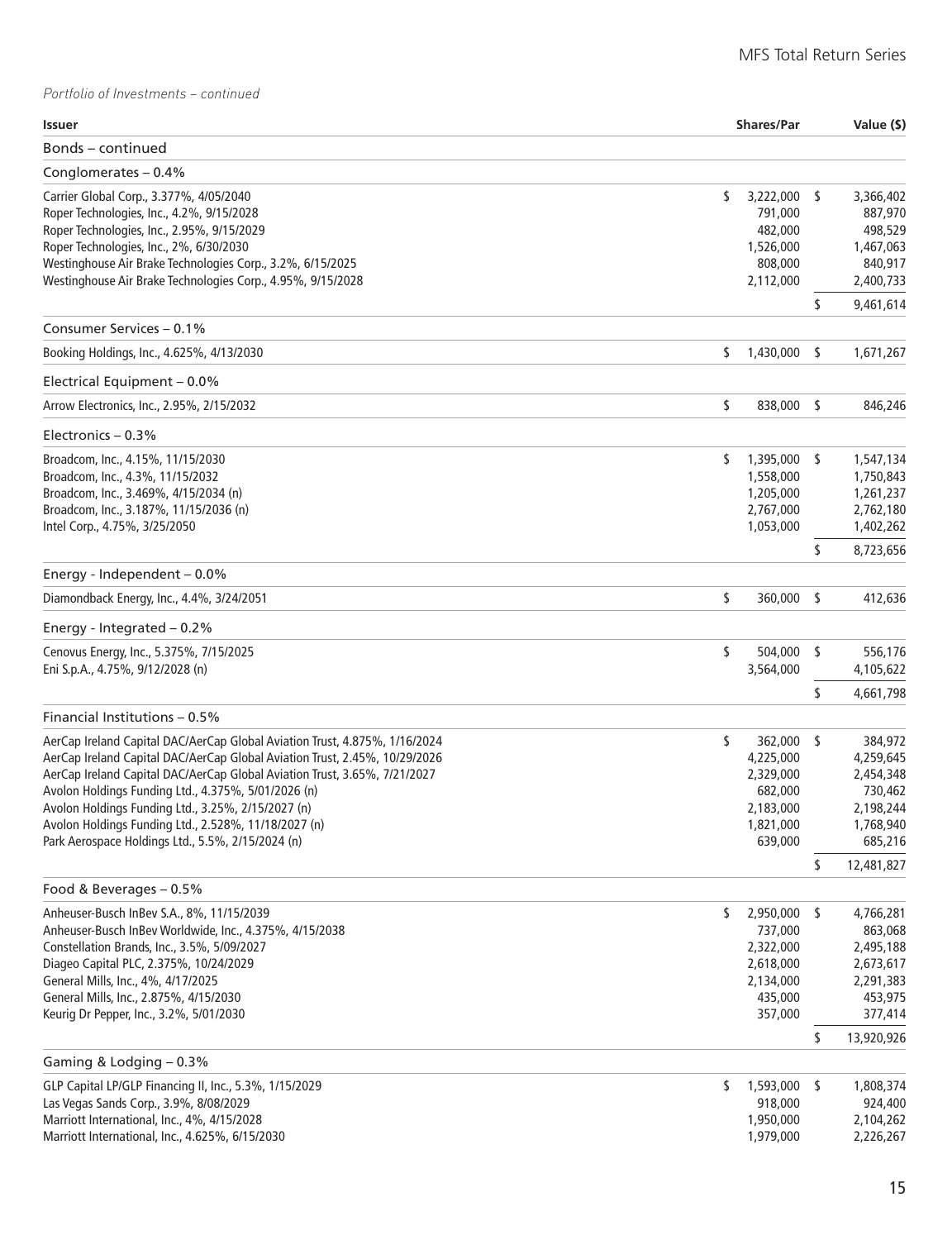| <b>Issuer</b>                                                                                                                                                                 |    | <b>Shares/Par</b>                                 |      | Value (\$)                                   |
|-------------------------------------------------------------------------------------------------------------------------------------------------------------------------------|----|---------------------------------------------------|------|----------------------------------------------|
| Bonds – continued                                                                                                                                                             |    |                                                   |      |                                              |
| Conglomerates $-0.4%$                                                                                                                                                         |    |                                                   |      |                                              |
| Carrier Global Corp., 3.377%, 4/05/2040<br>Roper Technologies, Inc., 4.2%, 9/15/2028<br>Roper Technologies, Inc., 2.95%, 9/15/2029<br>Roper Technologies, Inc., 2%, 6/30/2030 | \$ | $3,222,000$ \$<br>791,000<br>482,000<br>1,526,000 |      | 3,366,402<br>887,970<br>498,529<br>1,467,063 |
| Westinghouse Air Brake Technologies Corp., 3.2%, 6/15/2025<br>Westinghouse Air Brake Technologies Corp., 4.95%, 9/15/2028                                                     |    | 808,000<br>2,112,000                              | \$   | 840,917<br>2,400,733<br>9,461,614            |
| Consumer Services – 0.1%                                                                                                                                                      |    |                                                   |      |                                              |
| Booking Holdings, Inc., 4.625%, 4/13/2030                                                                                                                                     | \$ | 1,430,000                                         | \$   | 1,671,267                                    |
| Electrical Equipment - 0.0%                                                                                                                                                   |    |                                                   |      |                                              |
| Arrow Electronics, Inc., 2.95%, 2/15/2032                                                                                                                                     | \$ | 838,000                                           | - \$ | 846,246                                      |
| Electronics $-0.3%$                                                                                                                                                           |    |                                                   |      |                                              |
| Broadcom, Inc., 4.15%, 11/15/2030                                                                                                                                             | S. | 1,395,000 \$                                      |      | 1,547,134                                    |
| Broadcom, Inc., 4.3%, 11/15/2032                                                                                                                                              |    | 1,558,000                                         |      | 1,750,843                                    |
| Broadcom, Inc., 3.469%, 4/15/2034 (n)                                                                                                                                         |    | 1,205,000                                         |      | 1,261,237                                    |
| Broadcom, Inc., 3.187%, 11/15/2036 (n)                                                                                                                                        |    | 2,767,000<br>1,053,000                            |      | 2,762,180                                    |
| Intel Corp., 4.75%, 3/25/2050                                                                                                                                                 |    |                                                   | \$   | 1,402,262<br>8,723,656                       |
| Energy - Independent $-0.0\%$                                                                                                                                                 |    |                                                   |      |                                              |
| Diamondback Energy, Inc., 4.4%, 3/24/2051                                                                                                                                     | \$ | 360,000                                           | \$   | 412,636                                      |
| Energy - Integrated $-0.2%$                                                                                                                                                   |    |                                                   |      |                                              |
| Cenovus Energy, Inc., 5.375%, 7/15/2025                                                                                                                                       | \$ | 504,000                                           | \$   | 556,176                                      |
| Eni S.p.A., 4.75%, 9/12/2028 (n)                                                                                                                                              |    | 3,564,000                                         |      | 4,105,622                                    |
|                                                                                                                                                                               |    |                                                   | \$   | 4,661,798                                    |
| Financial Institutions - 0.5%                                                                                                                                                 |    |                                                   |      |                                              |
| AerCap Ireland Capital DAC/AerCap Global Aviation Trust, 4.875%, 1/16/2024                                                                                                    | \$ | 362,000 \$                                        |      | 384,972                                      |
| AerCap Ireland Capital DAC/AerCap Global Aviation Trust, 2.45%, 10/29/2026                                                                                                    |    | 4,225,000                                         |      | 4,259,645                                    |
| AerCap Ireland Capital DAC/AerCap Global Aviation Trust, 3.65%, 7/21/2027<br>Avolon Holdings Funding Ltd., 4.375%, 5/01/2026 (n)                                              |    | 2,329,000<br>682,000                              |      | 2,454,348<br>730,462                         |
| Avolon Holdings Funding Ltd., 3.25%, 2/15/2027 (n)                                                                                                                            |    | 2,183,000                                         |      | 2,198,244                                    |
| Avolon Holdings Funding Ltd., 2.528%, 11/18/2027 (n)                                                                                                                          |    | 1,821,000                                         |      | 1,768,940                                    |
| Park Aerospace Holdings Ltd., 5.5%, 2/15/2024 (n)                                                                                                                             |    | 639,000                                           |      | 685,216                                      |
|                                                                                                                                                                               |    |                                                   | \$   | 12,481,827                                   |
| Food & Beverages - 0.5%                                                                                                                                                       |    |                                                   |      |                                              |
| Anheuser-Busch InBev S.A., 8%, 11/15/2039                                                                                                                                     | \$ | 2,950,000 \$                                      |      | 4,766,281                                    |
| Anheuser-Busch InBev Worldwide, Inc., 4.375%, 4/15/2038                                                                                                                       |    | 737,000                                           |      | 863,068                                      |
| Constellation Brands, Inc., 3.5%, 5/09/2027                                                                                                                                   |    | 2,322,000                                         |      | 2,495,188                                    |
| Diageo Capital PLC, 2.375%, 10/24/2029<br>General Mills, Inc., 4%, 4/17/2025                                                                                                  |    | 2,618,000<br>2,134,000                            |      | 2,673,617<br>2,291,383                       |
| General Mills, Inc., 2.875%, 4/15/2030                                                                                                                                        |    | 435,000                                           |      | 453,975                                      |
| Keurig Dr Pepper, Inc., 3.2%, 5/01/2030                                                                                                                                       |    | 357,000                                           |      | 377,414                                      |
|                                                                                                                                                                               |    |                                                   | \$   | 13,920,926                                   |
| Gaming & Lodging $-0.3\%$                                                                                                                                                     |    |                                                   |      |                                              |
| GLP Capital LP/GLP Financing II, Inc., 5.3%, 1/15/2029                                                                                                                        | S. | 1,593,000 \$                                      |      | 1,808,374                                    |
| Las Vegas Sands Corp., 3.9%, 8/08/2029<br>Marriott International, Inc., 4%, 4/15/2028                                                                                         |    | 918,000<br>1,950,000                              |      | 924,400<br>2,104,262                         |
| Marriott International, Inc., 4.625%, 6/15/2030                                                                                                                               |    | 1,979,000                                         |      | 2,226,267                                    |
|                                                                                                                                                                               |    |                                                   |      |                                              |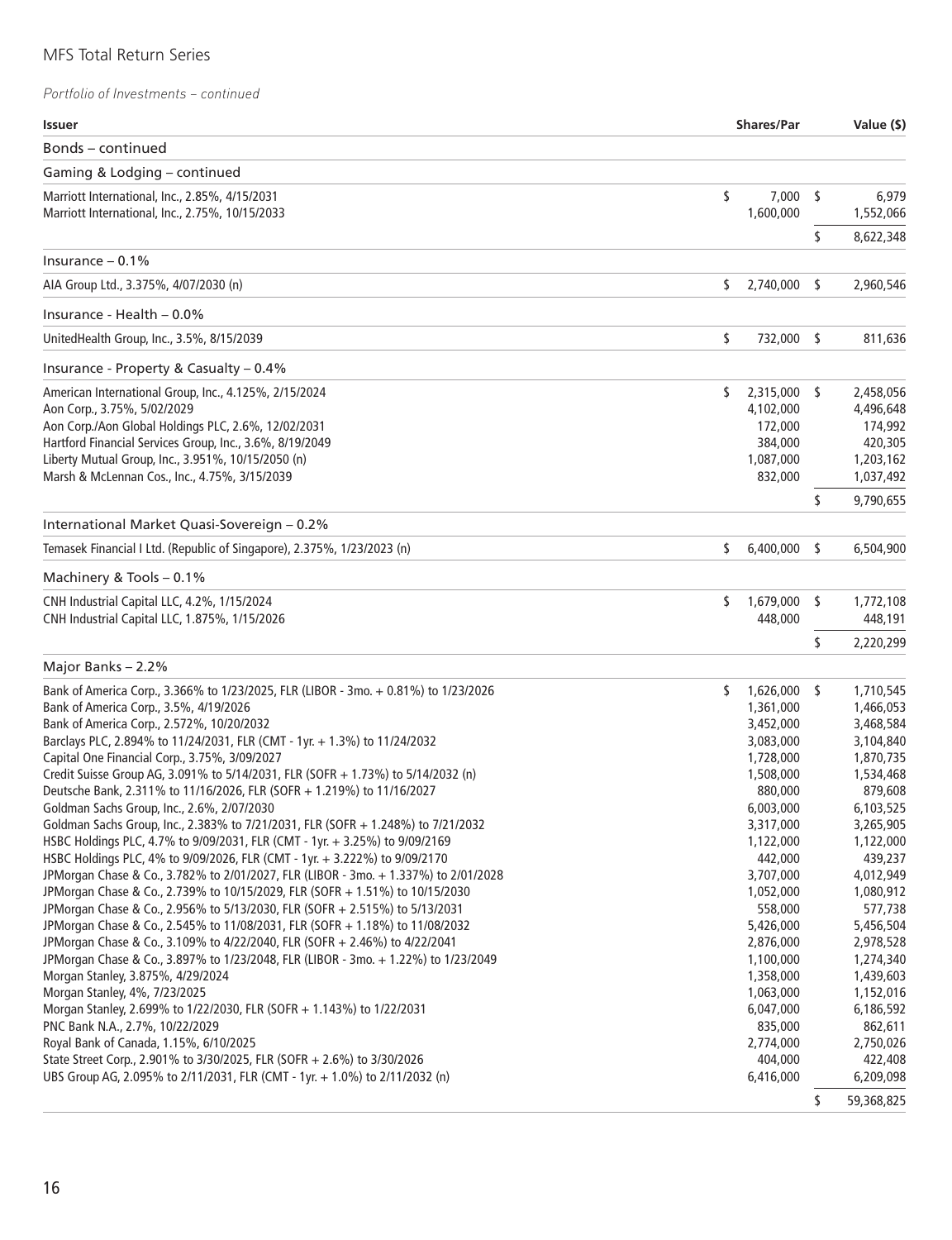| <b>Issuer</b>                                                                                                          |    | <b>Shares/Par</b>    |      | Value (\$)           |
|------------------------------------------------------------------------------------------------------------------------|----|----------------------|------|----------------------|
| Bonds - continued                                                                                                      |    |                      |      |                      |
| Gaming & Lodging - continued                                                                                           |    |                      |      |                      |
| Marriott International, Inc., 2.85%, 4/15/2031<br>Marriott International, Inc., 2.75%, 10/15/2033                      | \$ | 7,000<br>1,600,000   | -\$  | 6,979<br>1,552,066   |
|                                                                                                                        |    |                      | \$   | 8,622,348            |
| Insurance $-0.1%$                                                                                                      |    |                      |      |                      |
| AIA Group Ltd., 3.375%, 4/07/2030 (n)                                                                                  | \$ | 2,740,000            | - \$ | 2,960,546            |
| lnsurance - Health - 0.0%                                                                                              |    |                      |      |                      |
| UnitedHealth Group, Inc., 3.5%, 8/15/2039                                                                              | \$ | 732,000 \$           |      | 811,636              |
| Insurance - Property & Casualty – 0.4%                                                                                 |    |                      |      |                      |
| American International Group, Inc., 4.125%, 2/15/2024                                                                  | \$ | 2,315,000 \$         |      | 2,458,056            |
| Aon Corp., 3.75%, 5/02/2029                                                                                            |    | 4,102,000            |      | 4,496,648            |
| Aon Corp./Aon Global Holdings PLC, 2.6%, 12/02/2031                                                                    |    | 172,000              |      | 174,992              |
| Hartford Financial Services Group, Inc., 3.6%, 8/19/2049                                                               |    | 384,000              |      | 420,305              |
| Liberty Mutual Group, Inc., 3.951%, 10/15/2050 (n)                                                                     |    | 1,087,000            |      | 1,203,162            |
| Marsh & McLennan Cos., Inc., 4.75%, 3/15/2039                                                                          |    | 832,000              |      | 1,037,492            |
|                                                                                                                        |    |                      | \$   | 9,790,655            |
| International Market Quasi-Sovereign - 0.2%<br>Temasek Financial I Ltd. (Republic of Singapore), 2.375%, 1/23/2023 (n) | \$ | 6,400,000            | \$   |                      |
|                                                                                                                        |    |                      |      | 6,504,900            |
| Machinery & Tools - 0.1%                                                                                               |    |                      |      |                      |
| CNH Industrial Capital LLC, 4.2%, 1/15/2024<br>CNH Industrial Capital LLC, 1.875%, 1/15/2026                           | \$ | 1,679,000<br>448,000 | \$   | 1,772,108<br>448,191 |
|                                                                                                                        |    |                      | \$   | 2,220,299            |
| Major Banks - 2.2%                                                                                                     |    |                      |      |                      |
| Bank of America Corp., 3.366% to 1/23/2025, FLR (LIBOR - 3mo. + 0.81%) to 1/23/2026                                    | s. | 1,626,000 \$         |      | 1,710,545            |
| Bank of America Corp., 3.5%, 4/19/2026                                                                                 |    | 1,361,000            |      | 1,466,053            |
| Bank of America Corp., 2.572%, 10/20/2032                                                                              |    | 3,452,000            |      | 3,468,584            |
| Barclays PLC, 2.894% to 11/24/2031, FLR (CMT - 1yr. + 1.3%) to 11/24/2032                                              |    | 3,083,000            |      | 3,104,840            |
| Capital One Financial Corp., 3.75%, 3/09/2027                                                                          |    | 1,728,000            |      | 1,870,735            |
| Credit Suisse Group AG, 3.091% to 5/14/2031, FLR (SOFR + 1.73%) to 5/14/2032 (n)                                       |    | 1,508,000            |      | 1,534,468            |
| Deutsche Bank, 2.311% to 11/16/2026, FLR (SOFR + 1.219%) to 11/16/2027                                                 |    | 880,000              |      | 879,608              |
| Goldman Sachs Group, Inc., 2.6%, 2/07/2030                                                                             |    | 6,003,000            |      | 6,103,525            |
| Goldman Sachs Group, Inc., 2.383% to 7/21/2031, FLR (SOFR + 1.248%) to 7/21/2032                                       |    | 3,317,000            |      | 3,265,905            |
| HSBC Holdings PLC, 4.7% to 9/09/2031, FLR (CMT - 1yr. + 3.25%) to 9/09/2169                                            |    | 1,122,000            |      | 1,122,000            |
| HSBC Holdings PLC, 4% to 9/09/2026, FLR (CMT - 1yr. + 3.222%) to 9/09/2170                                             |    | 442,000              |      | 439,237              |
| JPMorgan Chase & Co., 3.782% to 2/01/2027, FLR (LIBOR - 3mo. + 1.337%) to 2/01/2028                                    |    | 3,707,000            |      | 4,012,949            |
| JPMorgan Chase & Co., 2.739% to 10/15/2029, FLR (SOFR + 1.51%) to 10/15/2030                                           |    | 1,052,000            |      | 1,080,912            |
| JPMorgan Chase & Co., 2.956% to 5/13/2030, FLR (SOFR + 2.515%) to 5/13/2031                                            |    | 558,000              |      | 577,738              |
| JPMorgan Chase & Co., 2.545% to 11/08/2031, FLR (SOFR + 1.18%) to 11/08/2032                                           |    | 5,426,000            |      | 5,456,504            |
| JPMorgan Chase & Co., 3.109% to 4/22/2040, FLR (SOFR + 2.46%) to 4/22/2041                                             |    | 2,876,000            |      | 2,978,528            |
| JPMorgan Chase & Co., 3.897% to 1/23/2048, FLR (LIBOR - 3mo. + 1.22%) to 1/23/2049                                     |    | 1,100,000            |      | 1,274,340            |
| Morgan Stanley, 3.875%, 4/29/2024                                                                                      |    | 1,358,000            |      | 1,439,603            |
| Morgan Stanley, 4%, 7/23/2025                                                                                          |    | 1,063,000            |      | 1,152,016            |
| Morgan Stanley, 2.699% to 1/22/2030, FLR (SOFR + 1.143%) to 1/22/2031                                                  |    | 6,047,000            |      | 6,186,592            |
| PNC Bank N.A., 2.7%, 10/22/2029                                                                                        |    | 835,000              |      | 862,611              |
| Royal Bank of Canada, 1.15%, 6/10/2025                                                                                 |    | 2,774,000            |      | 2,750,026            |
| State Street Corp., 2.901% to 3/30/2025, FLR (SOFR + 2.6%) to 3/30/2026                                                |    | 404,000              |      | 422,408              |
| UBS Group AG, 2.095% to 2/11/2031, FLR (CMT - 1yr. + 1.0%) to 2/11/2032 (n)                                            |    | 6,416,000            |      | 6,209,098            |
|                                                                                                                        |    |                      | \$   | 59,368,825           |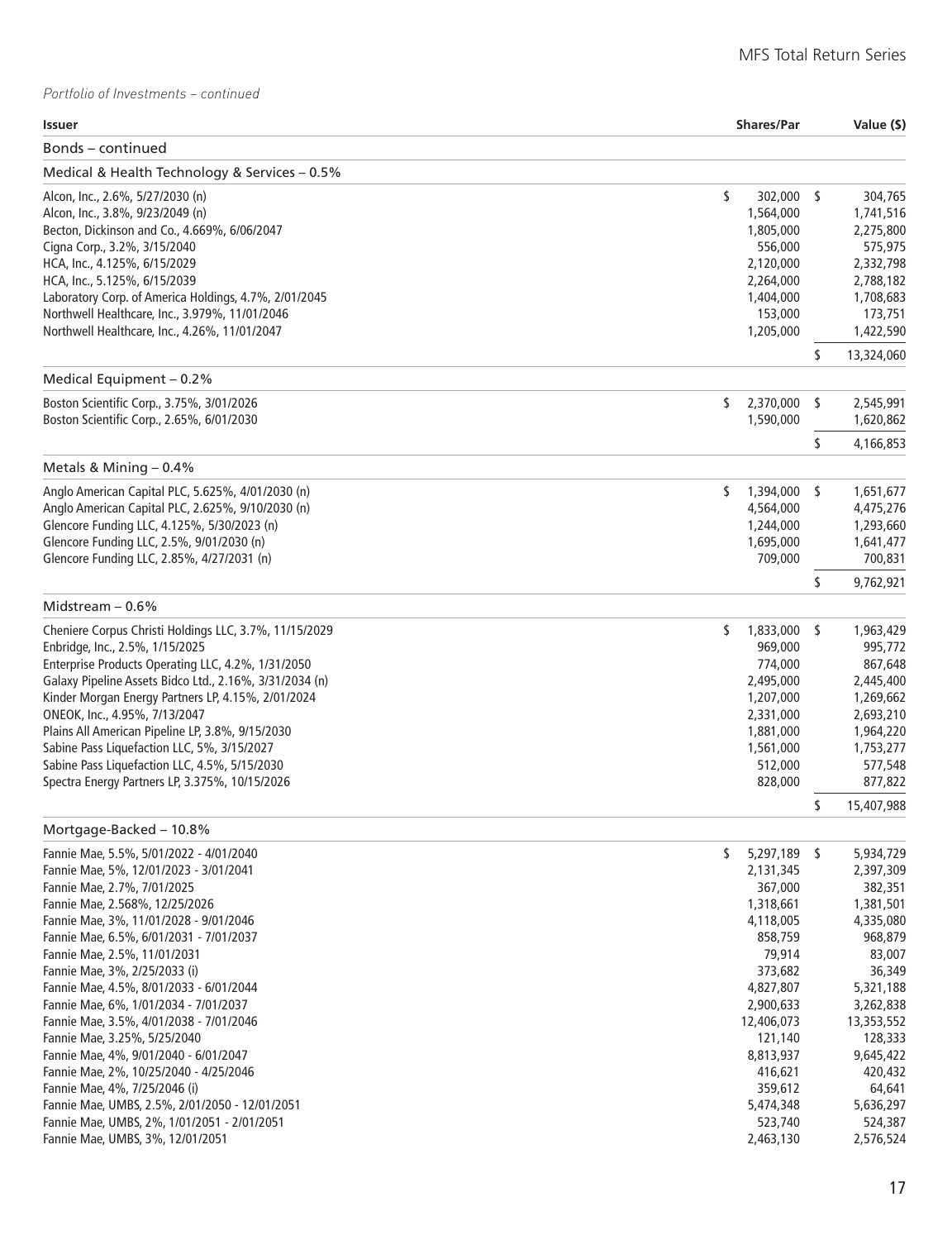| Issuer                                                  | <b>Shares/Par</b>  |     | Value (\$) |
|---------------------------------------------------------|--------------------|-----|------------|
| Bonds – continued                                       |                    |     |            |
| Medical & Health Technology & Services - 0.5%           |                    |     |            |
| Alcon, Inc., 2.6%, 5/27/2030 (n)                        | \$<br>302,000 \$   |     | 304,765    |
| Alcon, Inc., 3.8%, 9/23/2049 (n)                        | 1,564,000          |     | 1,741,516  |
| Becton, Dickinson and Co., 4.669%, 6/06/2047            | 1,805,000          |     | 2,275,800  |
| Cigna Corp., 3.2%, 3/15/2040                            | 556,000            |     | 575,975    |
| HCA, Inc., 4.125%, 6/15/2029                            | 2,120,000          |     | 2,332,798  |
| HCA, Inc., 5.125%, 6/15/2039                            | 2,264,000          |     | 2,788,182  |
| Laboratory Corp. of America Holdings, 4.7%, 2/01/2045   | 1,404,000          |     | 1,708,683  |
| Northwell Healthcare, Inc., 3.979%, 11/01/2046          | 153,000            |     | 173,751    |
| Northwell Healthcare, Inc., 4.26%, 11/01/2047           | 1,205,000          |     | 1,422,590  |
| Medical Equipment - 0.2%                                |                    | \$  | 13,324,060 |
| Boston Scientific Corp., 3.75%, 3/01/2026               | \$<br>2,370,000    | -\$ | 2,545,991  |
| Boston Scientific Corp., 2.65%, 6/01/2030               | 1,590,000          |     | 1,620,862  |
|                                                         |                    | \$  | 4,166,853  |
| Metals & Mining $-0.4\%$                                |                    |     |            |
| Anglo American Capital PLC, 5.625%, 4/01/2030 (n)       | \$<br>1,394,000 \$ |     | 1,651,677  |
| Anglo American Capital PLC, 2.625%, 9/10/2030 (n)       | 4,564,000          |     | 4,475,276  |
| Glencore Funding LLC, 4.125%, 5/30/2023 (n)             | 1,244,000          |     | 1,293,660  |
| Glencore Funding LLC, 2.5%, 9/01/2030 (n)               | 1,695,000          |     | 1,641,477  |
| Glencore Funding LLC, 2.85%, 4/27/2031 (n)              | 709,000            |     | 700,831    |
|                                                         |                    | \$  | 9,762,921  |
| Midstream $-0.6%$                                       |                    |     |            |
| Cheniere Corpus Christi Holdings LLC, 3.7%, 11/15/2029  | \$<br>1,833,000 \$ |     | 1,963,429  |
| Enbridge, Inc., 2.5%, 1/15/2025                         | 969,000            |     | 995,772    |
| Enterprise Products Operating LLC, 4.2%, 1/31/2050      | 774,000            |     | 867,648    |
| Galaxy Pipeline Assets Bidco Ltd., 2.16%, 3/31/2034 (n) | 2,495,000          |     | 2,445,400  |
| Kinder Morgan Energy Partners LP, 4.15%, 2/01/2024      | 1,207,000          |     | 1,269,662  |
| ONEOK, Inc., 4.95%, 7/13/2047                           | 2,331,000          |     | 2,693,210  |
| Plains All American Pipeline LP, 3.8%, 9/15/2030        | 1,881,000          |     | 1,964,220  |
| Sabine Pass Liquefaction LLC, 5%, 3/15/2027             | 1,561,000          |     | 1,753,277  |
| Sabine Pass Liquefaction LLC, 4.5%, 5/15/2030           | 512,000            |     | 577,548    |
| Spectra Energy Partners LP, 3.375%, 10/15/2026          | 828,000            |     | 877,822    |
| Mortgage-Backed - 10.8%                                 |                    | \$  | 15,407,988 |
| Fannie Mae, 5.5%, 5/01/2022 - 4/01/2040                 | \$<br>5,297,189 \$ |     | 5,934,729  |
| Fannie Mae, 5%, 12/01/2023 - 3/01/2041                  | 2,131,345          |     | 2,397,309  |
| Fannie Mae, 2.7%, 7/01/2025                             | 367,000            |     | 382,351    |
| Fannie Mae, 2.568%, 12/25/2026                          | 1,318,661          |     | 1,381,501  |
| Fannie Mae, 3%, 11/01/2028 - 9/01/2046                  | 4,118,005          |     | 4,335,080  |
| Fannie Mae, 6.5%, 6/01/2031 - 7/01/2037                 | 858,759            |     | 968,879    |
| Fannie Mae, 2.5%, 11/01/2031                            | 79,914             |     | 83,007     |
| Fannie Mae, 3%, 2/25/2033 (i)                           | 373,682            |     | 36,349     |
| Fannie Mae, 4.5%, 8/01/2033 - 6/01/2044                 | 4,827,807          |     | 5,321,188  |
| Fannie Mae, 6%, 1/01/2034 - 7/01/2037                   | 2,900,633          |     | 3,262,838  |
| Fannie Mae, 3.5%, 4/01/2038 - 7/01/2046                 | 12,406,073         |     | 13,353,552 |
| Fannie Mae, 3.25%, 5/25/2040                            | 121,140            |     | 128,333    |
| Fannie Mae, 4%, 9/01/2040 - 6/01/2047                   | 8,813,937          |     | 9,645,422  |
| Fannie Mae, 2%, 10/25/2040 - 4/25/2046                  | 416,621            |     | 420,432    |
| Fannie Mae, 4%, 7/25/2046 (i)                           | 359,612            |     | 64,641     |
| Fannie Mae, UMBS, 2.5%, 2/01/2050 - 12/01/2051          | 5,474,348          |     | 5,636,297  |
| Fannie Mae, UMBS, 2%, 1/01/2051 - 2/01/2051             | 523,740            |     | 524,387    |
| Fannie Mae, UMBS, 3%, 12/01/2051                        | 2,463,130          |     | 2,576,524  |
|                                                         |                    |     |            |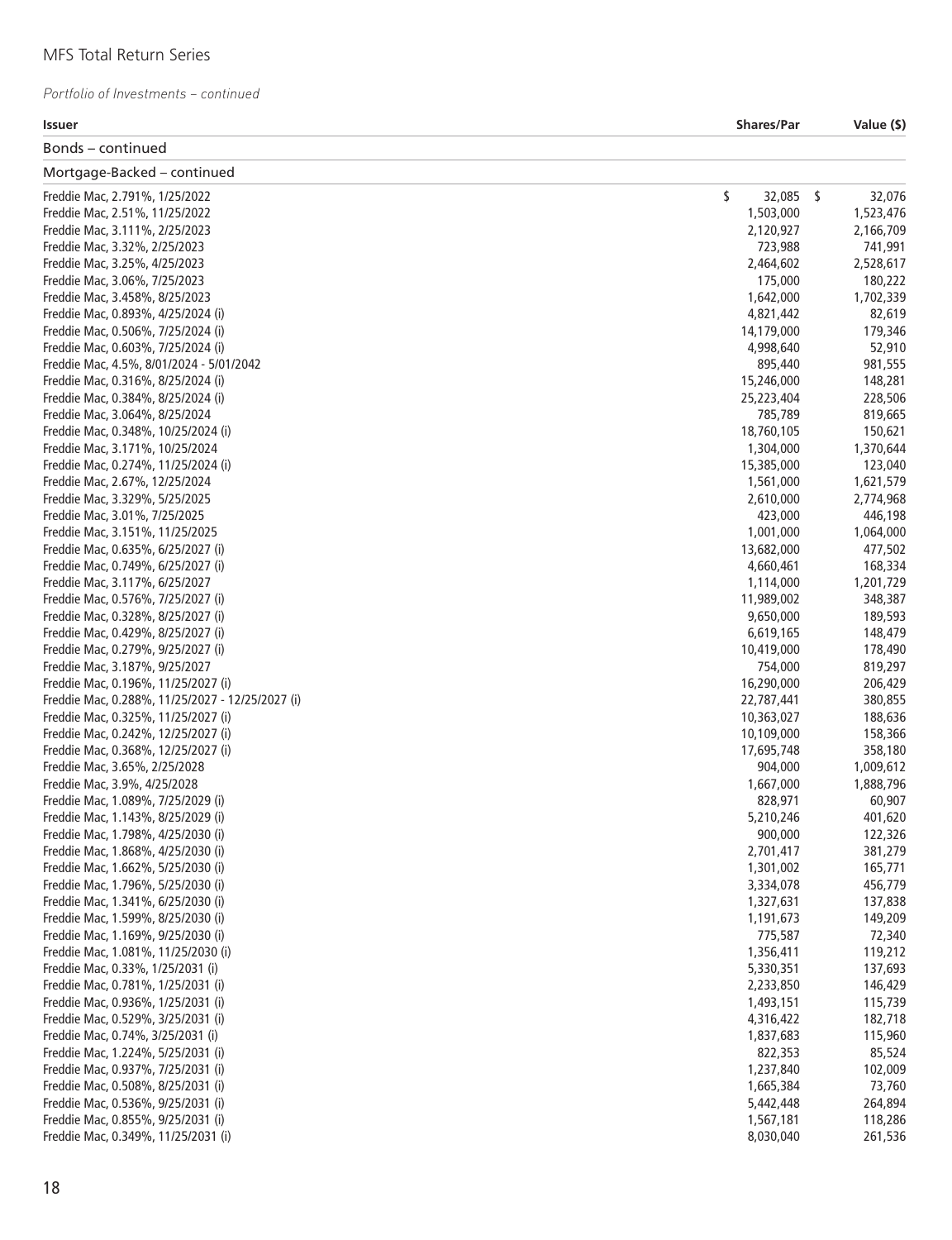| <b>Issuer</b>                                    | <b>Shares/Par</b> | Value (\$) |
|--------------------------------------------------|-------------------|------------|
| Bonds – continued                                |                   |            |
| Mortgage-Backed - continued                      |                   |            |
| Freddie Mac, 2.791%, 1/25/2022                   | \$<br>32,085 \$   | 32,076     |
| Freddie Mac, 2.51%, 11/25/2022                   | 1,503,000         | 1,523,476  |
| Freddie Mac, 3.111%, 2/25/2023                   | 2,120,927         | 2,166,709  |
| Freddie Mac, 3.32%, 2/25/2023                    | 723,988           | 741,991    |
| Freddie Mac, 3.25%, 4/25/2023                    | 2,464,602         | 2,528,617  |
| Freddie Mac, 3.06%, 7/25/2023                    | 175,000           | 180,222    |
| Freddie Mac, 3.458%, 8/25/2023                   | 1,642,000         | 1,702,339  |
| Freddie Mac, 0.893%, 4/25/2024 (i)               | 4,821,442         | 82,619     |
| Freddie Mac, 0.506%, 7/25/2024 (i)               | 14,179,000        | 179,346    |
| Freddie Mac, 0.603%, 7/25/2024 (i)               | 4,998,640         | 52,910     |
| Freddie Mac, 4.5%, 8/01/2024 - 5/01/2042         | 895,440           | 981,555    |
| Freddie Mac, 0.316%, 8/25/2024 (i)               | 15,246,000        | 148,281    |
| Freddie Mac, 0.384%, 8/25/2024 (i)               | 25,223,404        | 228,506    |
| Freddie Mac, 3.064%, 8/25/2024                   | 785,789           | 819,665    |
| Freddie Mac, 0.348%, 10/25/2024 (i)              | 18,760,105        | 150,621    |
| Freddie Mac, 3.171%, 10/25/2024                  | 1,304,000         | 1,370,644  |
| Freddie Mac, 0.274%, 11/25/2024 (i)              | 15,385,000        | 123,040    |
| Freddie Mac, 2.67%, 12/25/2024                   | 1,561,000         |            |
|                                                  |                   | 1,621,579  |
| Freddie Mac, 3.329%, 5/25/2025                   | 2,610,000         | 2,774,968  |
| Freddie Mac, 3.01%, 7/25/2025                    | 423,000           | 446,198    |
| Freddie Mac, 3.151%, 11/25/2025                  | 1,001,000         | 1,064,000  |
| Freddie Mac, 0.635%, 6/25/2027 (i)               | 13,682,000        | 477,502    |
| Freddie Mac, 0.749%, 6/25/2027 (i)               | 4,660,461         | 168,334    |
| Freddie Mac, 3.117%, 6/25/2027                   | 1,114,000         | 1,201,729  |
| Freddie Mac, 0.576%, 7/25/2027 (i)               | 11,989,002        | 348,387    |
| Freddie Mac, 0.328%, 8/25/2027 (i)               | 9,650,000         | 189,593    |
| Freddie Mac, 0.429%, 8/25/2027 (i)               | 6,619,165         | 148,479    |
| Freddie Mac, 0.279%, 9/25/2027 (i)               | 10,419,000        | 178,490    |
| Freddie Mac, 3.187%, 9/25/2027                   | 754,000           | 819,297    |
| Freddie Mac, 0.196%, 11/25/2027 (i)              | 16,290,000        | 206,429    |
| Freddie Mac, 0.288%, 11/25/2027 - 12/25/2027 (i) | 22,787,441        | 380,855    |
| Freddie Mac, 0.325%, 11/25/2027 (i)              | 10,363,027        | 188,636    |
| Freddie Mac, 0.242%, 12/25/2027 (i)              | 10,109,000        | 158,366    |
| Freddie Mac, 0.368%, 12/25/2027 (i)              | 17,695,748        | 358,180    |
| Freddie Mac, 3.65%, 2/25/2028                    | 904,000           | 1,009,612  |
| Freddie Mac, 3.9%, 4/25/2028                     | 1,667,000         | 1,888,796  |
| Freddie Mac, 1.089%, 7/25/2029 (i)               | 828,971           | 60,907     |
| Freddie Mac, 1.143%, 8/25/2029 (i)               | 5,210,246         | 401,620    |
| Freddie Mac, 1.798%, 4/25/2030 (i)               | 900,000           | 122,326    |
| Freddie Mac, 1.868%, 4/25/2030 (i)               | 2,701,417         | 381,279    |
| Freddie Mac, 1.662%, 5/25/2030 (i)               | 1,301,002         | 165,771    |
| Freddie Mac, 1.796%, 5/25/2030 (i)               | 3,334,078         | 456,779    |
| Freddie Mac, 1.341%, 6/25/2030 (i)               | 1,327,631         | 137,838    |
| Freddie Mac, 1.599%, 8/25/2030 (i)               | 1,191,673         | 149,209    |
| Freddie Mac, 1.169%, 9/25/2030 (i)               | 775,587           | 72,340     |
| Freddie Mac, 1.081%, 11/25/2030 (i)              | 1,356,411         | 119,212    |
| Freddie Mac, 0.33%, 1/25/2031 (i)                | 5,330,351         | 137,693    |
| Freddie Mac, 0.781%, 1/25/2031 (i)               | 2,233,850         | 146,429    |
| Freddie Mac, 0.936%, 1/25/2031 (i)               |                   |            |
| Freddie Mac, 0.529%, 3/25/2031 (i)               | 1,493,151         | 115,739    |
|                                                  | 4,316,422         | 182,718    |
| Freddie Mac, 0.74%, 3/25/2031 (i)                | 1,837,683         | 115,960    |
| Freddie Mac, 1.224%, 5/25/2031 (i)               | 822,353           | 85,524     |
| Freddie Mac, 0.937%, 7/25/2031 (i)               | 1,237,840         | 102,009    |
| Freddie Mac, 0.508%, 8/25/2031 (i)               | 1,665,384         | 73,760     |
| Freddie Mac, 0.536%, 9/25/2031 (i)               | 5,442,448         | 264,894    |
| Freddie Mac, 0.855%, 9/25/2031 (i)               | 1,567,181         | 118,286    |
| Freddie Mac, 0.349%, 11/25/2031 (i)              | 8,030,040         | 261,536    |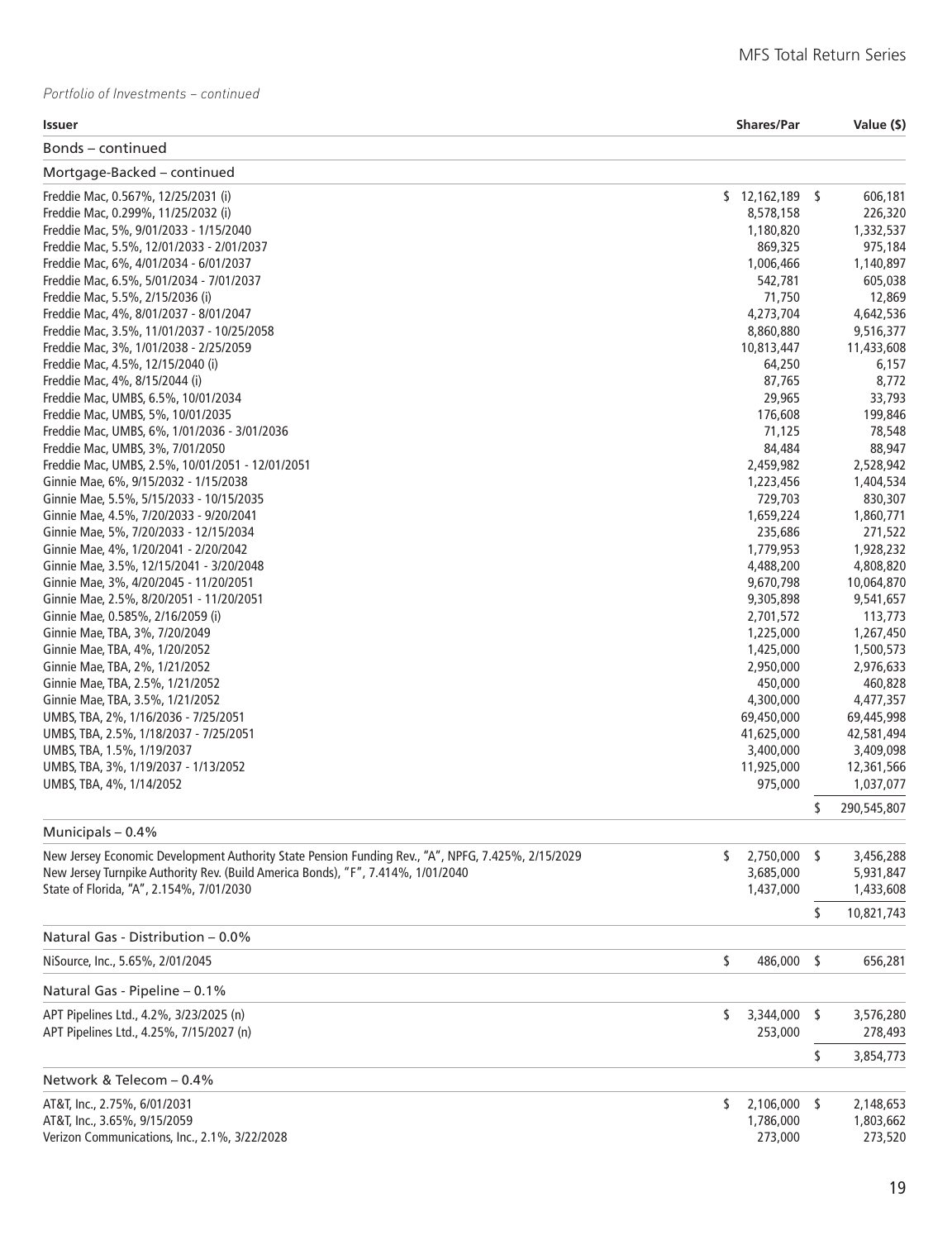| <b>Issuer</b>                                                                                      | <b>Shares/Par</b>    | Value (\$)           |
|----------------------------------------------------------------------------------------------------|----------------------|----------------------|
| Bonds – continued                                                                                  |                      |                      |
| Mortgage-Backed - continued                                                                        |                      |                      |
| Freddie Mac, 0.567%, 12/25/2031 (i)                                                                | $$12,162,189$ \$     | 606,181              |
| Freddie Mac, 0.299%, 11/25/2032 (i)                                                                | 8,578,158            | 226,320              |
| Freddie Mac, 5%, 9/01/2033 - 1/15/2040                                                             | 1,180,820            | 1,332,537            |
| Freddie Mac, 5.5%, 12/01/2033 - 2/01/2037                                                          | 869,325              | 975,184              |
| Freddie Mac, 6%, 4/01/2034 - 6/01/2037                                                             | 1,006,466            | 1,140,897            |
| Freddie Mac, 6.5%, 5/01/2034 - 7/01/2037                                                           | 542,781              | 605,038              |
| Freddie Mac, 5.5%, 2/15/2036 (i)                                                                   | 71,750               | 12,869               |
| Freddie Mac, 4%, 8/01/2037 - 8/01/2047                                                             | 4,273,704            | 4,642,536            |
| Freddie Mac, 3.5%, 11/01/2037 - 10/25/2058                                                         | 8,860,880            | 9,516,377            |
| Freddie Mac, 3%, 1/01/2038 - 2/25/2059                                                             | 10,813,447           | 11,433,608           |
| Freddie Mac, 4.5%, 12/15/2040 (i)                                                                  | 64,250               | 6,157                |
| Freddie Mac, 4%, 8/15/2044 (i)                                                                     | 87,765               | 8,772                |
| Freddie Mac, UMBS, 6.5%, 10/01/2034                                                                | 29,965               | 33,793               |
| Freddie Mac, UMBS, 5%, 10/01/2035                                                                  | 176,608              | 199,846              |
| Freddie Mac, UMBS, 6%, 1/01/2036 - 3/01/2036                                                       | 71,125               | 78,548               |
| Freddie Mac, UMBS, 3%, 7/01/2050                                                                   | 84,484               | 88,947               |
| Freddie Mac, UMBS, 2.5%, 10/01/2051 - 12/01/2051                                                   | 2,459,982            | 2,528,942            |
| Ginnie Mae, 6%, 9/15/2032 - 1/15/2038                                                              | 1,223,456            | 1,404,534            |
| Ginnie Mae, 5.5%, 5/15/2033 - 10/15/2035                                                           | 729,703              | 830,307<br>1,860,771 |
| Ginnie Mae, 4.5%, 7/20/2033 - 9/20/2041<br>Ginnie Mae, 5%, 7/20/2033 - 12/15/2034                  | 1,659,224<br>235,686 | 271,522              |
| Ginnie Mae, 4%, 1/20/2041 - 2/20/2042                                                              | 1,779,953            | 1,928,232            |
| Ginnie Mae, 3.5%, 12/15/2041 - 3/20/2048                                                           | 4,488,200            | 4,808,820            |
| Ginnie Mae, 3%, 4/20/2045 - 11/20/2051                                                             | 9,670,798            | 10,064,870           |
| Ginnie Mae, 2.5%, 8/20/2051 - 11/20/2051                                                           | 9,305,898            | 9,541,657            |
| Ginnie Mae, 0.585%, 2/16/2059 (i)                                                                  | 2,701,572            | 113,773              |
| Ginnie Mae, TBA, 3%, 7/20/2049                                                                     | 1,225,000            | 1,267,450            |
| Ginnie Mae, TBA, 4%, 1/20/2052                                                                     | 1,425,000            | 1,500,573            |
| Ginnie Mae, TBA, 2%, 1/21/2052                                                                     | 2,950,000            | 2,976,633            |
| Ginnie Mae, TBA, 2.5%, 1/21/2052                                                                   | 450,000              | 460,828              |
| Ginnie Mae, TBA, 3.5%, 1/21/2052                                                                   | 4,300,000            | 4,477,357            |
| UMBS, TBA, 2%, 1/16/2036 - 7/25/2051                                                               | 69,450,000           | 69,445,998           |
| UMBS, TBA, 2.5%, 1/18/2037 - 7/25/2051                                                             | 41,625,000           | 42,581,494           |
| UMBS, TBA, 1.5%, 1/19/2037                                                                         | 3,400,000            | 3,409,098            |
| UMBS, TBA, 3%, 1/19/2037 - 1/13/2052                                                               | 11,925,000           | 12,361,566           |
| UMBS, TBA, 4%, 1/14/2052                                                                           | 975,000              | 1,037,077            |
|                                                                                                    |                      | \$<br>290,545,807    |
| Municipals - 0.4%                                                                                  |                      |                      |
| New Jersey Economic Development Authority State Pension Funding Rev., "A", NPFG, 7.425%, 2/15/2029 | \$<br>2,750,000 \$   | 3,456,288            |
| New Jersey Turnpike Authority Rev. (Build America Bonds), "F", 7.414%, 1/01/2040                   | 3,685,000            | 5,931,847            |
| State of Florida, "A", 2.154%, 7/01/2030                                                           | 1,437,000            | 1,433,608            |
|                                                                                                    |                      |                      |
| Natural Gas - Distribution - 0.0%                                                                  |                      | \$<br>10,821,743     |
| NiSource, Inc., 5.65%, 2/01/2045                                                                   | \$<br>486,000 \$     | 656,281              |
|                                                                                                    |                      |                      |
| Natural Gas - Pipeline - 0.1%                                                                      |                      |                      |
| APT Pipelines Ltd., 4.2%, 3/23/2025 (n)                                                            | \$<br>3,344,000      | \$<br>3,576,280      |
| APT Pipelines Ltd., 4.25%, 7/15/2027 (n)                                                           | 253,000              | 278,493              |
|                                                                                                    |                      | \$<br>3,854,773      |
| Network & Telecom - 0.4%                                                                           |                      |                      |
| AT&T, Inc., 2.75%, 6/01/2031                                                                       | \$<br>2,106,000 \$   | 2,148,653            |
| AT&T, Inc., 3.65%, 9/15/2059                                                                       | 1,786,000            | 1,803,662            |
| Verizon Communications, Inc., 2.1%, 3/22/2028                                                      | 273,000              | 273,520              |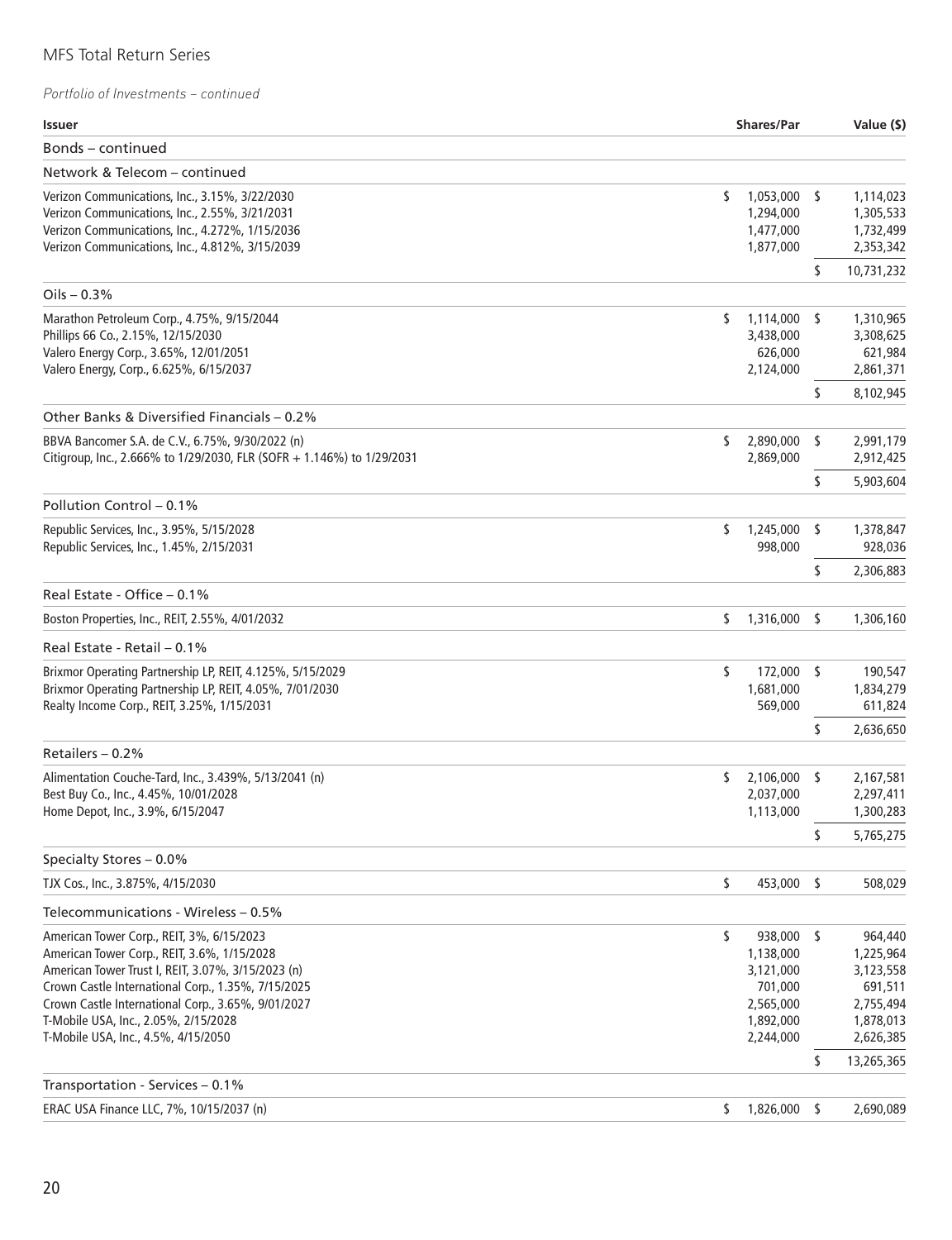| Issuer                                                                                                                                                                                                                                                                                                                                    |                                                                                | <b>Shares/Par</b> |                                                                                     |  |
|-------------------------------------------------------------------------------------------------------------------------------------------------------------------------------------------------------------------------------------------------------------------------------------------------------------------------------------------|--------------------------------------------------------------------------------|-------------------|-------------------------------------------------------------------------------------|--|
| Bonds – continued                                                                                                                                                                                                                                                                                                                         |                                                                                |                   |                                                                                     |  |
| Network & Telecom - continued                                                                                                                                                                                                                                                                                                             |                                                                                |                   |                                                                                     |  |
| Verizon Communications, Inc., 3.15%, 3/22/2030<br>Verizon Communications, Inc., 2.55%, 3/21/2031<br>Verizon Communications, Inc., 4.272%, 1/15/2036<br>Verizon Communications, Inc., 4.812%, 3/15/2039                                                                                                                                    | \$<br>1,053,000<br>1,294,000<br>1,477,000<br>1,877,000                         | - S               | 1,114,023<br>1,305,533<br>1,732,499<br>2,353,342                                    |  |
|                                                                                                                                                                                                                                                                                                                                           |                                                                                | \$                | 10,731,232                                                                          |  |
| Oils $-0.3%$                                                                                                                                                                                                                                                                                                                              |                                                                                |                   |                                                                                     |  |
| Marathon Petroleum Corp., 4.75%, 9/15/2044<br>Phillips 66 Co., 2.15%, 12/15/2030<br>Valero Energy Corp., 3.65%, 12/01/2051<br>Valero Energy, Corp., 6.625%, 6/15/2037                                                                                                                                                                     | S<br>1,114,000 \$<br>3,438,000<br>626,000<br>2,124,000                         |                   | 1,310,965<br>3,308,625<br>621,984<br>2,861,371                                      |  |
| Other Banks & Diversified Financials – 0.2%                                                                                                                                                                                                                                                                                               |                                                                                | \$                | 8,102,945                                                                           |  |
| BBVA Bancomer S.A. de C.V., 6.75%, 9/30/2022 (n)<br>Citigroup, Inc., 2.666% to 1/29/2030, FLR (SOFR + 1.146%) to 1/29/2031                                                                                                                                                                                                                | \$<br>2,890,000<br>2,869,000                                                   | s                 | 2,991,179<br>2,912,425                                                              |  |
|                                                                                                                                                                                                                                                                                                                                           |                                                                                | \$                | 5,903,604                                                                           |  |
| Pollution Control - 0.1%                                                                                                                                                                                                                                                                                                                  |                                                                                |                   |                                                                                     |  |
| Republic Services, Inc., 3.95%, 5/15/2028<br>Republic Services, Inc., 1.45%, 2/15/2031                                                                                                                                                                                                                                                    | \$<br>1,245,000<br>998,000                                                     | -S                | 1,378,847<br>928,036                                                                |  |
|                                                                                                                                                                                                                                                                                                                                           |                                                                                | \$                | 2,306,883                                                                           |  |
| Real Estate - Office - 0.1%                                                                                                                                                                                                                                                                                                               |                                                                                |                   |                                                                                     |  |
| Boston Properties, Inc., REIT, 2.55%, 4/01/2032                                                                                                                                                                                                                                                                                           | \$<br>1,316,000                                                                | -S                | 1,306,160                                                                           |  |
| Real Estate - Retail – 0.1%                                                                                                                                                                                                                                                                                                               |                                                                                |                   |                                                                                     |  |
| Brixmor Operating Partnership LP, REIT, 4.125%, 5/15/2029<br>Brixmor Operating Partnership LP, REIT, 4.05%, 7/01/2030<br>Realty Income Corp., REIT, 3.25%, 1/15/2031                                                                                                                                                                      | \$<br>1,681,000<br>569,000                                                     | 172,000 \$        | 190,547<br>1,834,279<br>611,824                                                     |  |
|                                                                                                                                                                                                                                                                                                                                           |                                                                                | \$                | 2,636,650                                                                           |  |
| Retailers - 0.2%                                                                                                                                                                                                                                                                                                                          |                                                                                |                   |                                                                                     |  |
| Alimentation Couche-Tard, Inc., 3.439%, 5/13/2041 (n)<br>Best Buy Co., Inc., 4.45%, 10/01/2028<br>Home Depot, Inc., 3.9%, 6/15/2047                                                                                                                                                                                                       | \$<br>2,106,000<br>2,037,000<br>1,113,000                                      | -S                | 2,167,581<br>2,297,411<br>1,300,283                                                 |  |
|                                                                                                                                                                                                                                                                                                                                           |                                                                                | \$                | 5,765,275                                                                           |  |
| Specialty Stores - 0.0%                                                                                                                                                                                                                                                                                                                   |                                                                                |                   | 508,029                                                                             |  |
| TJX Cos., Inc., 3.875%, 4/15/2030                                                                                                                                                                                                                                                                                                         | \$<br>453,000                                                                  | \$                |                                                                                     |  |
| Telecommunications - Wireless - 0.5%                                                                                                                                                                                                                                                                                                      |                                                                                |                   |                                                                                     |  |
| American Tower Corp., REIT, 3%, 6/15/2023<br>American Tower Corp., REIT, 3.6%, 1/15/2028<br>American Tower Trust I, REIT, 3.07%, 3/15/2023 (n)<br>Crown Castle International Corp., 1.35%, 7/15/2025<br>Crown Castle International Corp., 3.65%, 9/01/2027<br>T-Mobile USA, Inc., 2.05%, 2/15/2028<br>T-Mobile USA, Inc., 4.5%, 4/15/2050 | \$<br>1,138,000<br>3,121,000<br>701,000<br>2,565,000<br>1,892,000<br>2,244,000 | 938,000 \$        | 964,440<br>1,225,964<br>3,123,558<br>691,511<br>2,755,494<br>1,878,013<br>2,626,385 |  |
|                                                                                                                                                                                                                                                                                                                                           |                                                                                | \$                | 13,265,365                                                                          |  |
| Transportation - Services - 0.1%                                                                                                                                                                                                                                                                                                          |                                                                                |                   |                                                                                     |  |
| ERAC USA Finance LLC, 7%, 10/15/2037 (n)                                                                                                                                                                                                                                                                                                  | 1,826,000<br>\$                                                                | -S                | 2,690,089                                                                           |  |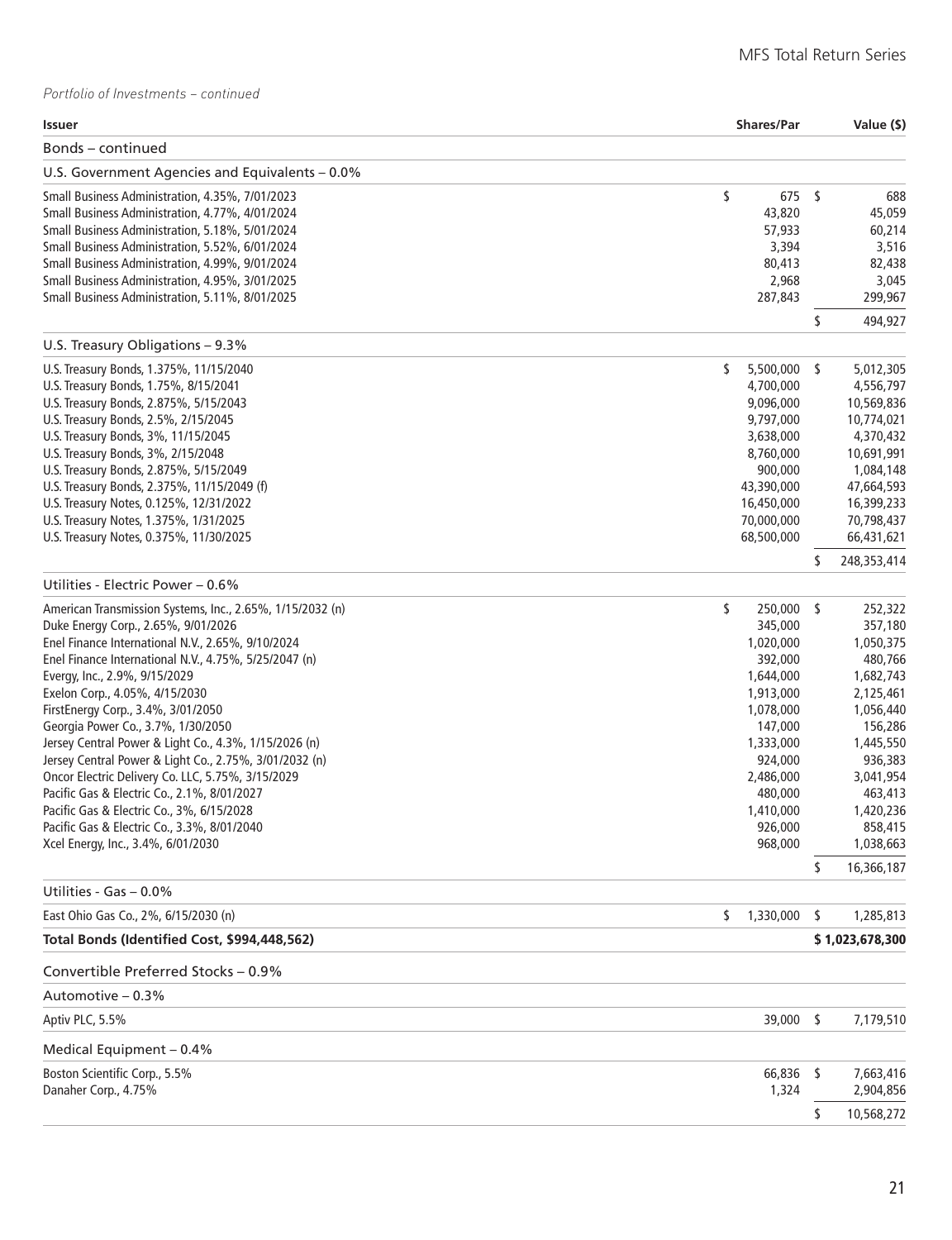| Issuer                                                    | <b>Shares/Par</b> |              | Value (\$)        |
|-----------------------------------------------------------|-------------------|--------------|-------------------|
| Bonds - continued                                         |                   |              |                   |
| U.S. Government Agencies and Equivalents – 0.0%           |                   |              |                   |
| Small Business Administration, 4.35%, 7/01/2023           | \$                | 675 \$       | 688               |
| Small Business Administration, 4.77%, 4/01/2024           |                   | 43,820       | 45,059            |
| Small Business Administration, 5.18%, 5/01/2024           |                   | 57,933       | 60,214            |
| Small Business Administration, 5.52%, 6/01/2024           |                   | 3,394        | 3,516             |
| Small Business Administration, 4.99%, 9/01/2024           |                   | 80,413       | 82,438            |
| Small Business Administration, 4.95%, 3/01/2025           |                   | 2,968        | 3,045             |
| Small Business Administration, 5.11%, 8/01/2025           |                   | 287,843      | 299,967           |
|                                                           |                   |              | \$<br>494,927     |
| U.S. Treasury Obligations - 9.3%                          |                   |              |                   |
| U.S. Treasury Bonds, 1.375%, 11/15/2040                   | \$                | 5,500,000 \$ | 5,012,305         |
| U.S. Treasury Bonds, 1.75%, 8/15/2041                     |                   | 4,700,000    | 4,556,797         |
| U.S. Treasury Bonds, 2.875%, 5/15/2043                    |                   | 9,096,000    | 10,569,836        |
| U.S. Treasury Bonds, 2.5%, 2/15/2045                      |                   | 9,797,000    | 10,774,021        |
| U.S. Treasury Bonds, 3%, 11/15/2045                       |                   | 3,638,000    | 4,370,432         |
| U.S. Treasury Bonds, 3%, 2/15/2048                        |                   | 8,760,000    | 10,691,991        |
| U.S. Treasury Bonds, 2.875%, 5/15/2049                    |                   | 900,000      | 1,084,148         |
| U.S. Treasury Bonds, 2.375%, 11/15/2049 (f)               |                   | 43,390,000   | 47,664,593        |
| U.S. Treasury Notes, 0.125%, 12/31/2022                   |                   | 16,450,000   | 16,399,233        |
| U.S. Treasury Notes, 1.375%, 1/31/2025                    |                   | 70,000,000   | 70,798,437        |
| U.S. Treasury Notes, 0.375%, 11/30/2025                   |                   | 68,500,000   | 66,431,621        |
| Utilities - Electric Power - 0.6%                         |                   |              | \$<br>248,353,414 |
| American Transmission Systems, Inc., 2.65%, 1/15/2032 (n) | \$                | 250,000 \$   | 252,322           |
| Duke Energy Corp., 2.65%, 9/01/2026                       |                   | 345,000      | 357,180           |
| Enel Finance International N.V., 2.65%, 9/10/2024         |                   | 1,020,000    | 1,050,375         |
| Enel Finance International N.V., 4.75%, 5/25/2047 (n)     |                   | 392,000      | 480,766           |
| Evergy, Inc., 2.9%, 9/15/2029                             |                   | 1,644,000    | 1,682,743         |
| Exelon Corp., 4.05%, 4/15/2030                            |                   | 1,913,000    | 2,125,461         |
| FirstEnergy Corp., 3.4%, 3/01/2050                        |                   | 1,078,000    | 1,056,440         |
| Georgia Power Co., 3.7%, 1/30/2050                        |                   | 147,000      | 156,286           |
| Jersey Central Power & Light Co., 4.3%, 1/15/2026 (n)     |                   | 1,333,000    | 1,445,550         |
| Jersey Central Power & Light Co., 2.75%, 3/01/2032 (n)    |                   | 924,000      | 936,383           |
| Oncor Electric Delivery Co. LLC, 5.75%, 3/15/2029         |                   | 2,486,000    | 3,041,954         |
| Pacific Gas & Electric Co., 2.1%, 8/01/2027               |                   | 480,000      | 463,413           |
| Pacific Gas & Electric Co., 3%, 6/15/2028                 |                   | 1,410,000    | 1,420,236         |
| Pacific Gas & Electric Co., 3.3%, 8/01/2040               |                   | 926,000      | 858,415           |
| Xcel Energy, Inc., 3.4%, 6/01/2030                        |                   | 968,000      | 1,038,663         |
|                                                           |                   |              | \$<br>16,366,187  |
| Utilities - Gas - 0.0%                                    |                   |              |                   |
| East Ohio Gas Co., 2%, 6/15/2030 (n)                      | \$                | 1,330,000    | \$<br>1,285,813   |
| Total Bonds (Identified Cost, \$994,448,562)              |                   |              | \$1,023,678,300   |
| Convertible Preferred Stocks - 0.9%                       |                   |              |                   |
| Automotive - 0.3%                                         |                   |              |                   |
| Aptiv PLC, 5.5%                                           |                   | 39,000 \$    | 7,179,510         |
| Medical Equipment - 0.4%                                  |                   |              |                   |
| Boston Scientific Corp., 5.5%                             |                   | 66,836 \$    | 7,663,416         |
| Danaher Corp., 4.75%                                      |                   | 1,324        | 2,904,856         |
|                                                           |                   |              | \$<br>10,568,272  |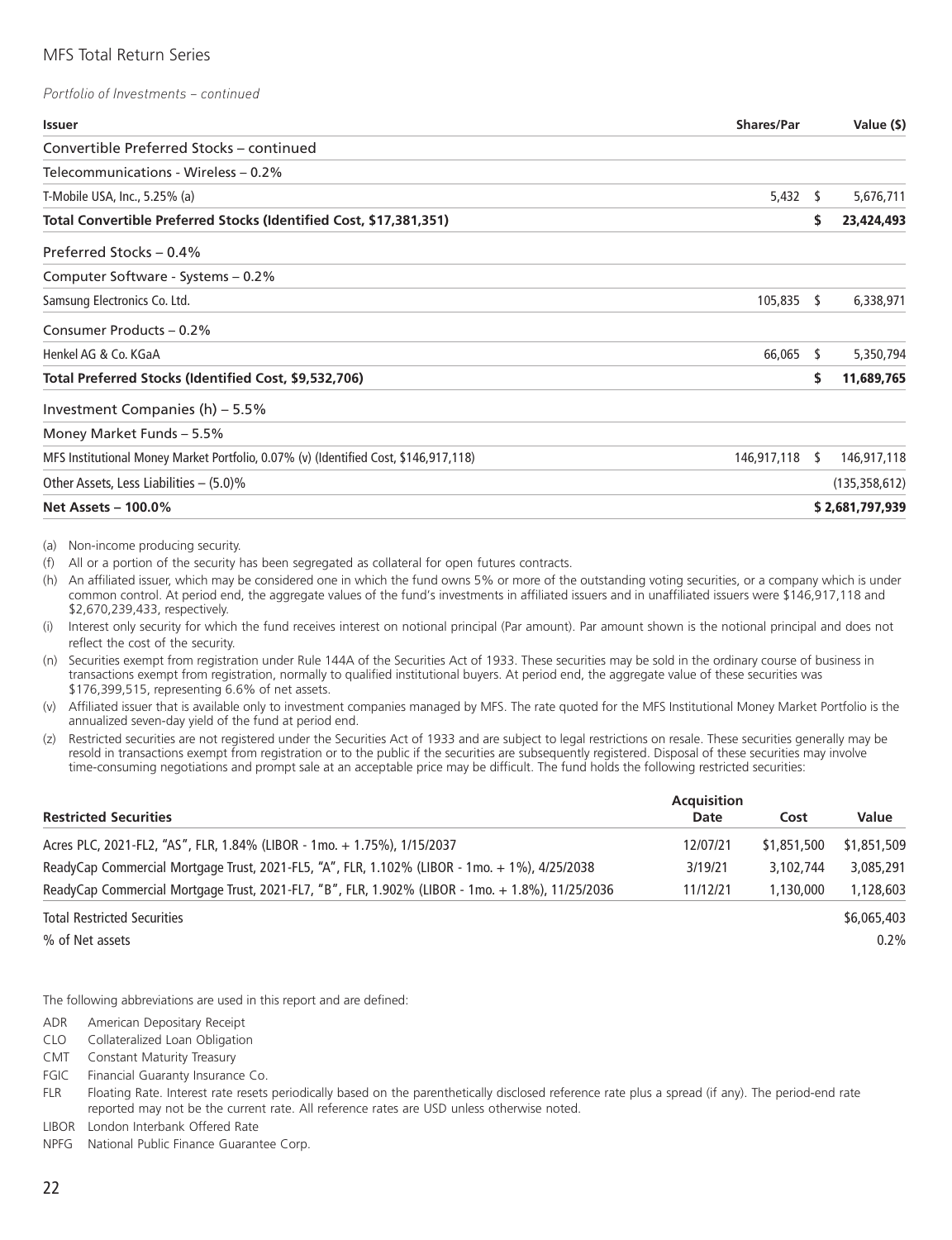*Portfolio of Investments – continued*

| <b>Issuer</b>                                                                        | <b>Shares/Par</b> |    | Value (\$)      |
|--------------------------------------------------------------------------------------|-------------------|----|-----------------|
| Convertible Preferred Stocks – continued                                             |                   |    |                 |
| Telecommunications - Wireless – 0.2%                                                 |                   |    |                 |
| T-Mobile USA, Inc., 5.25% (a)                                                        | $5,432$ \$        |    | 5,676,711       |
| Total Convertible Preferred Stocks (Identified Cost, \$17,381,351)                   |                   | s  | 23,424,493      |
| Preferred Stocks - 0.4%                                                              |                   |    |                 |
| Computer Software - Systems – 0.2%                                                   |                   |    |                 |
| Samsung Electronics Co. Ltd.                                                         | $105,835$ \$      |    | 6,338,971       |
| Consumer Products - 0.2%                                                             |                   |    |                 |
| Henkel AG & Co. KGaA                                                                 | 66,065            | -S | 5,350,794       |
| Total Preferred Stocks (Identified Cost, \$9,532,706)                                |                   | S  | 11,689,765      |
| Investment Companies (h) - 5.5%                                                      |                   |    |                 |
| Money Market Funds - 5.5%                                                            |                   |    |                 |
| MFS Institutional Money Market Portfolio, 0.07% (v) (Identified Cost, \$146,917,118) | 146,917,118 \$    |    | 146,917,118     |
| Other Assets, Less Liabilities $-$ (5.0)%                                            |                   |    | (135, 358, 612) |
| <b>Net Assets - 100.0%</b>                                                           |                   |    | \$2,681,797,939 |

(a) Non-income producing security.

(f) All or a portion of the security has been segregated as collateral for open futures contracts.

(h) An affiliated issuer, which may be considered one in which the fund owns 5% or more of the outstanding voting securities, or a company which is under common control. At period end, the aggregate values of the fund's investments in affiliated issuers and in unaffiliated issuers were \$146,917,118 and \$2,670,239,433, respectively.

(i) Interest only security for which the fund receives interest on notional principal (Par amount). Par amount shown is the notional principal and does not reflect the cost of the security.

(n) Securities exempt from registration under Rule 144A of the Securities Act of 1933. These securities may be sold in the ordinary course of business in transactions exempt from registration, normally to qualified institutional buyers. At period end, the aggregate value of these securities was \$176,399,515, representing 6.6% of net assets.

- (v) Affiliated issuer that is available only to investment companies managed by MFS. The rate quoted for the MFS Institutional Money Market Portfolio is the annualized seven-day yield of the fund at period end.
- (z) Restricted securities are not registered under the Securities Act of 1933 and are subject to legal restrictions on resale. These securities generally may be resold in transactions exempt from registration or to the public if the securities are subsequently registered. Disposal of these securities may involve time-consuming negotiations and prompt sale at an acceptable price may be difficult. The fund holds the following restricted securities:

|                                                                                                  | <b>Acquisition</b> |             |             |
|--------------------------------------------------------------------------------------------------|--------------------|-------------|-------------|
| <b>Restricted Securities</b>                                                                     | Date               | Cost        | Value       |
| Acres PLC, 2021-FL2, "AS", FLR, 1.84% (LIBOR - 1mo. + 1.75%), 1/15/2037                          | 12/07/21           | \$1,851,500 | \$1,851,509 |
| ReadyCap Commercial Mortgage Trust, 2021-FL5, "A", FLR, 1.102% (LIBOR - 1mo. + 1%), 4/25/2038    | 3/19/21            | 3,102,744   | 3,085,291   |
| ReadyCap Commercial Mortgage Trust, 2021-FL7, "B", FLR, 1.902% (LIBOR - 1mo. + 1.8%), 11/25/2036 | 11/12/21           | 1,130,000   | 1,128,603   |
| <b>Total Restricted Securities</b>                                                               |                    |             | \$6,065,403 |
| % of Net assets                                                                                  |                    |             | $0.2\%$     |

The following abbreviations are used in this report and are defined:

ADR American Depositary Receipt

CLO Collateralized Loan Obligation

CMT Constant Maturity Treasury

FGIC Financial Guaranty Insurance Co.

FLR Floating Rate. Interest rate resets periodically based on the parenthetically disclosed reference rate plus a spread (if any). The period-end rate reported may not be the current rate. All reference rates are USD unless otherwise noted.

LIBOR London Interbank Offered Rate

NPFG National Public Finance Guarantee Corp.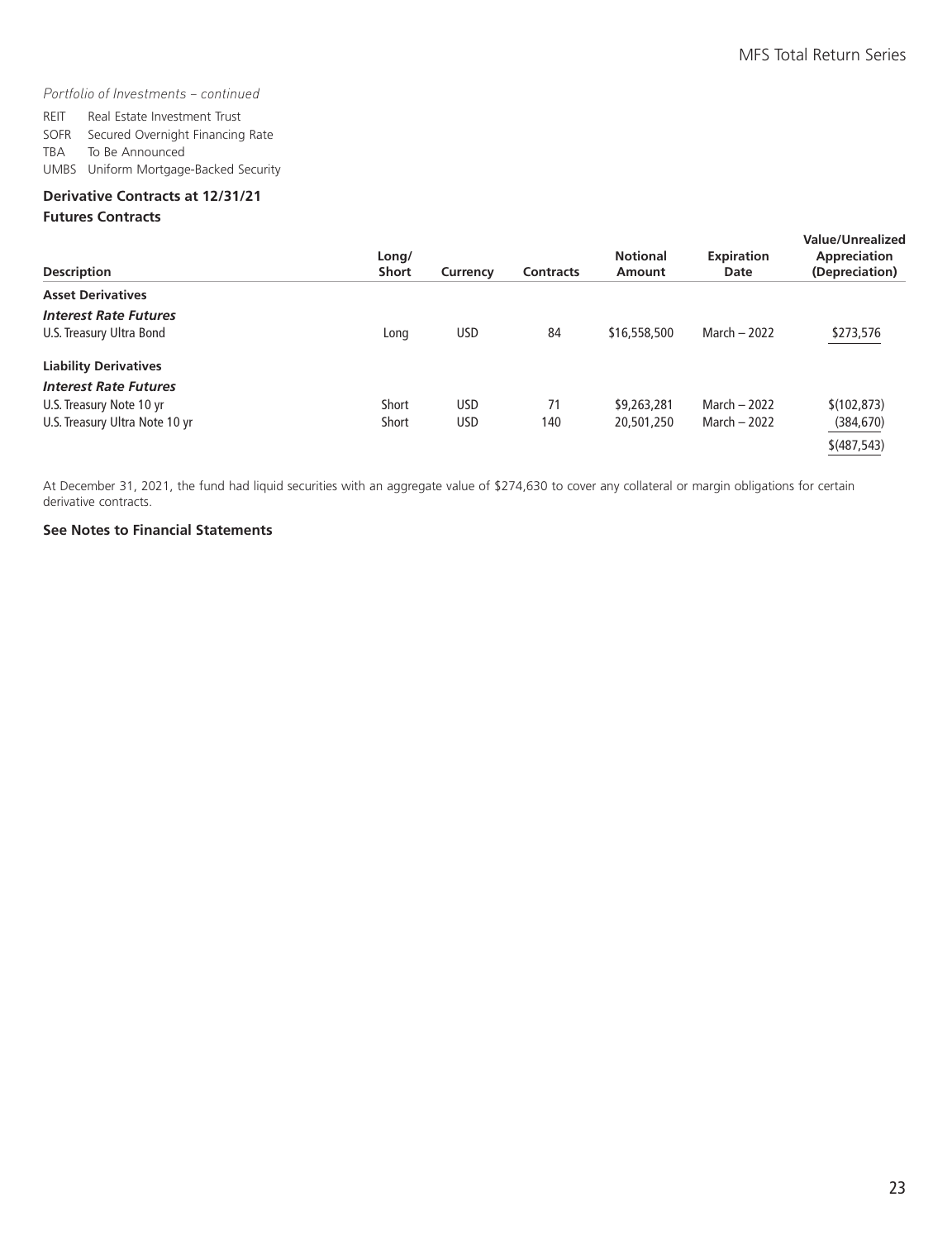#### *Portfolio of Investments – continued*

REIT Real Estate Investment Trust SOFR Secured Overnight Financing Rate TBA To Be Announced UMBS Uniform Mortgage-Backed Security

#### **Derivative Contracts at 12/31/21**

#### **Futures Contracts**

| <b>Description</b>             | Long/<br><b>Short</b> | Currency   | <b>Contracts</b> | <b>Notional</b><br>Amount | <b>Expiration</b><br>Date | Value/Unrealized<br>Appreciation<br>(Depreciation) |
|--------------------------------|-----------------------|------------|------------------|---------------------------|---------------------------|----------------------------------------------------|
| <b>Asset Derivatives</b>       |                       |            |                  |                           |                           |                                                    |
| <b>Interest Rate Futures</b>   |                       |            |                  |                           |                           |                                                    |
| U.S. Treasury Ultra Bond       | Long                  | <b>USD</b> | 84               | \$16,558,500              | March $-2022$             | \$273,576                                          |
| <b>Liability Derivatives</b>   |                       |            |                  |                           |                           |                                                    |
| <b>Interest Rate Futures</b>   |                       |            |                  |                           |                           |                                                    |
| U.S. Treasury Note 10 yr       | Short                 | <b>USD</b> | 71               | \$9,263,281               | March $-2022$             | \$(102, 873)                                       |
| U.S. Treasury Ultra Note 10 yr | Short                 | <b>USD</b> | 140              | 20,501,250                | March $-2022$             | (384, 670)                                         |
|                                |                       |            |                  |                           |                           | \$ (487, 543)                                      |

At December 31, 2021, the fund had liquid securities with an aggregate value of \$274,630 to cover any collateral or margin obligations for certain derivative contracts.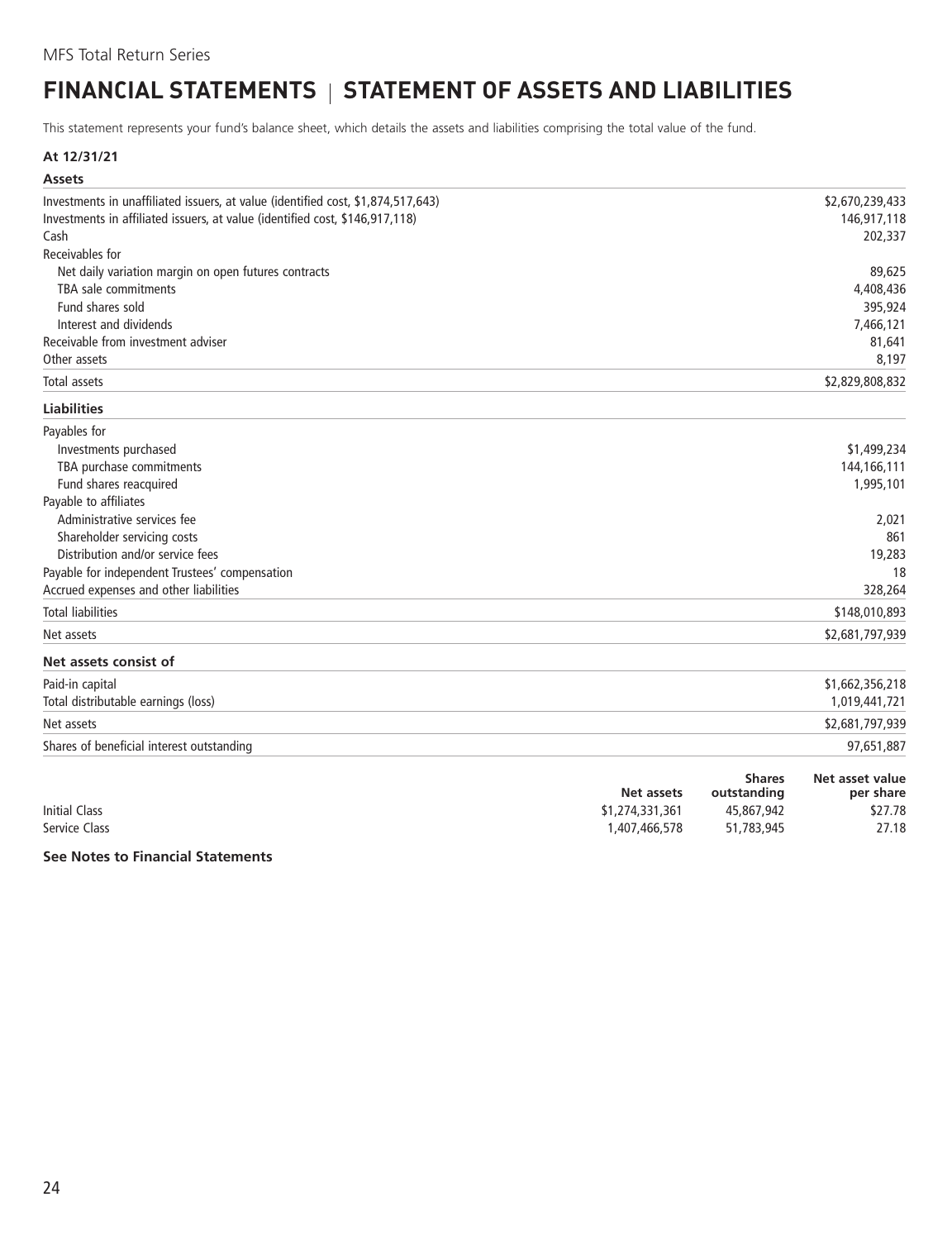### <span id="page-25-0"></span>**FINANCIAL STATEMENTS | STATEMENT OF ASSETS AND LIABILITIES**

This statement represents your fund's balance sheet, which details the assets and liabilities comprising the total value of the fund.

#### **At 12/31/21**

| <b>Assets</b>                                                                    |            |                              |                              |
|----------------------------------------------------------------------------------|------------|------------------------------|------------------------------|
| Investments in unaffiliated issuers, at value (identified cost, \$1,874,517,643) |            |                              | \$2,670,239,433              |
| Investments in affiliated issuers, at value (identified cost, \$146,917,118)     |            |                              | 146,917,118                  |
| Cash                                                                             |            |                              | 202,337                      |
| Receivables for                                                                  |            |                              |                              |
| Net daily variation margin on open futures contracts                             |            |                              | 89,625                       |
| TBA sale commitments                                                             |            |                              | 4,408,436                    |
| Fund shares sold                                                                 |            |                              | 395,924                      |
| Interest and dividends                                                           |            |                              | 7,466,121                    |
| Receivable from investment adviser                                               |            |                              | 81,641                       |
| Other assets                                                                     |            |                              | 8,197                        |
| Total assets                                                                     |            |                              | \$2,829,808,832              |
| <b>Liabilities</b>                                                               |            |                              |                              |
| Payables for                                                                     |            |                              |                              |
| Investments purchased                                                            |            |                              | \$1,499,234                  |
| TBA purchase commitments                                                         |            |                              | 144,166,111                  |
| Fund shares reacquired                                                           |            |                              | 1,995,101                    |
| Payable to affiliates                                                            |            |                              |                              |
| Administrative services fee                                                      |            |                              | 2,021                        |
| Shareholder servicing costs                                                      |            |                              | 861                          |
| Distribution and/or service fees                                                 |            |                              | 19,283                       |
| Payable for independent Trustees' compensation                                   |            |                              | 18                           |
| Accrued expenses and other liabilities                                           |            |                              | 328,264                      |
| <b>Total liabilities</b>                                                         |            |                              | \$148,010,893                |
| Net assets                                                                       |            |                              | \$2,681,797,939              |
| Net assets consist of                                                            |            |                              |                              |
| Paid-in capital                                                                  |            |                              | \$1,662,356,218              |
| Total distributable earnings (loss)                                              |            |                              | 1,019,441,721                |
| Net assets                                                                       |            |                              | \$2,681,797,939              |
| Shares of beneficial interest outstanding                                        |            |                              | 97,651,887                   |
|                                                                                  | Net assets | <b>Shares</b><br>outstanding | Net asset value<br>per share |

Initial Class \$1,274,331,361 45,867,942 \$27.78<br>Service Class \$1,274,331,361 45,867,942 \$27.78 46,578 51,783,945 Service Class 1,407,466,578 51,783,945 27.18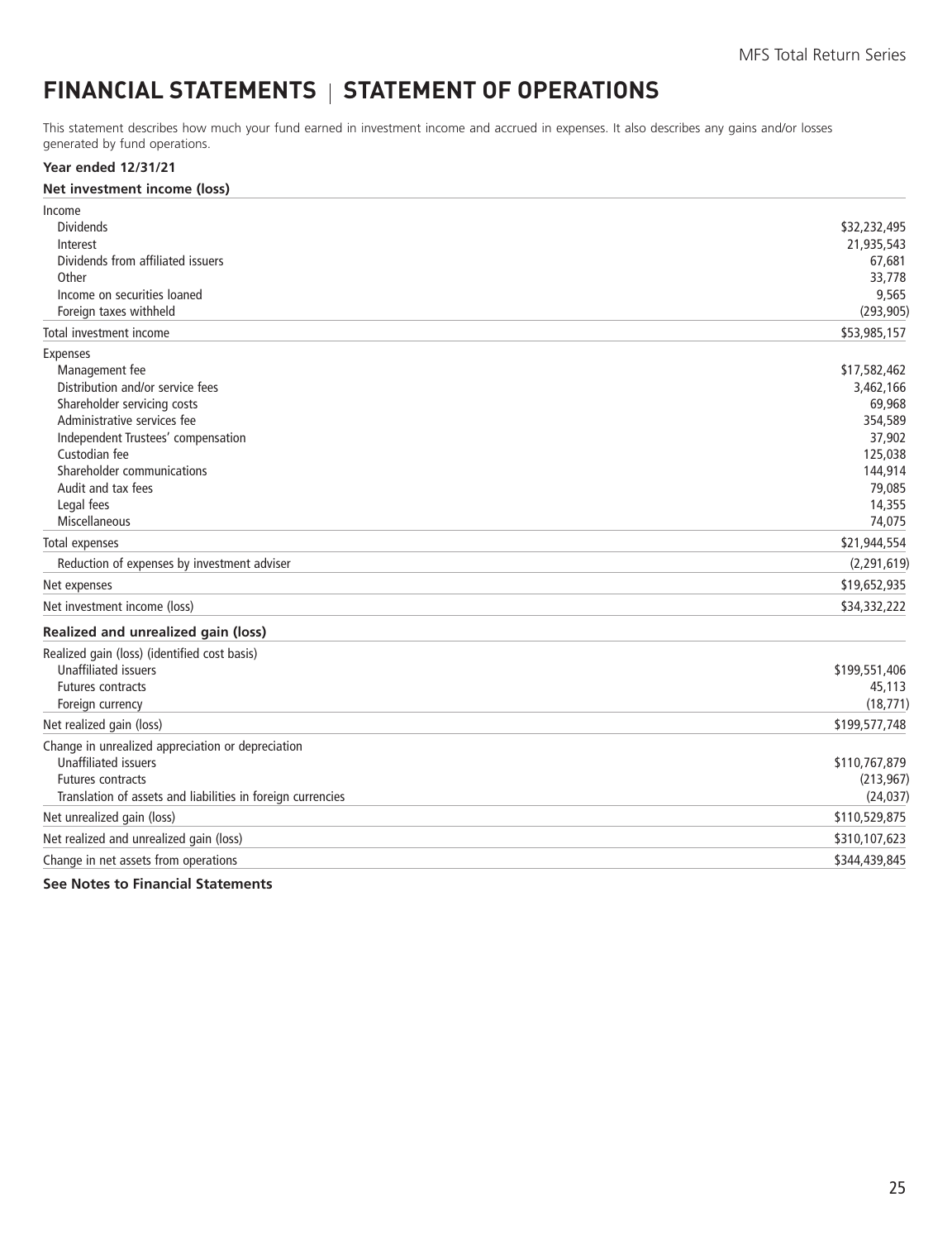### <span id="page-26-0"></span>**FINANCIAL STATEMENTS | STATEMENT OF OPERATIONS**

This statement describes how much your fund earned in investment income and accrued in expenses. It also describes any gains and/or losses generated by fund operations.

#### **Year ended 12/31/21**

| Net investment income (loss) |  |  |
|------------------------------|--|--|
|------------------------------|--|--|

| Income                                                      |               |
|-------------------------------------------------------------|---------------|
| <b>Dividends</b>                                            | \$32,232,495  |
| Interest                                                    | 21,935,543    |
| Dividends from affiliated issuers                           | 67,681        |
| Other                                                       | 33,778        |
| Income on securities loaned                                 | 9,565         |
| Foreign taxes withheld                                      | (293, 905)    |
| Total investment income                                     | \$53,985,157  |
| Expenses                                                    |               |
| Management fee                                              | \$17,582,462  |
| Distribution and/or service fees                            | 3,462,166     |
| Shareholder servicing costs                                 | 69,968        |
| Administrative services fee                                 | 354,589       |
| Independent Trustees' compensation                          | 37,902        |
| Custodian fee                                               | 125,038       |
| Shareholder communications                                  | 144,914       |
| Audit and tax fees                                          | 79,085        |
| Legal fees                                                  | 14,355        |
| Miscellaneous                                               | 74,075        |
| Total expenses                                              | \$21,944,554  |
| Reduction of expenses by investment adviser                 | (2, 291, 619) |
| Net expenses                                                | \$19,652,935  |
| Net investment income (loss)                                | \$34,332,222  |
| Realized and unrealized gain (loss)                         |               |
| Realized gain (loss) (identified cost basis)                |               |
| <b>Unaffiliated issuers</b>                                 | \$199,551,406 |
| Futures contracts                                           | 45,113        |
| Foreign currency                                            | (18, 771)     |
| Net realized gain (loss)                                    | \$199,577,748 |
| Change in unrealized appreciation or depreciation           |               |
| <b>Unaffiliated issuers</b>                                 | \$110,767,879 |
| <b>Futures contracts</b>                                    | (213, 967)    |
| Translation of assets and liabilities in foreign currencies | (24, 037)     |
| Net unrealized gain (loss)                                  | \$110,529,875 |
| Net realized and unrealized gain (loss)                     | \$310,107,623 |
| Change in net assets from operations                        | \$344,439,845 |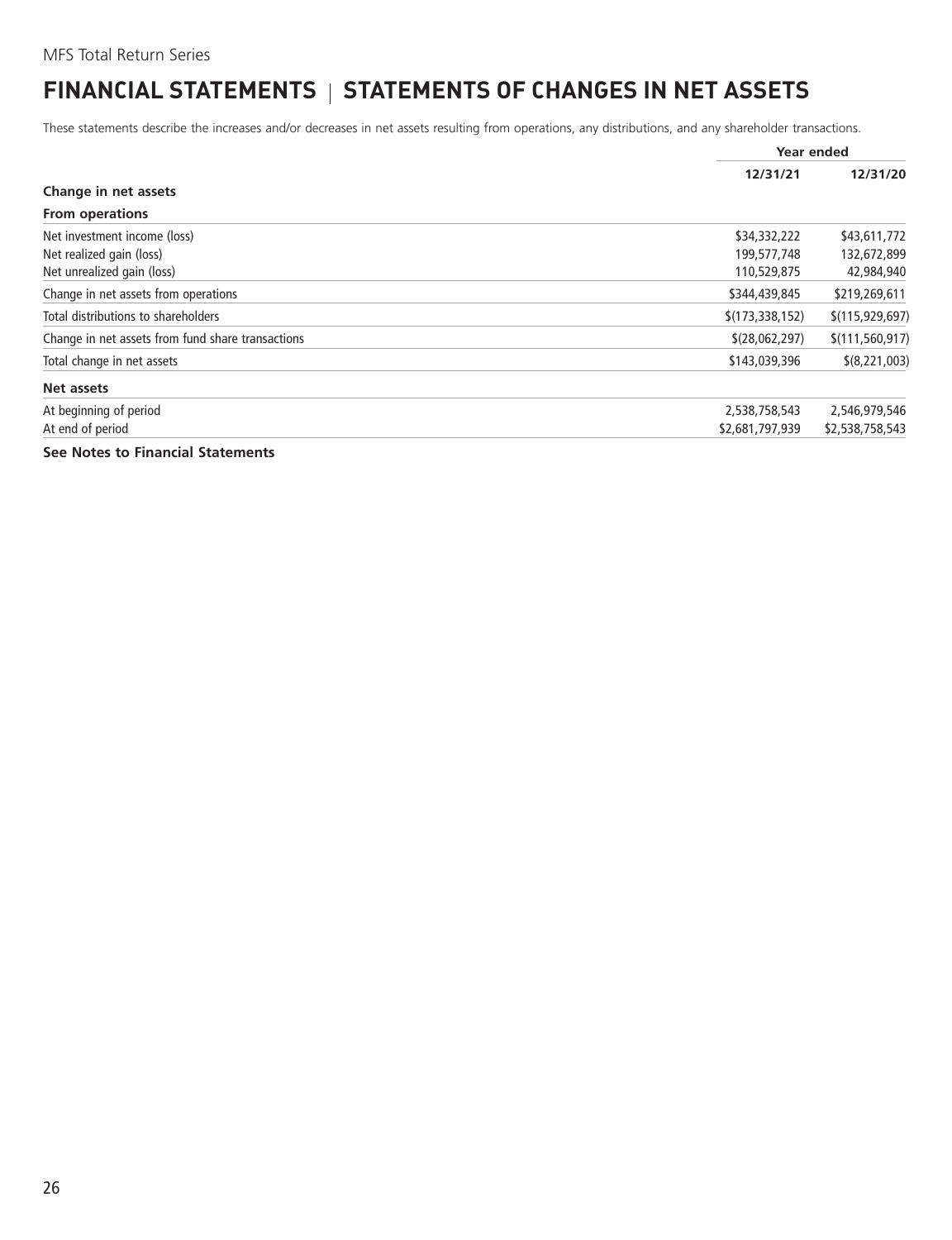### <span id="page-27-0"></span>**FINANCIAL STATEMENTS | STATEMENTS OF CHANGES IN NET ASSETS**

These statements describe the increases and/or decreases in net assets resulting from operations, any distributions, and any shareholder transactions.

|                                                   |                   | Year ended        |
|---------------------------------------------------|-------------------|-------------------|
|                                                   | 12/31/21          | 12/31/20          |
| Change in net assets                              |                   |                   |
| <b>From operations</b>                            |                   |                   |
| Net investment income (loss)                      | \$34,332,222      | \$43,611,772      |
| Net realized gain (loss)                          | 199,577,748       | 132,672,899       |
| Net unrealized gain (loss)                        | 110,529,875       | 42,984,940        |
| Change in net assets from operations              | \$344,439,845     | \$219,269,611     |
| Total distributions to shareholders               | \$(173, 338, 152) | \$(115, 929, 697) |
| Change in net assets from fund share transactions | \$(28,062,297)    | \$(111, 560, 917) |
| Total change in net assets                        | \$143,039,396     | \$(8,221,003)     |
| Net assets                                        |                   |                   |
| At beginning of period                            | 2,538,758,543     | 2,546,979,546     |
| At end of period                                  | \$2,681,797,939   | \$2,538,758,543   |
| See Notes to Financial Statements                 |                   |                   |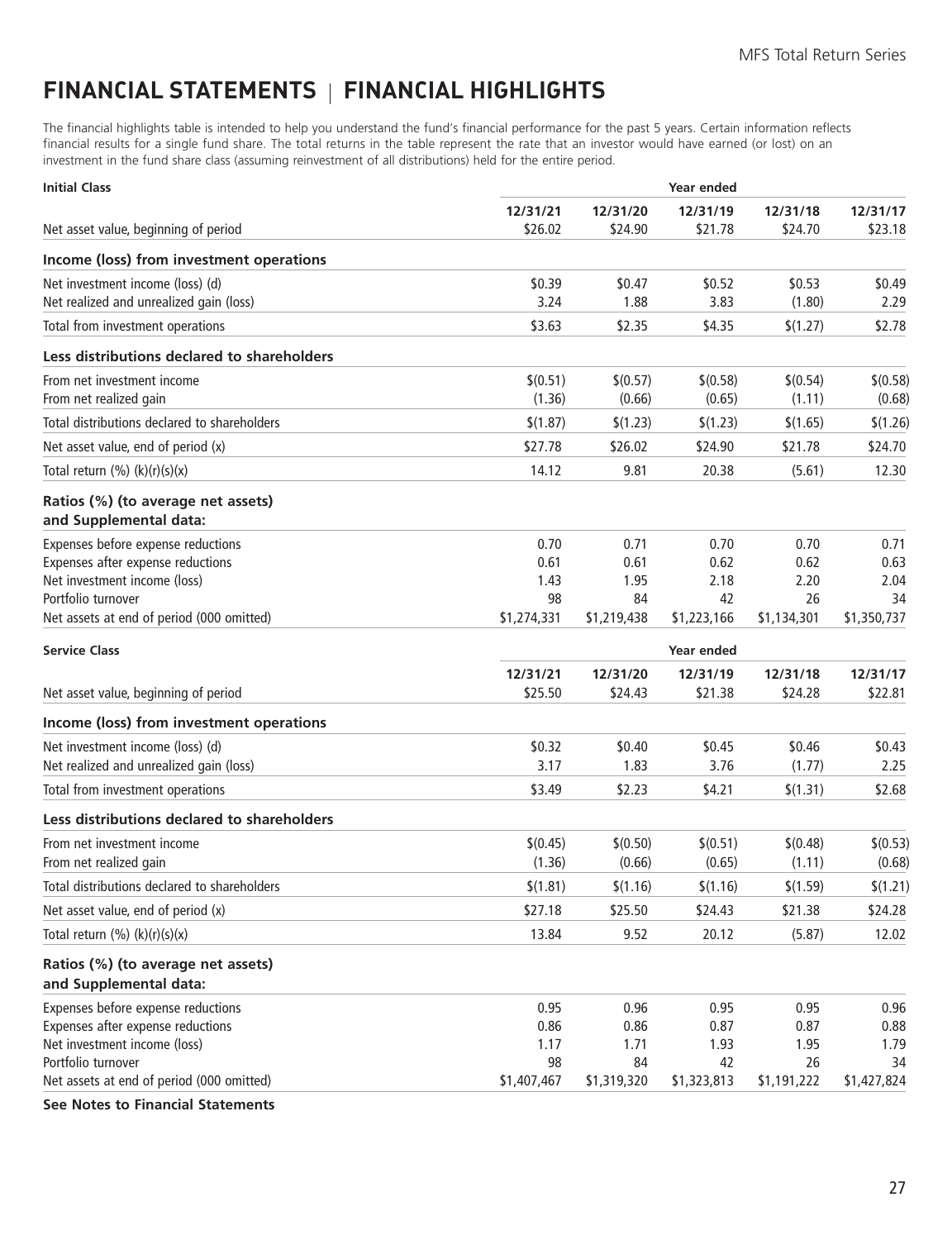### <span id="page-28-0"></span>**FINANCIAL STATEMENTS FINANCIAL HIGHLIGHTS**

The financial highlights table is intended to help you understand the fund's financial performance for the past 5 years. Certain information reflects financial results for a single fund share. The total returns in the table represent the rate that an investor would have earned (or lost) on an investment in the fund share class (assuming reinvestment of all distributions) held for the entire period.

| <b>Initial Class</b>                                         |                     | Year ended          |                     |                     |                     |  |
|--------------------------------------------------------------|---------------------|---------------------|---------------------|---------------------|---------------------|--|
| Net asset value, beginning of period                         | 12/31/21<br>\$26.02 | 12/31/20<br>\$24.90 | 12/31/19<br>\$21.78 | 12/31/18<br>\$24.70 | 12/31/17<br>\$23.18 |  |
| Income (loss) from investment operations                     |                     |                     |                     |                     |                     |  |
| Net investment income (loss) (d)                             | \$0.39              | \$0.47              | \$0.52              | \$0.53              | \$0.49              |  |
| Net realized and unrealized gain (loss)                      | 3.24                | 1.88                | 3.83                | (1.80)              | 2.29                |  |
| Total from investment operations                             | \$3.63              | \$2.35              | \$4.35              | \$(1.27)            | \$2.78              |  |
| Less distributions declared to shareholders                  |                     |                     |                     |                     |                     |  |
| From net investment income<br>From net realized gain         | \$(0.51)<br>(1.36)  | \$(0.57)<br>(0.66)  | \$(0.58)<br>(0.65)  | \$(0.54)<br>(1.11)  | \$(0.58)<br>(0.68)  |  |
| Total distributions declared to shareholders                 | \$(1.87)            | \$(1.23)            | \$(1.23)            | \$(1.65)            | \$(1.26)            |  |
| Net asset value, end of period (x)                           | \$27.78             | \$26.02             | \$24.90             | \$21.78             | \$24.70             |  |
| Total return $(\%) (k)(r)(s)(x)$                             | 14.12               | 9.81                | 20.38               | (5.61)              | 12.30               |  |
| Ratios (%) (to average net assets)<br>and Supplemental data: |                     |                     |                     |                     |                     |  |
| Expenses before expense reductions                           | 0.70                | 0.71                | 0.70                | 0.70                | 0.71                |  |
| Expenses after expense reductions                            | 0.61                | 0.61                | 0.62                | 0.62                | 0.63                |  |
| Net investment income (loss)<br>Portfolio turnover           | 1.43<br>98          | 1.95<br>84          | 2.18<br>42          | 2.20<br>26          | 2.04<br>34          |  |
| Net assets at end of period (000 omitted)                    | \$1,274,331         | \$1,219,438         | \$1,223,166         | \$1,134,301         | \$1,350,737         |  |
|                                                              |                     |                     |                     |                     |                     |  |
| <b>Service Class</b>                                         |                     |                     | Year ended          |                     |                     |  |
| Net asset value, beginning of period                         | 12/31/21<br>\$25.50 | 12/31/20<br>\$24.43 | 12/31/19<br>\$21.38 | 12/31/18<br>\$24.28 | 12/31/17<br>\$22.81 |  |
| Income (loss) from investment operations                     |                     |                     |                     |                     |                     |  |
| Net investment income (loss) (d)                             | \$0.32              | \$0.40              | \$0.45              | \$0.46              | \$0.43              |  |
| Net realized and unrealized gain (loss)                      | 3.17                | 1.83                | 3.76                | (1.77)              | 2.25                |  |
| Total from investment operations                             | \$3.49              | \$2.23              | \$4.21              | \$(1.31)            | \$2.68              |  |
| Less distributions declared to shareholders                  |                     |                     |                     |                     |                     |  |
| From net investment income                                   | \$(0.45)            | \$(0.50)            | \$(0.51)            | \$(0.48)            | \$(0.53)            |  |
| From net realized gain                                       | (1.36)              | (0.66)              | (0.65)              | (1.11)              | (0.68)              |  |
| Total distributions declared to shareholders                 | \$(1.81)            | \$(1.16)            | \$(1.16)            | \$(1.59)            | \$(1.21)            |  |
| Net asset value, end of period (x)                           | \$27.18             | \$25.50             | \$24.43             | \$21.38             | \$24.28             |  |
| Total return $(\%) (k)(r)(s)(x)$                             | 13.84               | 9.52                | 20.12               | (5.87)              | 12.02               |  |
| Ratios (%) (to average net assets)<br>and Supplemental data: |                     |                     |                     |                     |                     |  |
| Expenses before expense reductions                           | 0.95                | 0.96                | 0.95                | 0.95                | 0.96                |  |
| Expenses after expense reductions                            | 0.86                | 0.86                | 0.87                | 0.87                | 0.88                |  |
| Net investment income (loss)<br>Portfolio turnover           | 1.17<br>98          | 1.71                | 1.93                | 1.95                | 1.79                |  |
| Net assets at end of period (000 omitted)                    | \$1,407,467         | 84<br>\$1,319,320   | 42<br>\$1,323,813   | 26<br>\$1,191,222   | 34<br>\$1,427,824   |  |
|                                                              |                     |                     |                     |                     |                     |  |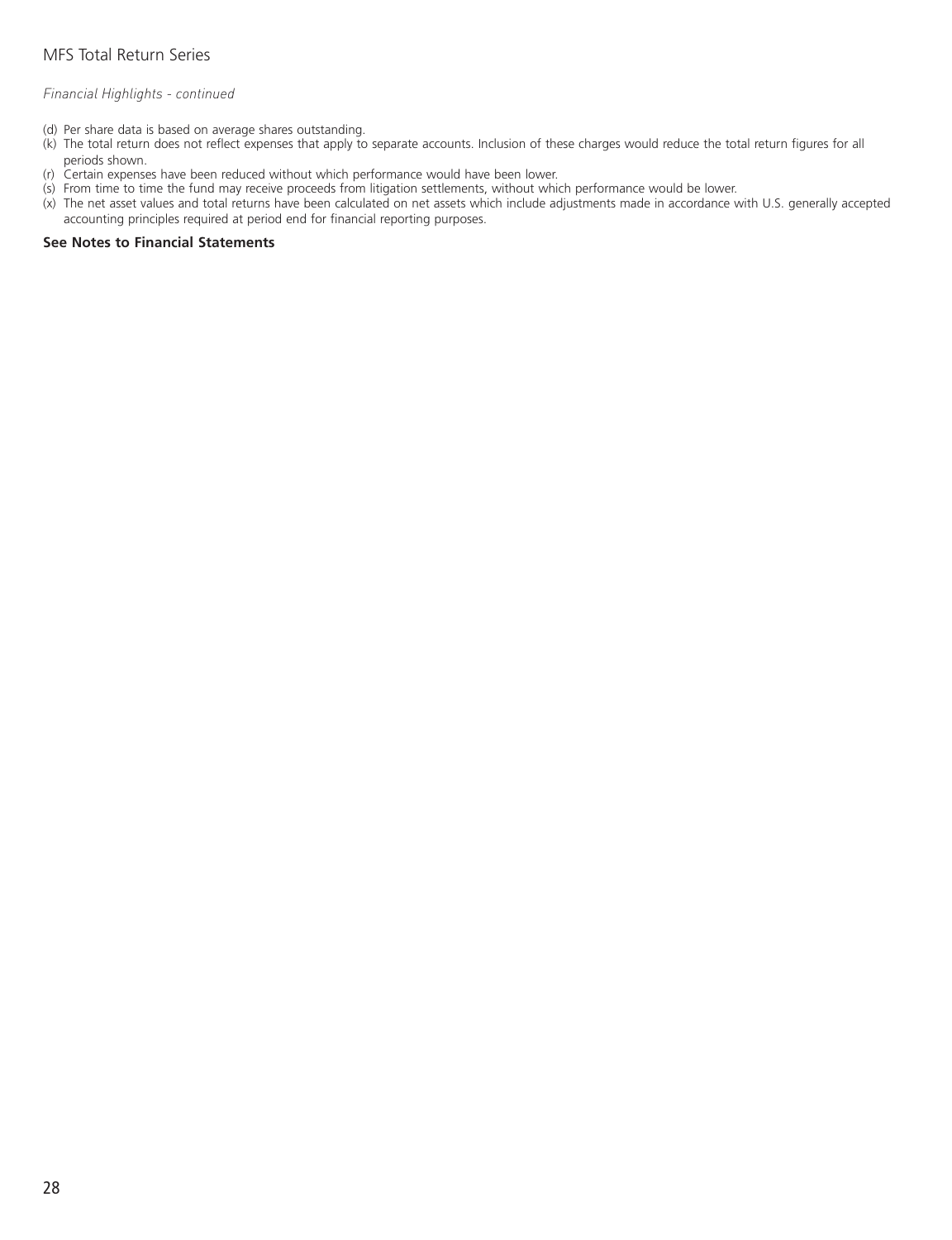#### *Financial Highlights - continued*

- (d) Per share data is based on average shares outstanding.
- (k) The total return does not reflect expenses that apply to separate accounts. Inclusion of these charges would reduce the total return figures for all periods shown.
- (r) Certain expenses have been reduced without which performance would have been lower.
- (s) From time to time the fund may receive proceeds from litigation settlements, without which performance would be lower.
- (x) The net asset values and total returns have been calculated on net assets which include adjustments made in accordance with U.S. generally accepted accounting principles required at period end for financial reporting purposes.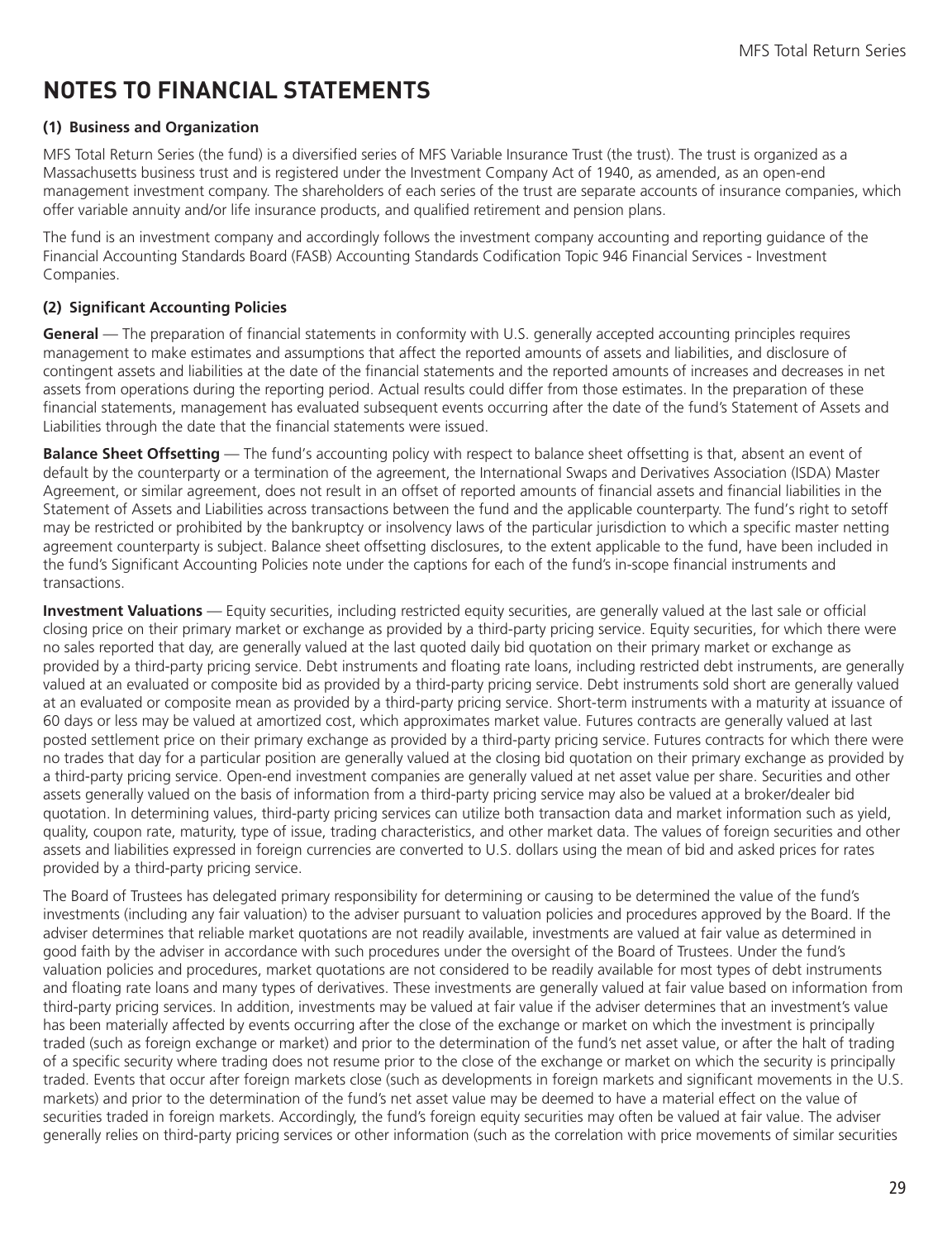### <span id="page-30-0"></span>**NOTES TO FINANCIAL STATEMENTS**

#### **(1) Business and Organization**

MFS Total Return Series (the fund) is a diversified series of MFS Variable Insurance Trust (the trust). The trust is organized as a Massachusetts business trust and is registered under the Investment Company Act of 1940, as amended, as an open-end management investment company. The shareholders of each series of the trust are separate accounts of insurance companies, which offer variable annuity and/or life insurance products, and qualified retirement and pension plans.

The fund is an investment company and accordingly follows the investment company accounting and reporting guidance of the Financial Accounting Standards Board (FASB) Accounting Standards Codification Topic 946 Financial Services - Investment Companies.

#### **(2) Significant Accounting Policies**

**General** — The preparation of financial statements in conformity with U.S. generally accepted accounting principles requires management to make estimates and assumptions that affect the reported amounts of assets and liabilities, and disclosure of contingent assets and liabilities at the date of the financial statements and the reported amounts of increases and decreases in net assets from operations during the reporting period. Actual results could differ from those estimates. In the preparation of these financial statements, management has evaluated subsequent events occurring after the date of the fund's Statement of Assets and Liabilities through the date that the financial statements were issued.

**Balance Sheet Offsetting** — The fund's accounting policy with respect to balance sheet offsetting is that, absent an event of default by the counterparty or a termination of the agreement, the International Swaps and Derivatives Association (ISDA) Master Agreement, or similar agreement, does not result in an offset of reported amounts of financial assets and financial liabilities in the Statement of Assets and Liabilities across transactions between the fund and the applicable counterparty. The fund's right to setoff may be restricted or prohibited by the bankruptcy or insolvency laws of the particular jurisdiction to which a specific master netting agreement counterparty is subject. Balance sheet offsetting disclosures, to the extent applicable to the fund, have been included in the fund's Significant Accounting Policies note under the captions for each of the fund's in-scope financial instruments and transactions.

**Investment Valuations** — Equity securities, including restricted equity securities, are generally valued at the last sale or official closing price on their primary market or exchange as provided by a third-party pricing service. Equity securities, for which there were no sales reported that day, are generally valued at the last quoted daily bid quotation on their primary market or exchange as provided by a third-party pricing service. Debt instruments and floating rate loans, including restricted debt instruments, are generally valued at an evaluated or composite bid as provided by a third-party pricing service. Debt instruments sold short are generally valued at an evaluated or composite mean as provided by a third-party pricing service. Short-term instruments with a maturity at issuance of 60 days or less may be valued at amortized cost, which approximates market value. Futures contracts are generally valued at last posted settlement price on their primary exchange as provided by a third-party pricing service. Futures contracts for which there were no trades that day for a particular position are generally valued at the closing bid quotation on their primary exchange as provided by a third-party pricing service. Open-end investment companies are generally valued at net asset value per share. Securities and other assets generally valued on the basis of information from a third-party pricing service may also be valued at a broker/dealer bid quotation. In determining values, third-party pricing services can utilize both transaction data and market information such as yield, quality, coupon rate, maturity, type of issue, trading characteristics, and other market data. The values of foreign securities and other assets and liabilities expressed in foreign currencies are converted to U.S. dollars using the mean of bid and asked prices for rates provided by a third-party pricing service.

The Board of Trustees has delegated primary responsibility for determining or causing to be determined the value of the fund's investments (including any fair valuation) to the adviser pursuant to valuation policies and procedures approved by the Board. If the adviser determines that reliable market quotations are not readily available, investments are valued at fair value as determined in good faith by the adviser in accordance with such procedures under the oversight of the Board of Trustees. Under the fund's valuation policies and procedures, market quotations are not considered to be readily available for most types of debt instruments and floating rate loans and many types of derivatives. These investments are generally valued at fair value based on information from third-party pricing services. In addition, investments may be valued at fair value if the adviser determines that an investment's value has been materially affected by events occurring after the close of the exchange or market on which the investment is principally traded (such as foreign exchange or market) and prior to the determination of the fund's net asset value, or after the halt of trading of a specific security where trading does not resume prior to the close of the exchange or market on which the security is principally traded. Events that occur after foreign markets close (such as developments in foreign markets and significant movements in the U.S. markets) and prior to the determination of the fund's net asset value may be deemed to have a material effect on the value of securities traded in foreign markets. Accordingly, the fund's foreign equity securities may often be valued at fair value. The adviser generally relies on third-party pricing services or other information (such as the correlation with price movements of similar securities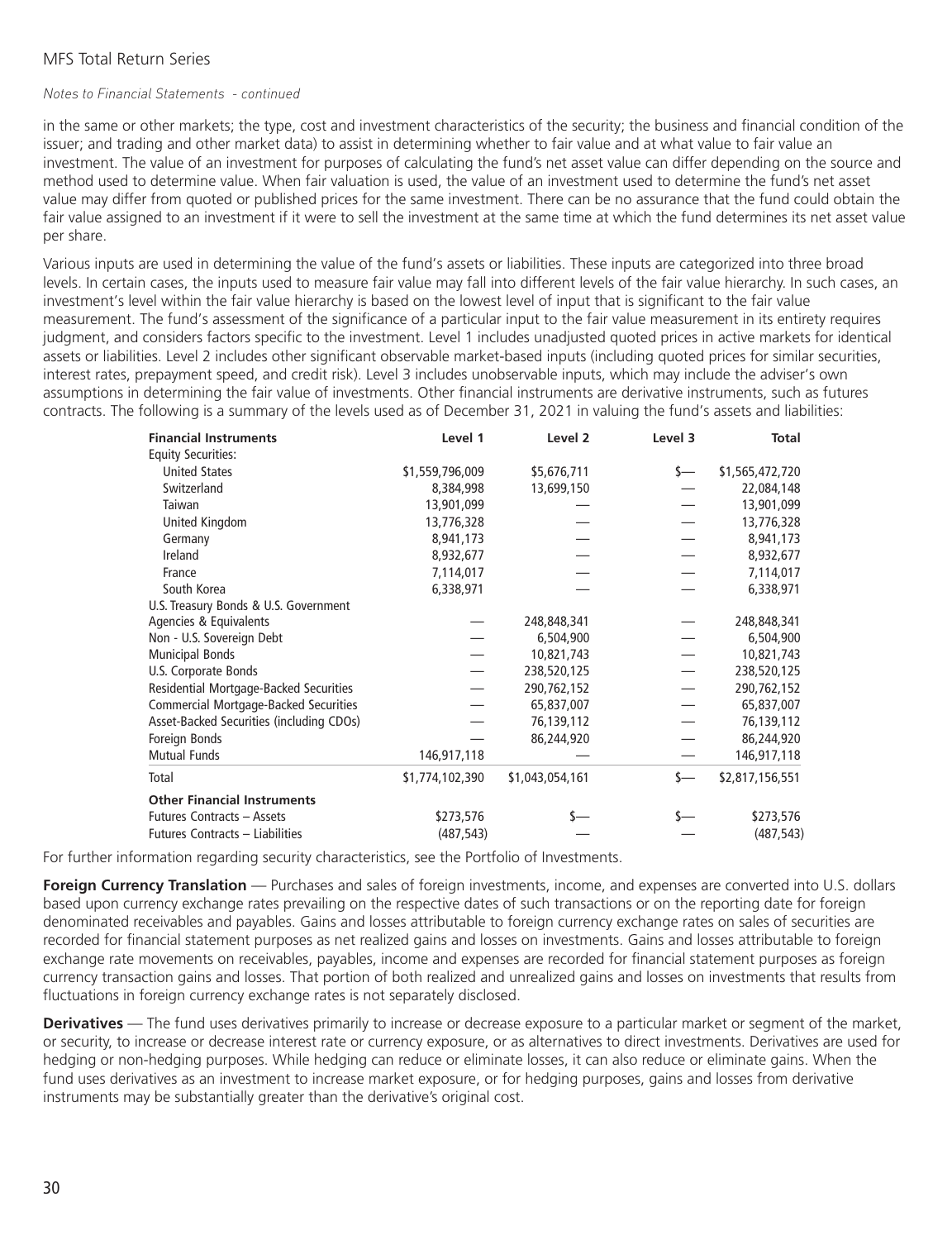#### *Notes to Financial Statements - continued*

in the same or other markets; the type, cost and investment characteristics of the security; the business and financial condition of the issuer; and trading and other market data) to assist in determining whether to fair value and at what value to fair value an investment. The value of an investment for purposes of calculating the fund's net asset value can differ depending on the source and method used to determine value. When fair valuation is used, the value of an investment used to determine the fund's net asset value may differ from quoted or published prices for the same investment. There can be no assurance that the fund could obtain the fair value assigned to an investment if it were to sell the investment at the same time at which the fund determines its net asset value per share.

Various inputs are used in determining the value of the fund's assets or liabilities. These inputs are categorized into three broad levels. In certain cases, the inputs used to measure fair value may fall into different levels of the fair value hierarchy. In such cases, an investment's level within the fair value hierarchy is based on the lowest level of input that is significant to the fair value measurement. The fund's assessment of the significance of a particular input to the fair value measurement in its entirety requires judgment, and considers factors specific to the investment. Level 1 includes unadjusted quoted prices in active markets for identical assets or liabilities. Level 2 includes other significant observable market-based inputs (including quoted prices for similar securities, interest rates, prepayment speed, and credit risk). Level 3 includes unobservable inputs, which may include the adviser's own assumptions in determining the fair value of investments. Other financial instruments are derivative instruments, such as futures contracts. The following is a summary of the levels used as of December 31, 2021 in valuing the fund's assets and liabilities:

| <b>Financial Instruments</b>                 | Level 1         | Level 2         | Level 3 | Total           |
|----------------------------------------------|-----------------|-----------------|---------|-----------------|
| <b>Equity Securities:</b>                    |                 |                 |         |                 |
| <b>United States</b>                         | \$1,559,796,009 | \$5,676,711     | s—      | \$1,565,472,720 |
| Switzerland                                  | 8,384,998       | 13,699,150      |         | 22,084,148      |
| Taiwan                                       | 13,901,099      |                 |         | 13,901,099      |
| United Kingdom                               | 13,776,328      |                 |         | 13,776,328      |
| Germany                                      | 8,941,173       |                 |         | 8,941,173       |
| Ireland                                      | 8,932,677       |                 |         | 8,932,677       |
| France                                       | 7,114,017       |                 |         | 7,114,017       |
| South Korea                                  | 6,338,971       |                 |         | 6,338,971       |
| U.S. Treasury Bonds & U.S. Government        |                 |                 |         |                 |
| Agencies & Equivalents                       |                 | 248,848,341     |         | 248,848,341     |
| Non - U.S. Sovereign Debt                    |                 | 6,504,900       |         | 6,504,900       |
| <b>Municipal Bonds</b>                       |                 | 10,821,743      |         | 10,821,743      |
| U.S. Corporate Bonds                         |                 | 238,520,125     |         | 238,520,125     |
| Residential Mortgage-Backed Securities       |                 | 290,762,152     |         | 290,762,152     |
| <b>Commercial Mortgage-Backed Securities</b> |                 | 65,837,007      |         | 65,837,007      |
| Asset-Backed Securities (including CDOs)     |                 | 76,139,112      |         | 76,139,112      |
| Foreign Bonds                                |                 | 86,244,920      |         | 86,244,920      |
| <b>Mutual Funds</b>                          | 146,917,118     |                 |         | 146,917,118     |
| Total                                        | \$1,774,102,390 | \$1,043,054,161 | \$—     | \$2,817,156,551 |
| <b>Other Financial Instruments</b>           |                 |                 |         |                 |
| Futures Contracts - Assets                   | \$273,576       |                 |         | \$273,576       |
| Futures Contracts - Liabilities              | (487, 543)      |                 |         | (487, 543)      |

For further information regarding security characteristics, see the Portfolio of Investments.

**Foreign Currency Translation** — Purchases and sales of foreign investments, income, and expenses are converted into U.S. dollars based upon currency exchange rates prevailing on the respective dates of such transactions or on the reporting date for foreign denominated receivables and payables. Gains and losses attributable to foreign currency exchange rates on sales of securities are recorded for financial statement purposes as net realized gains and losses on investments. Gains and losses attributable to foreign exchange rate movements on receivables, payables, income and expenses are recorded for financial statement purposes as foreign currency transaction gains and losses. That portion of both realized and unrealized gains and losses on investments that results from fluctuations in foreign currency exchange rates is not separately disclosed.

**Derivatives** — The fund uses derivatives primarily to increase or decrease exposure to a particular market or segment of the market, or security, to increase or decrease interest rate or currency exposure, or as alternatives to direct investments. Derivatives are used for hedging or non-hedging purposes. While hedging can reduce or eliminate losses, it can also reduce or eliminate gains. When the fund uses derivatives as an investment to increase market exposure, or for hedging purposes, gains and losses from derivative instruments may be substantially greater than the derivative's original cost.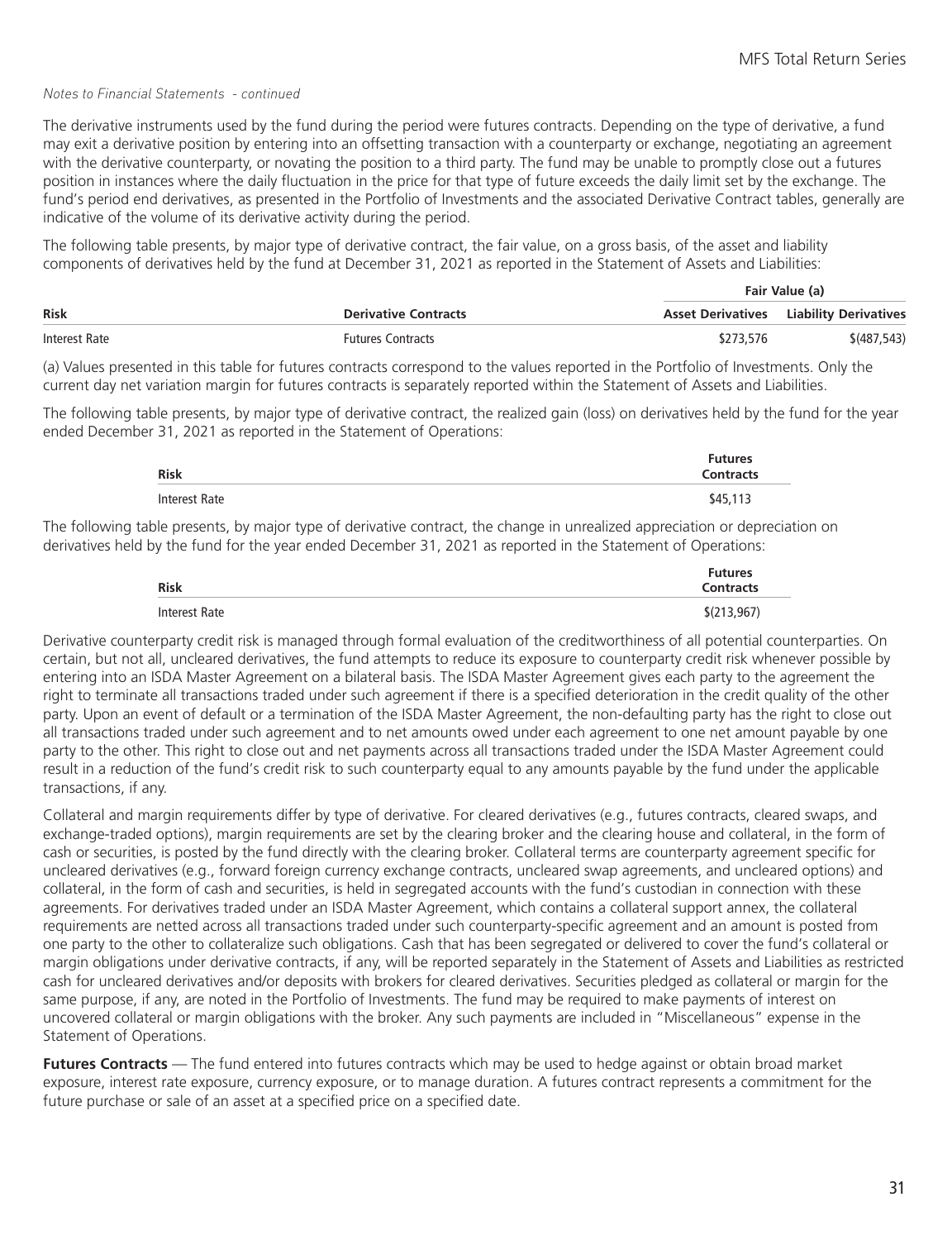The derivative instruments used by the fund during the period were futures contracts. Depending on the type of derivative, a fund may exit a derivative position by entering into an offsetting transaction with a counterparty or exchange, negotiating an agreement with the derivative counterparty, or novating the position to a third party. The fund may be unable to promptly close out a futures position in instances where the daily fluctuation in the price for that type of future exceeds the daily limit set by the exchange. The fund's period end derivatives, as presented in the Portfolio of Investments and the associated Derivative Contract tables, generally are indicative of the volume of its derivative activity during the period.

The following table presents, by major type of derivative contract, the fair value, on a gross basis, of the asset and liability components of derivatives held by the fund at December 31, 2021 as reported in the Statement of Assets and Liabilities:

|               |                             |           | Fair Value (a)                                 |
|---------------|-----------------------------|-----------|------------------------------------------------|
| Risk          | <b>Derivative Contracts</b> |           | <b>Asset Derivatives</b> Liability Derivatives |
| Interest Rate | <b>Futures Contracts</b>    | \$273,576 | \$(487,543)                                    |

(a) Values presented in this table for futures contracts correspond to the values reported in the Portfolio of Investments. Only the current day net variation margin for futures contracts is separately reported within the Statement of Assets and Liabilities.

The following table presents, by major type of derivative contract, the realized gain (loss) on derivatives held by the fund for the year ended December 31, 2021 as reported in the Statement of Operations:

| Risk          | <b>Futures</b><br><b>Contracts</b> |
|---------------|------------------------------------|
| Interest Rate | \$45,113                           |

The following table presents, by major type of derivative contract, the change in unrealized appreciation or depreciation on derivatives held by the fund for the year ended December 31, 2021 as reported in the Statement of Operations:

| <b>Risk</b>   | <b>Futures</b><br><b>Contracts</b> |
|---------------|------------------------------------|
| Interest Rate | \$(213,967)                        |

Derivative counterparty credit risk is managed through formal evaluation of the creditworthiness of all potential counterparties. On certain, but not all, uncleared derivatives, the fund attempts to reduce its exposure to counterparty credit risk whenever possible by entering into an ISDA Master Agreement on a bilateral basis. The ISDA Master Agreement gives each party to the agreement the right to terminate all transactions traded under such agreement if there is a specified deterioration in the credit quality of the other party. Upon an event of default or a termination of the ISDA Master Agreement, the non-defaulting party has the right to close out all transactions traded under such agreement and to net amounts owed under each agreement to one net amount payable by one party to the other. This right to close out and net payments across all transactions traded under the ISDA Master Agreement could result in a reduction of the fund's credit risk to such counterparty equal to any amounts payable by the fund under the applicable transactions, if any.

Collateral and margin requirements differ by type of derivative. For cleared derivatives (e.g., futures contracts, cleared swaps, and exchange-traded options), margin requirements are set by the clearing broker and the clearing house and collateral, in the form of cash or securities, is posted by the fund directly with the clearing broker. Collateral terms are counterparty agreement specific for uncleared derivatives (e.g., forward foreign currency exchange contracts, uncleared swap agreements, and uncleared options) and collateral, in the form of cash and securities, is held in segregated accounts with the fund's custodian in connection with these agreements. For derivatives traded under an ISDA Master Agreement, which contains a collateral support annex, the collateral requirements are netted across all transactions traded under such counterparty-specific agreement and an amount is posted from one party to the other to collateralize such obligations. Cash that has been segregated or delivered to cover the fund's collateral or margin obligations under derivative contracts, if any, will be reported separately in the Statement of Assets and Liabilities as restricted cash for uncleared derivatives and/or deposits with brokers for cleared derivatives. Securities pledged as collateral or margin for the same purpose, if any, are noted in the Portfolio of Investments. The fund may be required to make payments of interest on uncovered collateral or margin obligations with the broker. Any such payments are included in "Miscellaneous" expense in the Statement of Operations.

**Futures Contracts** — The fund entered into futures contracts which may be used to hedge against or obtain broad market exposure, interest rate exposure, currency exposure, or to manage duration. A futures contract represents a commitment for the future purchase or sale of an asset at a specified price on a specified date.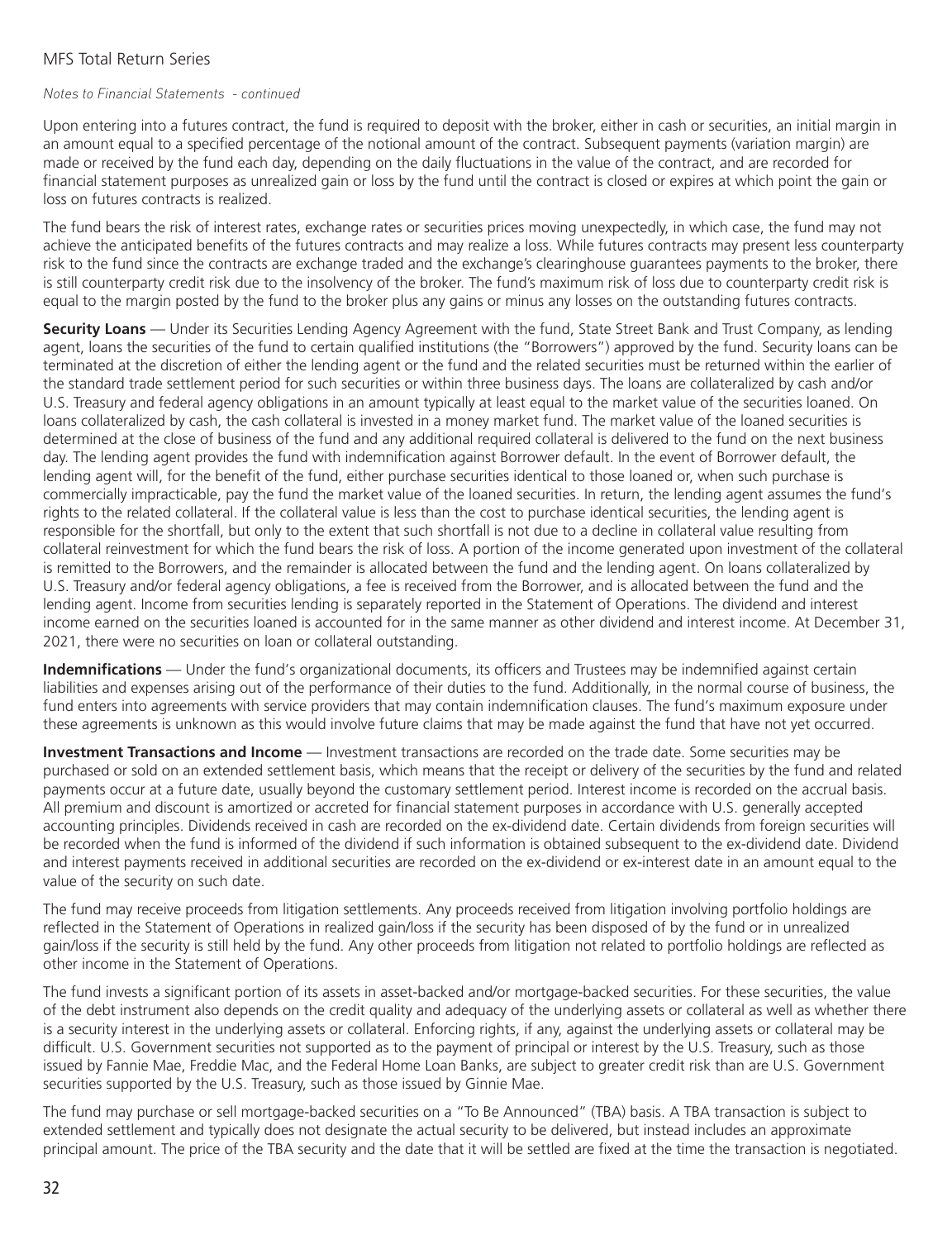#### *Notes to Financial Statements - continued*

Upon entering into a futures contract, the fund is required to deposit with the broker, either in cash or securities, an initial margin in an amount equal to a specified percentage of the notional amount of the contract. Subsequent payments (variation margin) are made or received by the fund each day, depending on the daily fluctuations in the value of the contract, and are recorded for financial statement purposes as unrealized gain or loss by the fund until the contract is closed or expires at which point the gain or loss on futures contracts is realized.

The fund bears the risk of interest rates, exchange rates or securities prices moving unexpectedly, in which case, the fund may not achieve the anticipated benefits of the futures contracts and may realize a loss. While futures contracts may present less counterparty risk to the fund since the contracts are exchange traded and the exchange's clearinghouse guarantees payments to the broker, there is still counterparty credit risk due to the insolvency of the broker. The fund's maximum risk of loss due to counterparty credit risk is equal to the margin posted by the fund to the broker plus any gains or minus any losses on the outstanding futures contracts.

**Security Loans** — Under its Securities Lending Agency Agreement with the fund, State Street Bank and Trust Company, as lending agent, loans the securities of the fund to certain qualified institutions (the "Borrowers") approved by the fund. Security loans can be terminated at the discretion of either the lending agent or the fund and the related securities must be returned within the earlier of the standard trade settlement period for such securities or within three business days. The loans are collateralized by cash and/or U.S. Treasury and federal agency obligations in an amount typically at least equal to the market value of the securities loaned. On loans collateralized by cash, the cash collateral is invested in a money market fund. The market value of the loaned securities is determined at the close of business of the fund and any additional required collateral is delivered to the fund on the next business day. The lending agent provides the fund with indemnification against Borrower default. In the event of Borrower default, the lending agent will, for the benefit of the fund, either purchase securities identical to those loaned or, when such purchase is commercially impracticable, pay the fund the market value of the loaned securities. In return, the lending agent assumes the fund's rights to the related collateral. If the collateral value is less than the cost to purchase identical securities, the lending agent is responsible for the shortfall, but only to the extent that such shortfall is not due to a decline in collateral value resulting from collateral reinvestment for which the fund bears the risk of loss. A portion of the income generated upon investment of the collateral is remitted to the Borrowers, and the remainder is allocated between the fund and the lending agent. On loans collateralized by U.S. Treasury and/or federal agency obligations, a fee is received from the Borrower, and is allocated between the fund and the lending agent. Income from securities lending is separately reported in the Statement of Operations. The dividend and interest income earned on the securities loaned is accounted for in the same manner as other dividend and interest income. At December 31, 2021, there were no securities on loan or collateral outstanding.

**Indemnifications** — Under the fund's organizational documents, its officers and Trustees may be indemnified against certain liabilities and expenses arising out of the performance of their duties to the fund. Additionally, in the normal course of business, the fund enters into agreements with service providers that may contain indemnification clauses. The fund's maximum exposure under these agreements is unknown as this would involve future claims that may be made against the fund that have not yet occurred.

**Investment Transactions and Income** — Investment transactions are recorded on the trade date. Some securities may be purchased or sold on an extended settlement basis, which means that the receipt or delivery of the securities by the fund and related payments occur at a future date, usually beyond the customary settlement period. Interest income is recorded on the accrual basis. All premium and discount is amortized or accreted for financial statement purposes in accordance with U.S. generally accepted accounting principles. Dividends received in cash are recorded on the ex-dividend date. Certain dividends from foreign securities will be recorded when the fund is informed of the dividend if such information is obtained subsequent to the ex-dividend date. Dividend and interest payments received in additional securities are recorded on the ex-dividend or ex-interest date in an amount equal to the value of the security on such date.

The fund may receive proceeds from litigation settlements. Any proceeds received from litigation involving portfolio holdings are reflected in the Statement of Operations in realized gain/loss if the security has been disposed of by the fund or in unrealized gain/loss if the security is still held by the fund. Any other proceeds from litigation not related to portfolio holdings are reflected as other income in the Statement of Operations.

The fund invests a significant portion of its assets in asset-backed and/or mortgage-backed securities. For these securities, the value of the debt instrument also depends on the credit quality and adequacy of the underlying assets or collateral as well as whether there is a security interest in the underlying assets or collateral. Enforcing rights, if any, against the underlying assets or collateral may be difficult. U.S. Government securities not supported as to the payment of principal or interest by the U.S. Treasury, such as those issued by Fannie Mae, Freddie Mac, and the Federal Home Loan Banks, are subject to greater credit risk than are U.S. Government securities supported by the U.S. Treasury, such as those issued by Ginnie Mae.

The fund may purchase or sell mortgage-backed securities on a "To Be Announced" (TBA) basis. A TBA transaction is subject to extended settlement and typically does not designate the actual security to be delivered, but instead includes an approximate principal amount. The price of the TBA security and the date that it will be settled are fixed at the time the transaction is negotiated.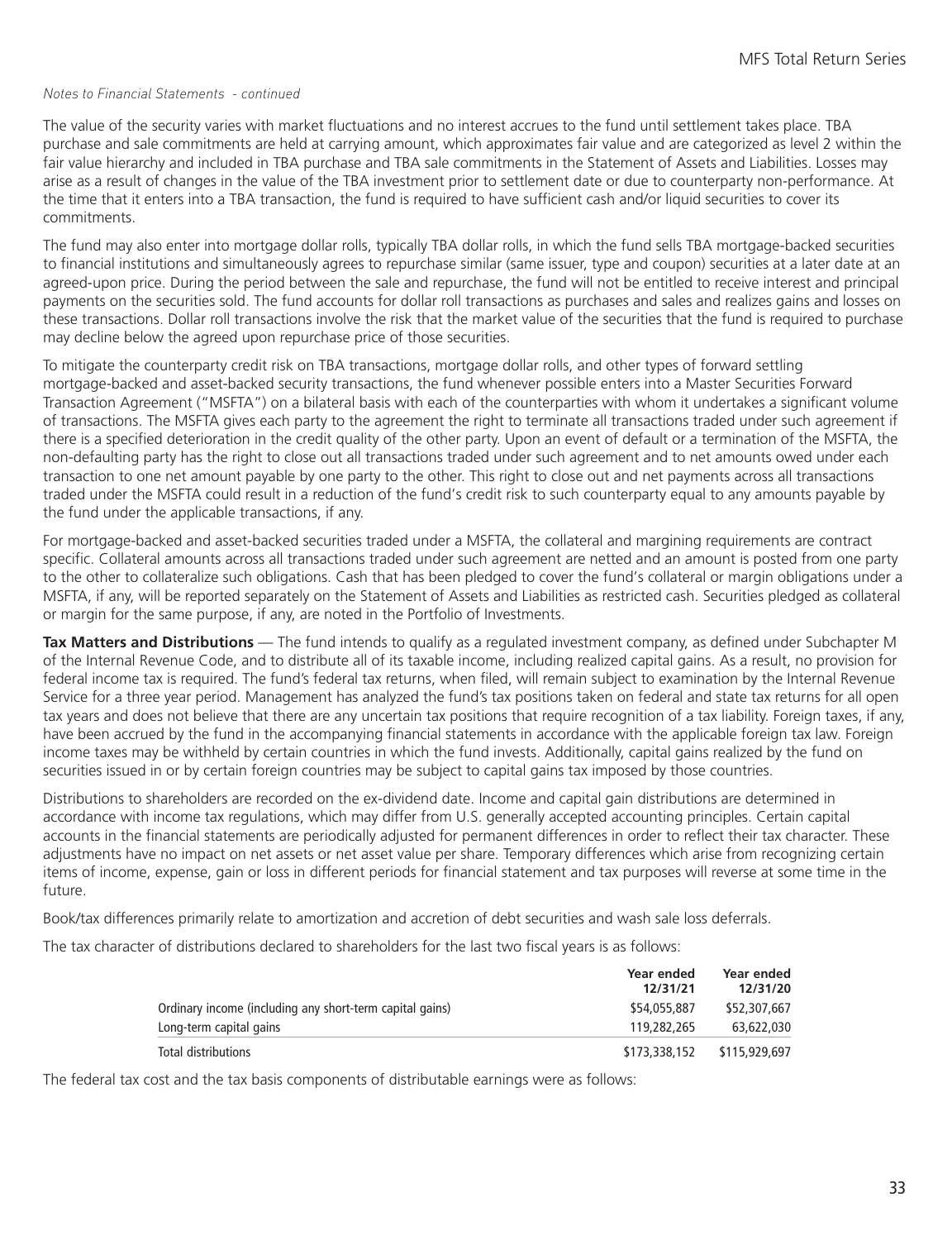The value of the security varies with market fluctuations and no interest accrues to the fund until settlement takes place. TBA purchase and sale commitments are held at carrying amount, which approximates fair value and are categorized as level 2 within the fair value hierarchy and included in TBA purchase and TBA sale commitments in the Statement of Assets and Liabilities. Losses may arise as a result of changes in the value of the TBA investment prior to settlement date or due to counterparty non-performance. At the time that it enters into a TBA transaction, the fund is required to have sufficient cash and/or liquid securities to cover its commitments.

The fund may also enter into mortgage dollar rolls, typically TBA dollar rolls, in which the fund sells TBA mortgage-backed securities to financial institutions and simultaneously agrees to repurchase similar (same issuer, type and coupon) securities at a later date at an agreed-upon price. During the period between the sale and repurchase, the fund will not be entitled to receive interest and principal payments on the securities sold. The fund accounts for dollar roll transactions as purchases and sales and realizes gains and losses on these transactions. Dollar roll transactions involve the risk that the market value of the securities that the fund is required to purchase may decline below the agreed upon repurchase price of those securities.

To mitigate the counterparty credit risk on TBA transactions, mortgage dollar rolls, and other types of forward settling mortgage-backed and asset-backed security transactions, the fund whenever possible enters into a Master Securities Forward Transaction Agreement ("MSFTA") on a bilateral basis with each of the counterparties with whom it undertakes a significant volume of transactions. The MSFTA gives each party to the agreement the right to terminate all transactions traded under such agreement if there is a specified deterioration in the credit quality of the other party. Upon an event of default or a termination of the MSFTA, the non-defaulting party has the right to close out all transactions traded under such agreement and to net amounts owed under each transaction to one net amount payable by one party to the other. This right to close out and net payments across all transactions traded under the MSFTA could result in a reduction of the fund's credit risk to such counterparty equal to any amounts payable by the fund under the applicable transactions, if any.

For mortgage-backed and asset-backed securities traded under a MSFTA, the collateral and margining requirements are contract specific. Collateral amounts across all transactions traded under such agreement are netted and an amount is posted from one party to the other to collateralize such obligations. Cash that has been pledged to cover the fund's collateral or margin obligations under a MSFTA, if any, will be reported separately on the Statement of Assets and Liabilities as restricted cash. Securities pledged as collateral or margin for the same purpose, if any, are noted in the Portfolio of Investments.

**Tax Matters and Distributions** — The fund intends to qualify as a regulated investment company, as defined under Subchapter M of the Internal Revenue Code, and to distribute all of its taxable income, including realized capital gains. As a result, no provision for federal income tax is required. The fund's federal tax returns, when filed, will remain subject to examination by the Internal Revenue Service for a three year period. Management has analyzed the fund's tax positions taken on federal and state tax returns for all open tax years and does not believe that there are any uncertain tax positions that require recognition of a tax liability. Foreign taxes, if any, have been accrued by the fund in the accompanying financial statements in accordance with the applicable foreign tax law. Foreign income taxes may be withheld by certain countries in which the fund invests. Additionally, capital gains realized by the fund on securities issued in or by certain foreign countries may be subject to capital gains tax imposed by those countries.

Distributions to shareholders are recorded on the ex-dividend date. Income and capital gain distributions are determined in accordance with income tax regulations, which may differ from U.S. generally accepted accounting principles. Certain capital accounts in the financial statements are periodically adjusted for permanent differences in order to reflect their tax character. These adjustments have no impact on net assets or net asset value per share. Temporary differences which arise from recognizing certain items of income, expense, gain or loss in different periods for financial statement and tax purposes will reverse at some time in the future.

Book/tax differences primarily relate to amortization and accretion of debt securities and wash sale loss deferrals.

The tax character of distributions declared to shareholders for the last two fiscal years is as follows:

|                                                          | Year ended<br>12/31/21 | Year ended<br>12/31/20 |
|----------------------------------------------------------|------------------------|------------------------|
| Ordinary income (including any short-term capital gains) | \$54,055,887           | \$52,307,667           |
| Long-term capital gains                                  | 119,282,265            | 63,622,030             |
| Total distributions                                      | \$173,338,152          | \$115,929,697          |

The federal tax cost and the tax basis components of distributable earnings were as follows: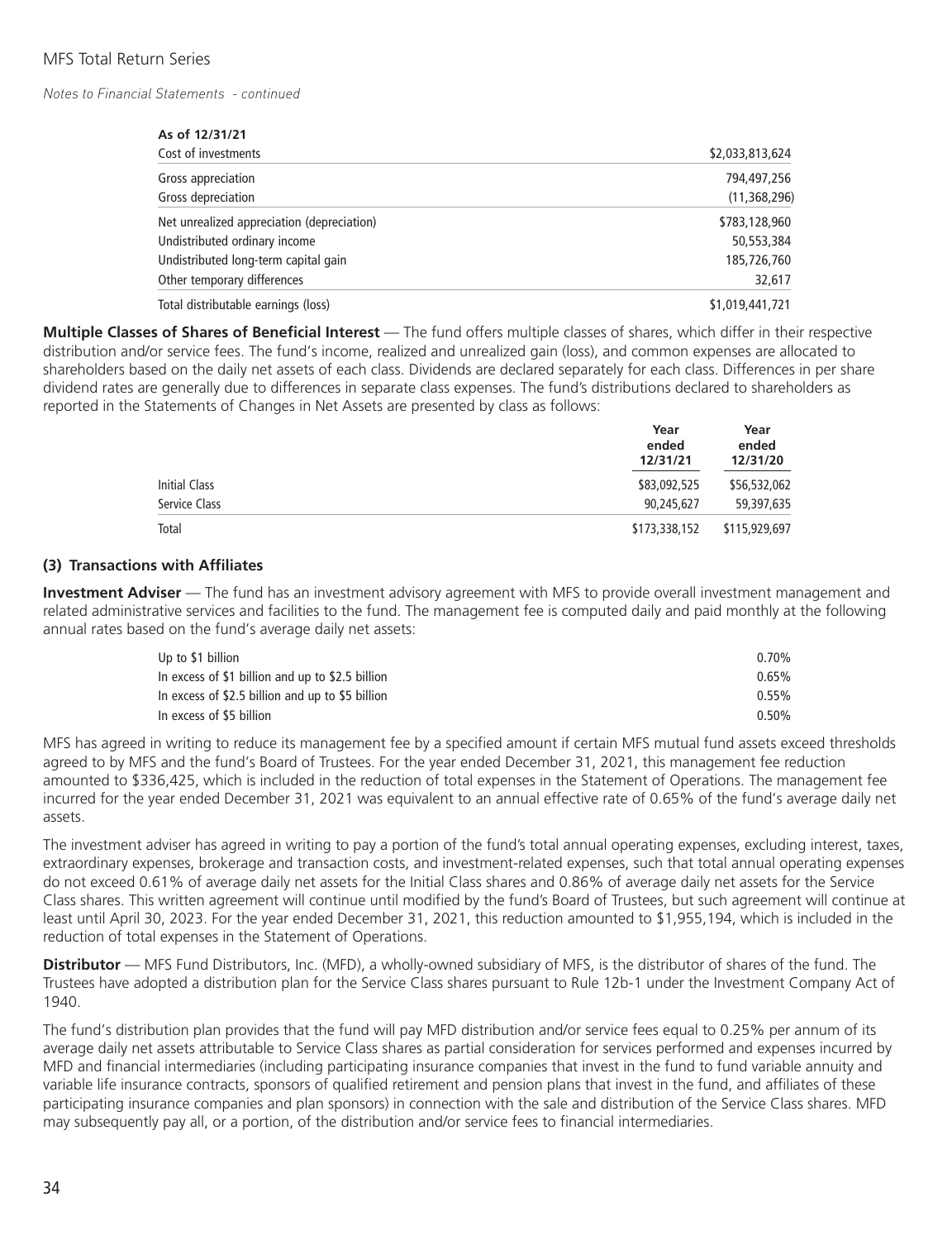| As of 12/31/21                             |                 |
|--------------------------------------------|-----------------|
| Cost of investments                        | \$2,033,813,624 |
| Gross appreciation                         | 794,497,256     |
| Gross depreciation                         | (11, 368, 296)  |
| Net unrealized appreciation (depreciation) | \$783,128,960   |
| Undistributed ordinary income              | 50,553,384      |
| Undistributed long-term capital gain       | 185,726,760     |
| Other temporary differences                | 32,617          |
| Total distributable earnings (loss)        | \$1,019,441,721 |

**Multiple Classes of Shares of Beneficial Interest** — The fund offers multiple classes of shares, which differ in their respective distribution and/or service fees. The fund's income, realized and unrealized gain (loss), and common expenses are allocated to shareholders based on the daily net assets of each class. Dividends are declared separately for each class. Differences in per share dividend rates are generally due to differences in separate class expenses. The fund's distributions declared to shareholders as reported in the Statements of Changes in Net Assets are presented by class as follows:

|               | Year<br>ended<br>12/31/21 | Year<br>ended<br>12/31/20 |
|---------------|---------------------------|---------------------------|
| Initial Class | \$83,092,525              | \$56,532,062              |
| Service Class | 90,245,627                | 59,397,635                |
| Total         | \$173,338,152             | \$115,929,697             |

#### **(3) Transactions with Affiliates**

**Investment Adviser** — The fund has an investment advisory agreement with MFS to provide overall investment management and related administrative services and facilities to the fund. The management fee is computed daily and paid monthly at the following annual rates based on the fund's average daily net assets:

| Up to \$1 billion                                | $0.70\%$ |
|--------------------------------------------------|----------|
| In excess of \$1 billion and up to \$2.5 billion | $0.65\%$ |
| In excess of \$2.5 billion and up to \$5 billion | $0.55\%$ |
| In excess of \$5 billion                         | $0.50\%$ |

MFS has agreed in writing to reduce its management fee by a specified amount if certain MFS mutual fund assets exceed thresholds agreed to by MFS and the fund's Board of Trustees. For the year ended December 31, 2021, this management fee reduction amounted to \$336,425, which is included in the reduction of total expenses in the Statement of Operations. The management fee incurred for the year ended December 31, 2021 was equivalent to an annual effective rate of 0.65% of the fund's average daily net assets.

The investment adviser has agreed in writing to pay a portion of the fund's total annual operating expenses, excluding interest, taxes, extraordinary expenses, brokerage and transaction costs, and investment-related expenses, such that total annual operating expenses do not exceed 0.61% of average daily net assets for the Initial Class shares and 0.86% of average daily net assets for the Service Class shares. This written agreement will continue until modified by the fund's Board of Trustees, but such agreement will continue at least until April 30, 2023. For the year ended December 31, 2021, this reduction amounted to \$1,955,194, which is included in the reduction of total expenses in the Statement of Operations.

**Distributor** — MFS Fund Distributors, Inc. (MFD), a wholly-owned subsidiary of MFS, is the distributor of shares of the fund. The Trustees have adopted a distribution plan for the Service Class shares pursuant to Rule 12b-1 under the Investment Company Act of 1940.

The fund's distribution plan provides that the fund will pay MFD distribution and/or service fees equal to 0.25% per annum of its average daily net assets attributable to Service Class shares as partial consideration for services performed and expenses incurred by MFD and financial intermediaries (including participating insurance companies that invest in the fund to fund variable annuity and variable life insurance contracts, sponsors of qualified retirement and pension plans that invest in the fund, and affiliates of these participating insurance companies and plan sponsors) in connection with the sale and distribution of the Service Class shares. MFD may subsequently pay all, or a portion, of the distribution and/or service fees to financial intermediaries.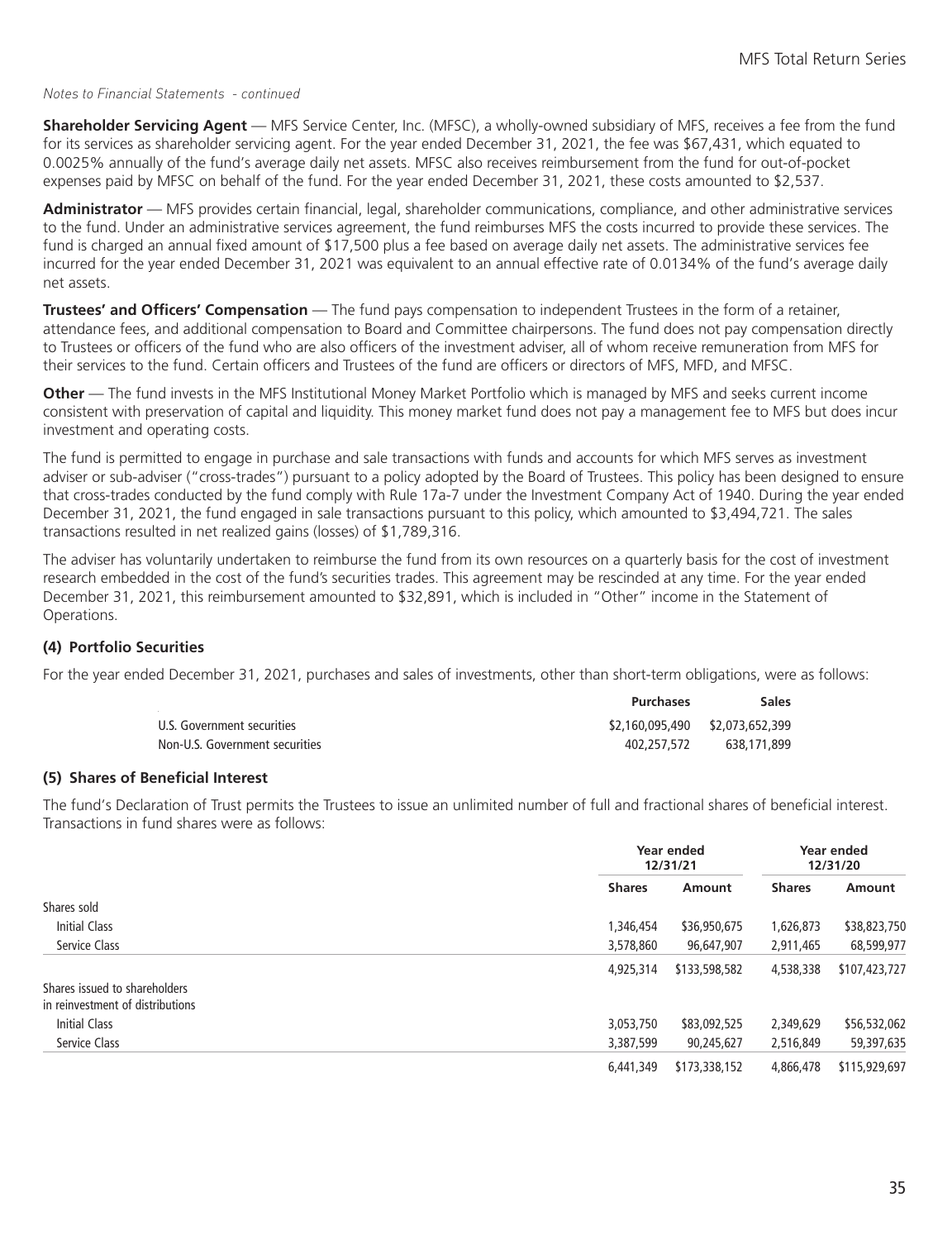**Shareholder Servicing Agent** — MFS Service Center, Inc. (MFSC), a wholly-owned subsidiary of MFS, receives a fee from the fund for its services as shareholder servicing agent. For the year ended December 31, 2021, the fee was \$67,431, which equated to 0.0025% annually of the fund's average daily net assets. MFSC also receives reimbursement from the fund for out-of-pocket expenses paid by MFSC on behalf of the fund. For the year ended December 31, 2021, these costs amounted to \$2,537.

**Administrator** — MFS provides certain financial, legal, shareholder communications, compliance, and other administrative services to the fund. Under an administrative services agreement, the fund reimburses MFS the costs incurred to provide these services. The fund is charged an annual fixed amount of \$17,500 plus a fee based on average daily net assets. The administrative services fee incurred for the year ended December 31, 2021 was equivalent to an annual effective rate of 0.0134% of the fund's average daily net assets.

**Trustees' and Officers' Compensation** — The fund pays compensation to independent Trustees in the form of a retainer, attendance fees, and additional compensation to Board and Committee chairpersons. The fund does not pay compensation directly to Trustees or officers of the fund who are also officers of the investment adviser, all of whom receive remuneration from MFS for their services to the fund. Certain officers and Trustees of the fund are officers or directors of MFS, MFD, and MFSC.

**Other** — The fund invests in the MFS Institutional Money Market Portfolio which is managed by MFS and seeks current income consistent with preservation of capital and liquidity. This money market fund does not pay a management fee to MFS but does incur investment and operating costs.

The fund is permitted to engage in purchase and sale transactions with funds and accounts for which MFS serves as investment adviser or sub-adviser ("cross-trades") pursuant to a policy adopted by the Board of Trustees. This policy has been designed to ensure that cross-trades conducted by the fund comply with Rule 17a-7 under the Investment Company Act of 1940. During the year ended December 31, 2021, the fund engaged in sale transactions pursuant to this policy, which amounted to \$3,494,721. The sales transactions resulted in net realized gains (losses) of \$1,789,316.

The adviser has voluntarily undertaken to reimburse the fund from its own resources on a quarterly basis for the cost of investment research embedded in the cost of the fund's securities trades. This agreement may be rescinded at any time. For the year ended December 31, 2021, this reimbursement amounted to \$32,891, which is included in "Other" income in the Statement of Operations.

#### **(4) Portfolio Securities**

For the year ended December 31, 2021, purchases and sales of investments, other than short-term obligations, were as follows:

|                                | <b>Purchases</b>                | <b>Sales</b> |
|--------------------------------|---------------------------------|--------------|
| U.S. Government securities     | \$2,160,095,490 \$2,073,652,399 |              |
| Non-U.S. Government securities | 402.257.572                     | 638.171.899  |

#### **(5) Shares of Beneficial Interest**

The fund's Declaration of Trust permits the Trustees to issue an unlimited number of full and fractional shares of beneficial interest. Transactions in fund shares were as follows:

|                                                                   |               | Year ended<br>12/31/21 |               | Year ended<br>12/31/20 |  |
|-------------------------------------------------------------------|---------------|------------------------|---------------|------------------------|--|
|                                                                   | <b>Shares</b> | Amount                 | <b>Shares</b> | Amount                 |  |
| Shares sold                                                       |               |                        |               |                        |  |
| Initial Class                                                     | 1,346,454     | \$36,950,675           | 1,626,873     | \$38,823,750           |  |
| Service Class                                                     | 3,578,860     | 96,647,907             | 2,911,465     | 68,599,977             |  |
|                                                                   | 4,925,314     | \$133,598,582          | 4,538,338     | \$107,423,727          |  |
| Shares issued to shareholders<br>in reinvestment of distributions |               |                        |               |                        |  |
| <b>Initial Class</b>                                              | 3,053,750     | \$83,092,525           | 2,349,629     | \$56,532,062           |  |
| Service Class                                                     | 3,387,599     | 90,245,627             | 2,516,849     | 59,397,635             |  |
|                                                                   | 6,441,349     | \$173,338,152          | 4,866,478     | \$115,929,697          |  |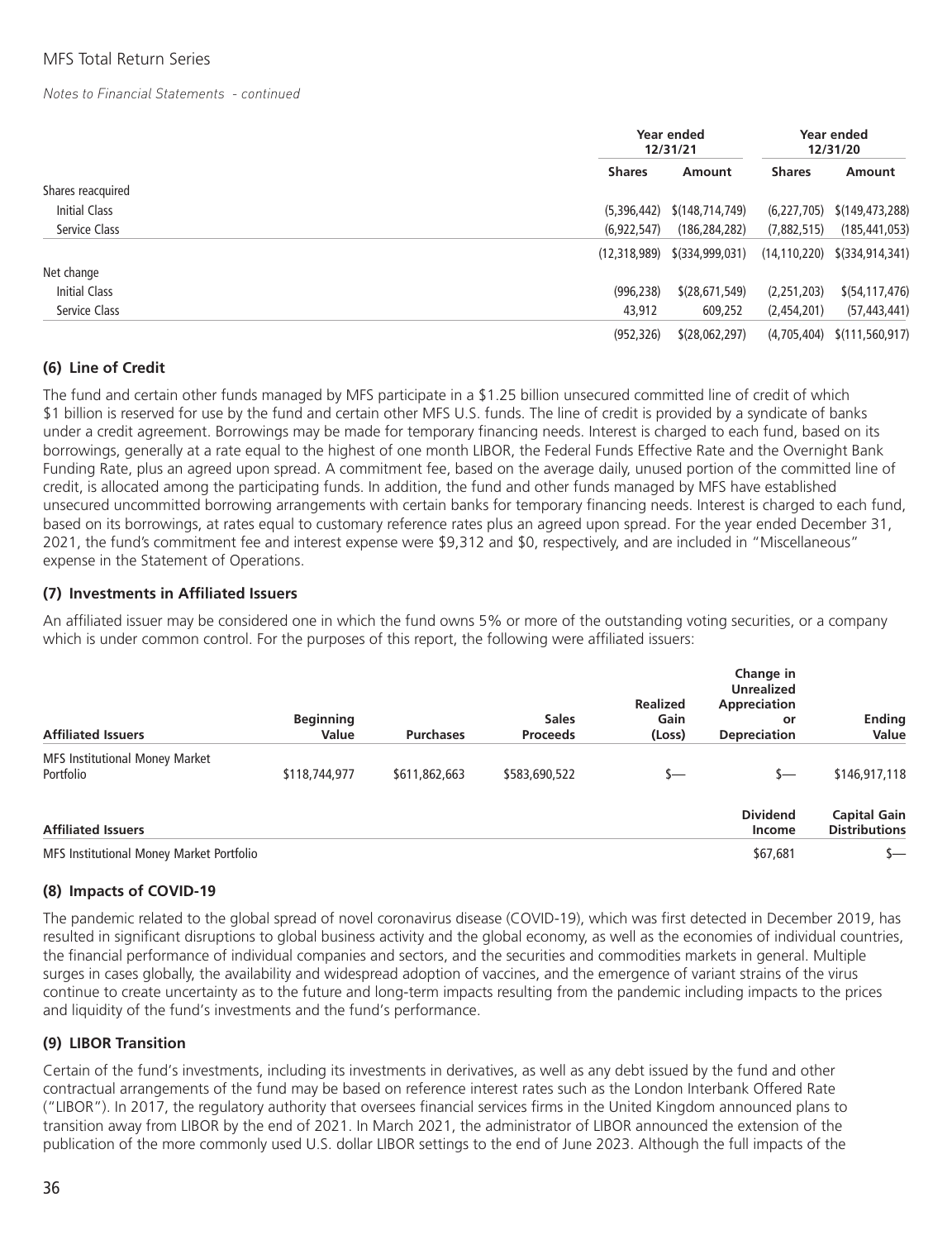|                   |               | Year ended<br>12/31/21          |               | Year ended<br>12/31/20                        |
|-------------------|---------------|---------------------------------|---------------|-----------------------------------------------|
|                   | <b>Shares</b> | Amount                          | <b>Shares</b> | Amount                                        |
| Shares reacquired |               |                                 |               |                                               |
| Initial Class     | (5,396,442)   | \$(148,714,749)                 | (6, 227, 705) | \$(149,473,288)                               |
| Service Class     | (6,922,547)   | (186, 284, 282)                 | (7,882,515)   | (185, 441, 053)                               |
|                   |               | $(12,318,989)$ $$(334,999,031)$ |               | $(14, 110, 220)$ $\left(334, 914, 341\right)$ |
| Net change        |               |                                 |               |                                               |
| Initial Class     | (996, 238)    | \$(28, 671, 549)                | (2,251,203)   | \$ (54, 117, 476)                             |
| Service Class     | 43,912        | 609,252                         | (2,454,201)   | (57, 443, 441)                                |
|                   | (952, 326)    | \$(28,062,297)                  | (4,705,404)   | \$(111,560,917)                               |

#### **(6) Line of Credit**

The fund and certain other funds managed by MFS participate in a \$1.25 billion unsecured committed line of credit of which \$1 billion is reserved for use by the fund and certain other MFS U.S. funds. The line of credit is provided by a syndicate of banks under a credit agreement. Borrowings may be made for temporary financing needs. Interest is charged to each fund, based on its borrowings, generally at a rate equal to the highest of one month LIBOR, the Federal Funds Effective Rate and the Overnight Bank Funding Rate, plus an agreed upon spread. A commitment fee, based on the average daily, unused portion of the committed line of credit, is allocated among the participating funds. In addition, the fund and other funds managed by MFS have established unsecured uncommitted borrowing arrangements with certain banks for temporary financing needs. Interest is charged to each fund, based on its borrowings, at rates equal to customary reference rates plus an agreed upon spread. For the year ended December 31, 2021, the fund's commitment fee and interest expense were \$9,312 and \$0, respectively, and are included in "Miscellaneous" expense in the Statement of Operations.

#### **(7) Investments in Affiliated Issuers**

An affiliated issuer may be considered one in which the fund owns 5% or more of the outstanding voting securities, or a company which is under common control. For the purposes of this report, the following were affiliated issuers:

| <b>Affiliated Issuers</b>                          | <b>Beginning</b><br>Value | <b>Purchases</b> | <b>Sales</b><br><b>Proceeds</b> | <b>Realized</b><br>Gain<br>(Loss) | Change in<br><b>Unrealized</b><br>Appreciation<br>or<br><b>Depreciation</b> | <b>Ending</b><br>Value                      |
|----------------------------------------------------|---------------------------|------------------|---------------------------------|-----------------------------------|-----------------------------------------------------------------------------|---------------------------------------------|
| <b>MFS Institutional Money Market</b><br>Portfolio | \$118,744,977             | \$611,862,663    | \$583,690,522                   | s—                                | s—                                                                          | \$146,917,118                               |
| <b>Affiliated Issuers</b>                          |                           |                  |                                 |                                   | <b>Dividend</b><br>Income                                                   | <b>Capital Gain</b><br><b>Distributions</b> |
| MFS Institutional Money Market Portfolio           |                           |                  |                                 |                                   | \$67,681                                                                    |                                             |

#### **(8) Impacts of COVID-19**

The pandemic related to the global spread of novel coronavirus disease (COVID-19), which was first detected in December 2019, has resulted in significant disruptions to global business activity and the global economy, as well as the economies of individual countries, the financial performance of individual companies and sectors, and the securities and commodities markets in general. Multiple surges in cases globally, the availability and widespread adoption of vaccines, and the emergence of variant strains of the virus continue to create uncertainty as to the future and long-term impacts resulting from the pandemic including impacts to the prices and liquidity of the fund's investments and the fund's performance.

#### **(9) LIBOR Transition**

Certain of the fund's investments, including its investments in derivatives, as well as any debt issued by the fund and other contractual arrangements of the fund may be based on reference interest rates such as the London Interbank Offered Rate ("LIBOR"). In 2017, the regulatory authority that oversees financial services firms in the United Kingdom announced plans to transition away from LIBOR by the end of 2021. In March 2021, the administrator of LIBOR announced the extension of the publication of the more commonly used U.S. dollar LIBOR settings to the end of June 2023. Although the full impacts of the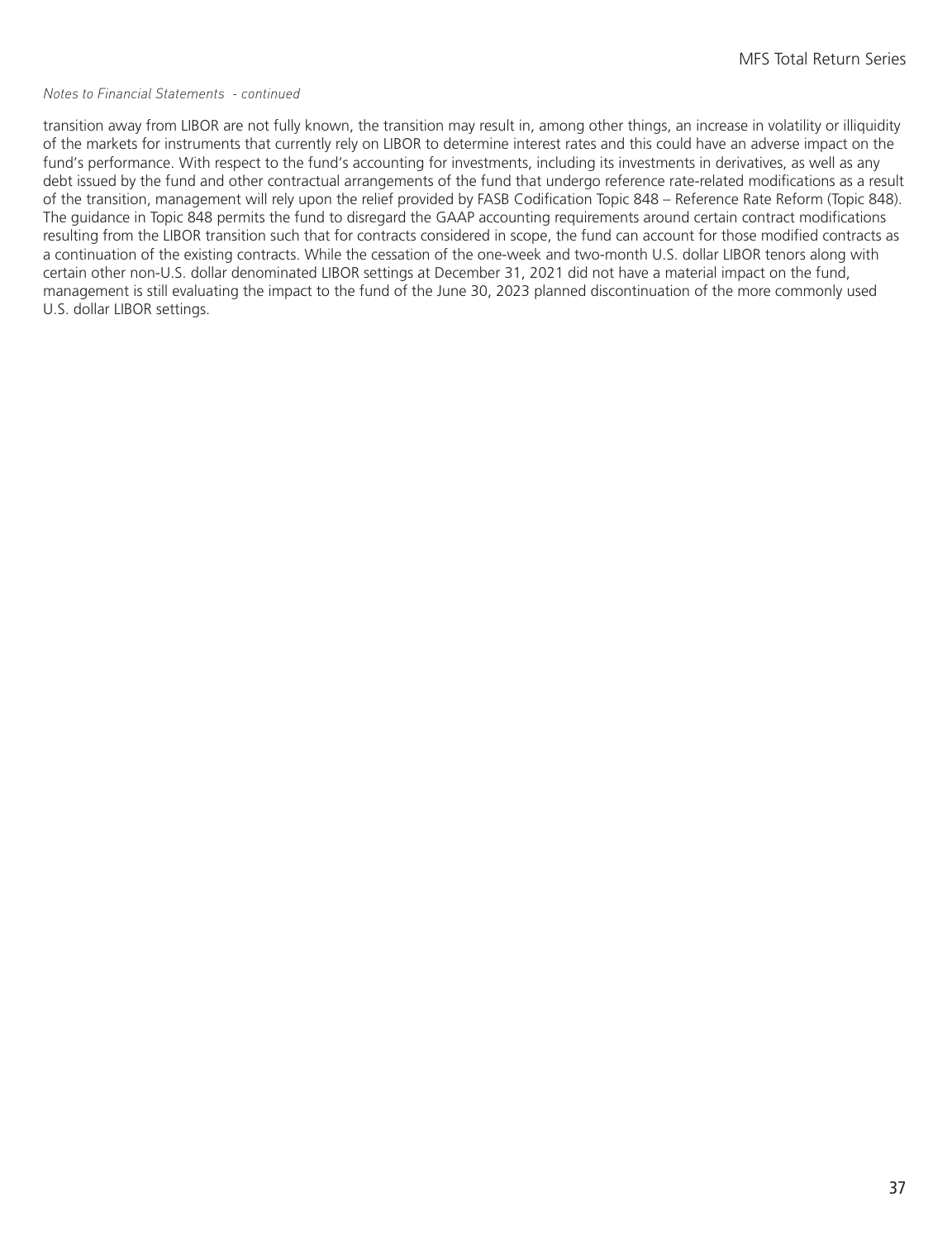transition away from LIBOR are not fully known, the transition may result in, among other things, an increase in volatility or illiquidity of the markets for instruments that currently rely on LIBOR to determine interest rates and this could have an adverse impact on the fund's performance. With respect to the fund's accounting for investments, including its investments in derivatives, as well as any debt issued by the fund and other contractual arrangements of the fund that undergo reference rate-related modifications as a result of the transition, management will rely upon the relief provided by FASB Codification Topic 848 – Reference Rate Reform (Topic 848). The guidance in Topic 848 permits the fund to disregard the GAAP accounting requirements around certain contract modifications resulting from the LIBOR transition such that for contracts considered in scope, the fund can account for those modified contracts as a continuation of the existing contracts. While the cessation of the one-week and two-month U.S. dollar LIBOR tenors along with certain other non-U.S. dollar denominated LIBOR settings at December 31, 2021 did not have a material impact on the fund, management is still evaluating the impact to the fund of the June 30, 2023 planned discontinuation of the more commonly used U.S. dollar LIBOR settings.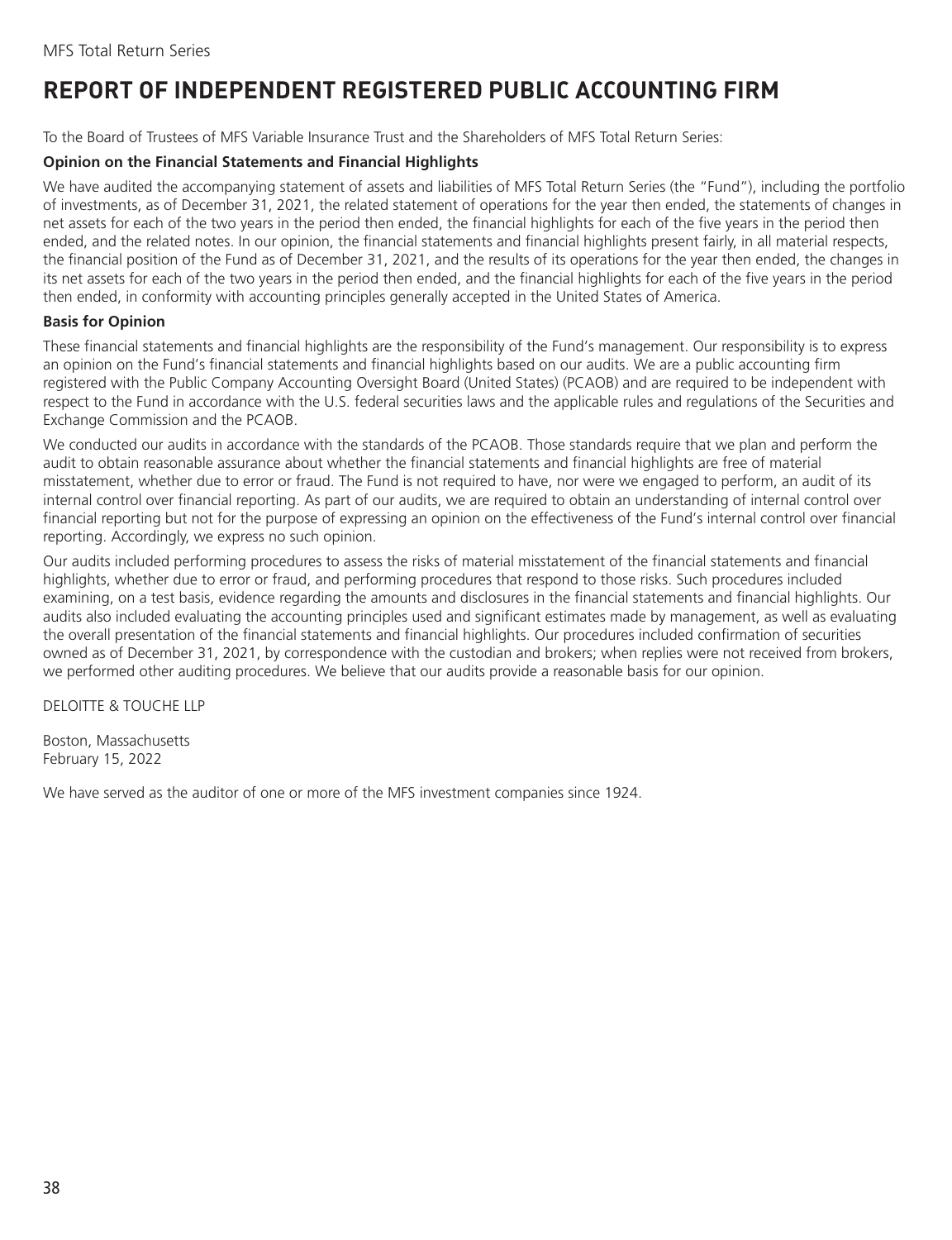### <span id="page-39-0"></span>**REPORT OF INDEPENDENT REGISTERED PUBLIC ACCOUNTING FIRM**

To the Board of Trustees of MFS Variable Insurance Trust and the Shareholders of MFS Total Return Series:

#### **Opinion on the Financial Statements and Financial Highlights**

We have audited the accompanying statement of assets and liabilities of MFS Total Return Series (the "Fund"), including the portfolio of investments, as of December 31, 2021, the related statement of operations for the year then ended, the statements of changes in net assets for each of the two years in the period then ended, the financial highlights for each of the five years in the period then ended, and the related notes. In our opinion, the financial statements and financial highlights present fairly, in all material respects, the financial position of the Fund as of December 31, 2021, and the results of its operations for the year then ended, the changes in its net assets for each of the two years in the period then ended, and the financial highlights for each of the five years in the period then ended, in conformity with accounting principles generally accepted in the United States of America.

#### **Basis for Opinion**

These financial statements and financial highlights are the responsibility of the Fund's management. Our responsibility is to express an opinion on the Fund's financial statements and financial highlights based on our audits. We are a public accounting firm registered with the Public Company Accounting Oversight Board (United States) (PCAOB) and are required to be independent with respect to the Fund in accordance with the U.S. federal securities laws and the applicable rules and regulations of the Securities and Exchange Commission and the PCAOB.

We conducted our audits in accordance with the standards of the PCAOB. Those standards require that we plan and perform the audit to obtain reasonable assurance about whether the financial statements and financial highlights are free of material misstatement, whether due to error or fraud. The Fund is not required to have, nor were we engaged to perform, an audit of its internal control over financial reporting. As part of our audits, we are required to obtain an understanding of internal control over financial reporting but not for the purpose of expressing an opinion on the effectiveness of the Fund's internal control over financial reporting. Accordingly, we express no such opinion.

Our audits included performing procedures to assess the risks of material misstatement of the financial statements and financial highlights, whether due to error or fraud, and performing procedures that respond to those risks. Such procedures included examining, on a test basis, evidence regarding the amounts and disclosures in the financial statements and financial highlights. Our audits also included evaluating the accounting principles used and significant estimates made by management, as well as evaluating the overall presentation of the financial statements and financial highlights. Our procedures included confirmation of securities owned as of December 31, 2021, by correspondence with the custodian and brokers; when replies were not received from brokers, we performed other auditing procedures. We believe that our audits provide a reasonable basis for our opinion.

DELOITTE & TOUCHE LLP

Boston, Massachusetts February 15, 2022

We have served as the auditor of one or more of the MFS investment companies since 1924.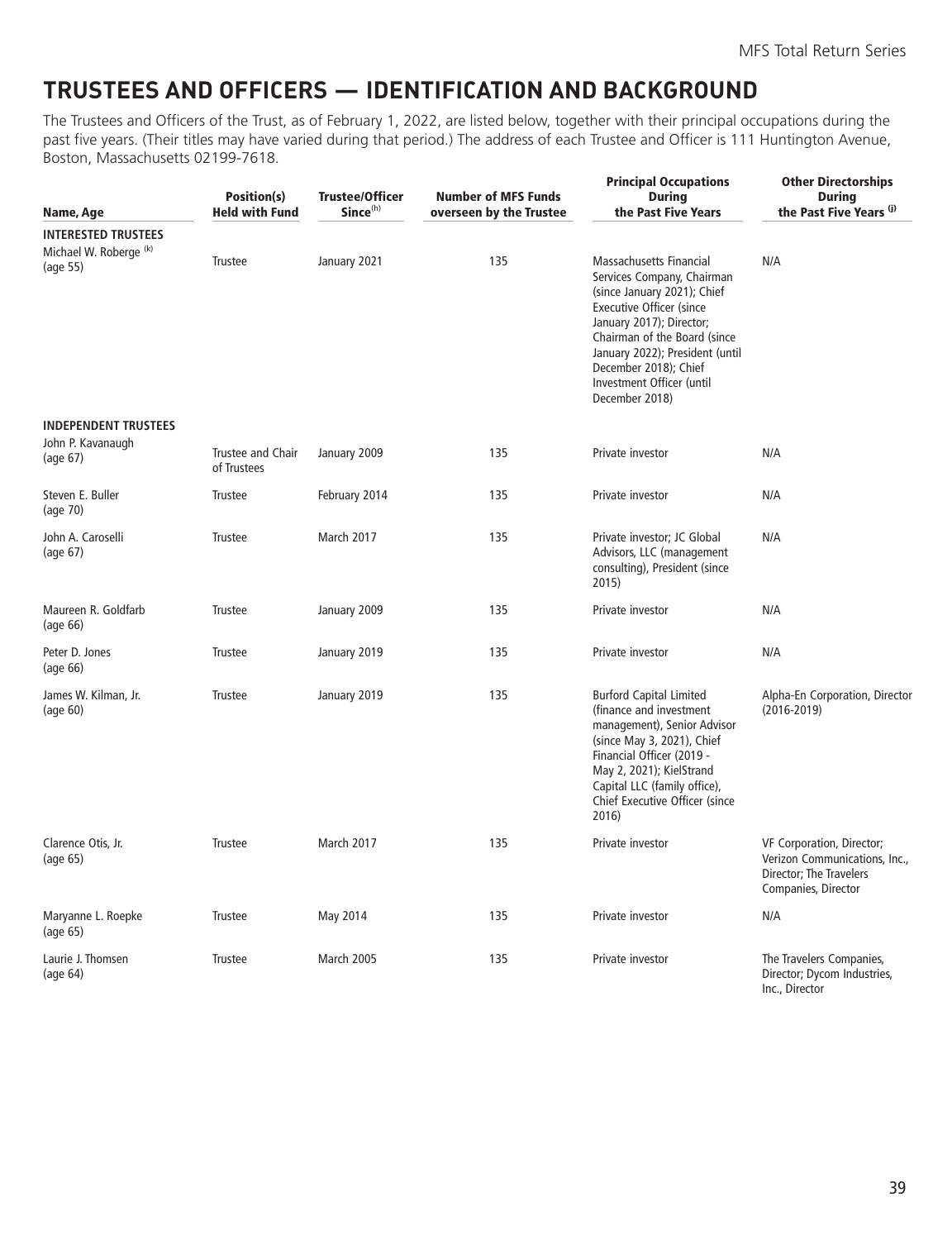### <span id="page-40-0"></span>**TRUSTEES AND OFFICERS — IDENTIFICATION AND BACKGROUND**

The Trustees and Officers of the Trust, as of February 1, 2022, are listed below, together with their principal occupations during the past five years. (Their titles may have varied during that period.) The address of each Trustee and Officer is 111 Huntington Avenue, Boston, Massachusetts 02199-7618.

| Name, Age                                                                   | Position(s)<br><b>Held with Fund</b> | <b>Trustee/Officer</b><br>Since <sup>(h)</sup> | <b>Number of MFS Funds</b><br>overseen by the Trustee | <b>Principal Occupations</b><br><b>During</b><br>the Past Five Years                                                                                                                                                                                                                           | <b>Other Directorships</b><br><b>During</b><br>the Past Five Years (i)                                       |
|-----------------------------------------------------------------------------|--------------------------------------|------------------------------------------------|-------------------------------------------------------|------------------------------------------------------------------------------------------------------------------------------------------------------------------------------------------------------------------------------------------------------------------------------------------------|--------------------------------------------------------------------------------------------------------------|
| <b>INTERESTED TRUSTEES</b><br>Michael W. Roberge <sup>(k)</sup><br>(age 55) | Trustee                              | January 2021                                   | 135                                                   | Massachusetts Financial<br>Services Company, Chairman<br>(since January 2021); Chief<br><b>Executive Officer (since</b><br>January 2017); Director;<br>Chairman of the Board (since<br>January 2022); President (until<br>December 2018); Chief<br>Investment Officer (until<br>December 2018) | N/A                                                                                                          |
| <b>INDEPENDENT TRUSTEES</b><br>John P. Kavanaugh<br>(age 67)                | Trustee and Chair<br>of Trustees     | January 2009                                   | 135                                                   | Private investor                                                                                                                                                                                                                                                                               | N/A                                                                                                          |
| Steven E. Buller<br>(age 70)                                                | <b>Trustee</b>                       | February 2014                                  | 135                                                   | Private investor                                                                                                                                                                                                                                                                               | N/A                                                                                                          |
| John A. Caroselli<br>(age 67)                                               | Trustee                              | March 2017                                     | 135                                                   | Private investor; JC Global<br>Advisors, LLC (management<br>consulting), President (since<br>2015)                                                                                                                                                                                             | N/A                                                                                                          |
| Maureen R. Goldfarb<br>(age 66)                                             | Trustee                              | January 2009                                   | 135                                                   | Private investor                                                                                                                                                                                                                                                                               | N/A                                                                                                          |
| Peter D. Jones<br>(age 66)                                                  | <b>Trustee</b>                       | January 2019                                   | 135                                                   | Private investor                                                                                                                                                                                                                                                                               | N/A                                                                                                          |
| James W. Kilman, Jr.<br>(aqe 60)                                            | <b>Trustee</b>                       | January 2019                                   | 135                                                   | <b>Burford Capital Limited</b><br>(finance and investment<br>management), Senior Advisor<br>(since May 3, 2021), Chief<br>Financial Officer (2019 -<br>May 2, 2021); KielStrand<br>Capital LLC (family office),<br>Chief Executive Officer (since<br>2016)                                     | Alpha-En Corporation, Director<br>$(2016 - 2019)$                                                            |
| Clarence Otis, Jr.<br>(age 65)                                              | Trustee                              | March 2017                                     | 135                                                   | Private investor                                                                                                                                                                                                                                                                               | VF Corporation, Director;<br>Verizon Communications, Inc.,<br>Director; The Travelers<br>Companies, Director |
| Maryanne L. Roepke<br>(age 65)                                              | <b>Trustee</b>                       | May 2014                                       | 135                                                   | Private investor                                                                                                                                                                                                                                                                               | N/A                                                                                                          |
| Laurie J. Thomsen<br>(aq <sub>e</sub> 64)                                   | Trustee                              | March 2005                                     | 135                                                   | Private investor                                                                                                                                                                                                                                                                               | The Travelers Companies,<br>Director; Dycom Industries,<br>Inc., Director                                    |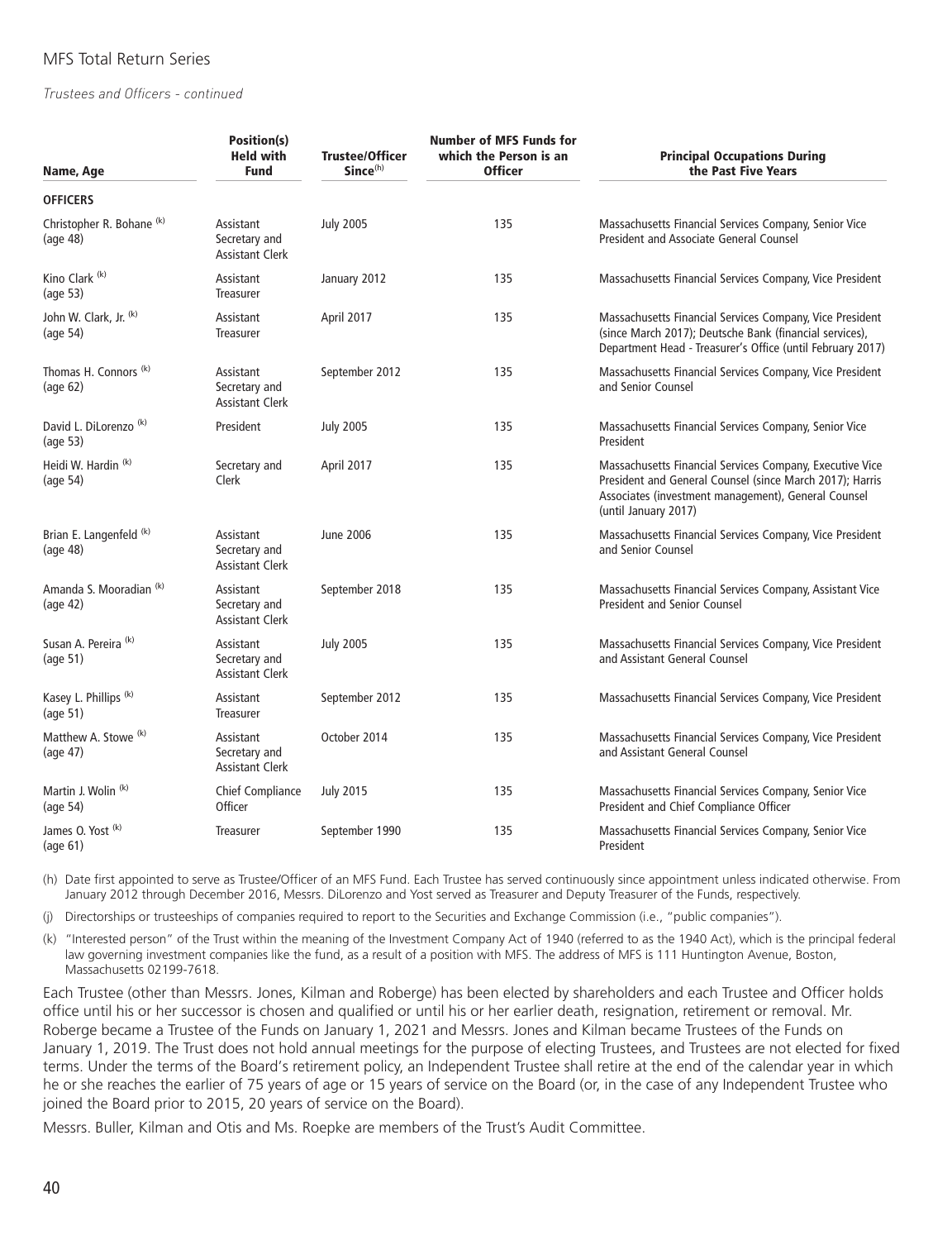*Trustees and Officers - continued*

| Name, Age                                                | Position(s)<br><b>Held with</b><br><b>Fund</b>       | <b>Trustee/Officer</b><br>Since <sup>(h)</sup> | <b>Number of MFS Funds for</b><br>which the Person is an<br><b>Officer</b> | <b>Principal Occupations During</b><br>the Past Five Years                                                                                                                                          |
|----------------------------------------------------------|------------------------------------------------------|------------------------------------------------|----------------------------------------------------------------------------|-----------------------------------------------------------------------------------------------------------------------------------------------------------------------------------------------------|
| <b>OFFICERS</b>                                          |                                                      |                                                |                                                                            |                                                                                                                                                                                                     |
| Christopher R. Bohane <sup>(k)</sup><br>(age 48)         | Assistant<br>Secretary and<br><b>Assistant Clerk</b> | <b>July 2005</b>                               | 135                                                                        | Massachusetts Financial Services Company, Senior Vice<br>President and Associate General Counsel                                                                                                    |
| Kino Clark <sup>(k)</sup><br>(age 53)                    | Assistant<br>Treasurer                               | January 2012                                   | 135                                                                        | Massachusetts Financial Services Company, Vice President                                                                                                                                            |
| John W. Clark, Jr. (k)<br>(aq <sub>e</sub> 54)           | Assistant<br>Treasurer                               | April 2017                                     | 135                                                                        | Massachusetts Financial Services Company, Vice President<br>(since March 2017); Deutsche Bank (financial services),<br>Department Head - Treasurer's Office (until February 2017)                   |
| Thomas H. Connors <sup>(k)</sup><br>(aq <sub>e</sub> 62) | Assistant<br>Secretary and<br><b>Assistant Clerk</b> | September 2012                                 | 135                                                                        | Massachusetts Financial Services Company, Vice President<br>and Senior Counsel                                                                                                                      |
| David L. DiLorenzo <sup>(k)</sup><br>(age 53)            | President                                            | <b>July 2005</b>                               | 135                                                                        | Massachusetts Financial Services Company, Senior Vice<br>President                                                                                                                                  |
| Heidi W. Hardin (k)<br>(aq <sub>e</sub> 54)              | Secretary and<br>Clerk                               | April 2017                                     | 135                                                                        | Massachusetts Financial Services Company, Executive Vice<br>President and General Counsel (since March 2017); Harris<br>Associates (investment management), General Counsel<br>(until January 2017) |
| Brian E. Langenfeld <sup>(k)</sup><br>(age 48)           | Assistant<br>Secretary and<br><b>Assistant Clerk</b> | June 2006                                      | 135                                                                        | Massachusetts Financial Services Company, Vice President<br>and Senior Counsel                                                                                                                      |
| Amanda S. Mooradian (k)<br>(aq <sub>e</sub> 42)          | Assistant<br>Secretary and<br><b>Assistant Clerk</b> | September 2018                                 | 135                                                                        | Massachusetts Financial Services Company, Assistant Vice<br><b>President and Senior Counsel</b>                                                                                                     |
| Susan A. Pereira <sup>(k)</sup><br>(age 51)              | Assistant<br>Secretary and<br><b>Assistant Clerk</b> | <b>July 2005</b>                               | 135                                                                        | Massachusetts Financial Services Company, Vice President<br>and Assistant General Counsel                                                                                                           |
| Kasey L. Phillips <sup>(k)</sup><br>(age 51)             | Assistant<br>Treasurer                               | September 2012                                 | 135                                                                        | Massachusetts Financial Services Company, Vice President                                                                                                                                            |
| Matthew A. Stowe <sup>(k)</sup><br>(age 47)              | Assistant<br>Secretary and<br><b>Assistant Clerk</b> | October 2014                                   | 135                                                                        | Massachusetts Financial Services Company, Vice President<br>and Assistant General Counsel                                                                                                           |
| Martin J. Wolin <sup>(k)</sup><br>(age 54)               | Chief Compliance<br>Officer                          | <b>July 2015</b>                               | 135                                                                        | Massachusetts Financial Services Company, Senior Vice<br>President and Chief Compliance Officer                                                                                                     |
| James O. Yost (k)<br>(age 61)                            | <b>Treasurer</b>                                     | September 1990                                 | 135                                                                        | Massachusetts Financial Services Company, Senior Vice<br>President                                                                                                                                  |

(h) Date first appointed to serve as Trustee/Officer of an MFS Fund. Each Trustee has served continuously since appointment unless indicated otherwise. From January 2012 through December 2016, Messrs. DiLorenzo and Yost served as Treasurer and Deputy Treasurer of the Funds, respectively.

(j) Directorships or trusteeships of companies required to report to the Securities and Exchange Commission (i.e., "public companies").

(k) "Interested person" of the Trust within the meaning of the Investment Company Act of 1940 (referred to as the 1940 Act), which is the principal federal law governing investment companies like the fund, as a result of a position with MFS. The address of MFS is 111 Huntington Avenue, Boston, Massachusetts 02199-7618.

Each Trustee (other than Messrs. Jones, Kilman and Roberge) has been elected by shareholders and each Trustee and Officer holds office until his or her successor is chosen and qualified or until his or her earlier death, resignation, retirement or removal. Mr. Roberge became a Trustee of the Funds on January 1, 2021 and Messrs. Jones and Kilman became Trustees of the Funds on January 1, 2019. The Trust does not hold annual meetings for the purpose of electing Trustees, and Trustees are not elected for fixed terms. Under the terms of the Board's retirement policy, an Independent Trustee shall retire at the end of the calendar year in which he or she reaches the earlier of 75 years of age or 15 years of service on the Board (or, in the case of any Independent Trustee who joined the Board prior to 2015, 20 years of service on the Board).

Messrs. Buller, Kilman and Otis and Ms. Roepke are members of the Trust's Audit Committee.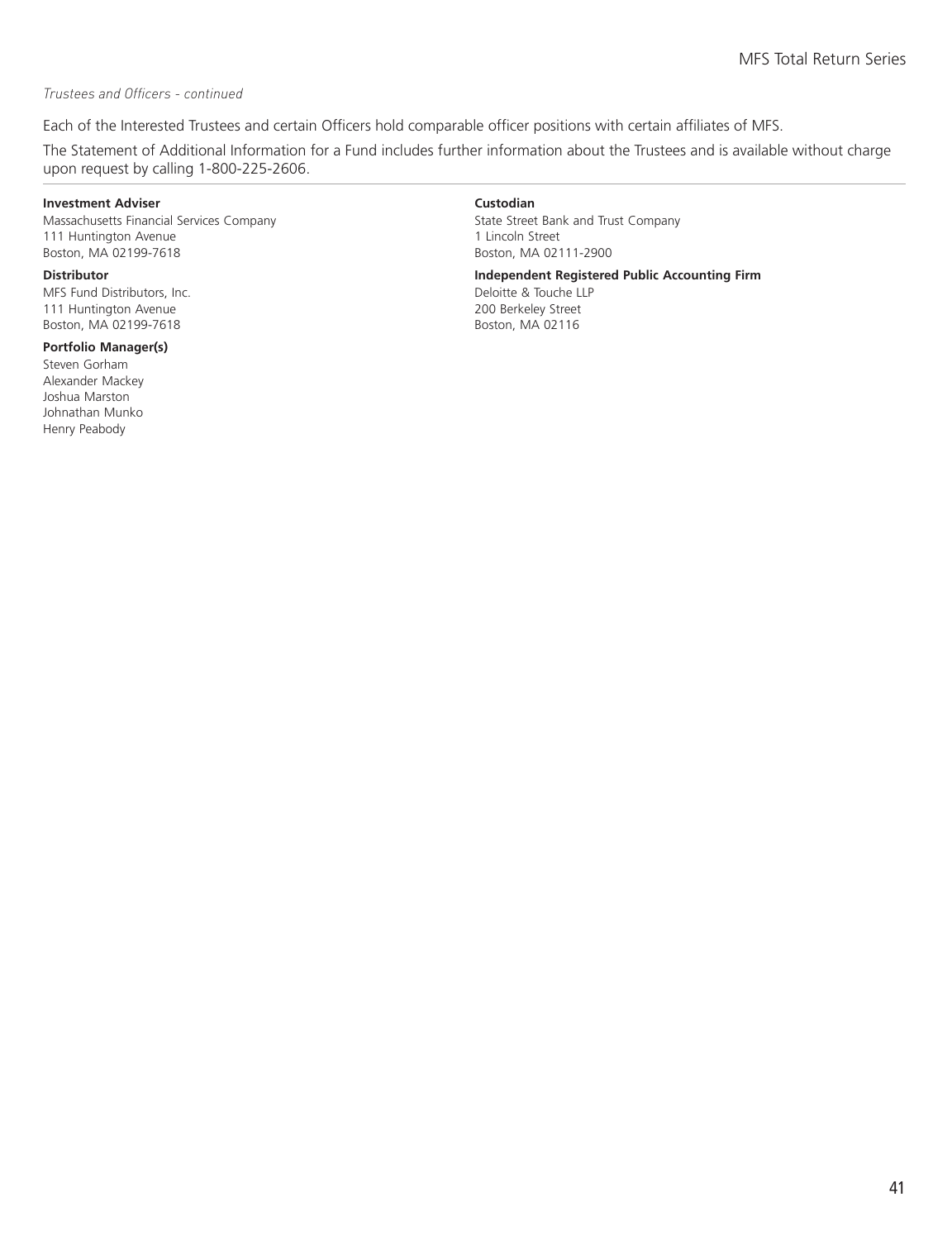#### *Trustees and Officers - continued*

Each of the Interested Trustees and certain Officers hold comparable officer positions with certain affiliates of MFS.

The Statement of Additional Information for a Fund includes further information about the Trustees and is available without charge upon request by calling 1-800-225-2606.

#### **Investment Adviser Custodian**

Massachusetts Financial Services Company 111 Huntington Avenue Boston, MA 02199-7618

MFS Fund Distributors, Inc. 111 Huntington Avenue Boston, MA 02199-7618

#### **Portfolio Manager(s)**

Steven Gorham Alexander Mackey Joshua Marston Johnathan Munko Henry Peabody

State Street Bank and Trust Company 1 Lincoln Street Boston, MA 02111-2900

**Distributor Independent Registered Public Accounting Firm**

Deloitte & Touche LLP 200 Berkeley Street Boston, MA 02116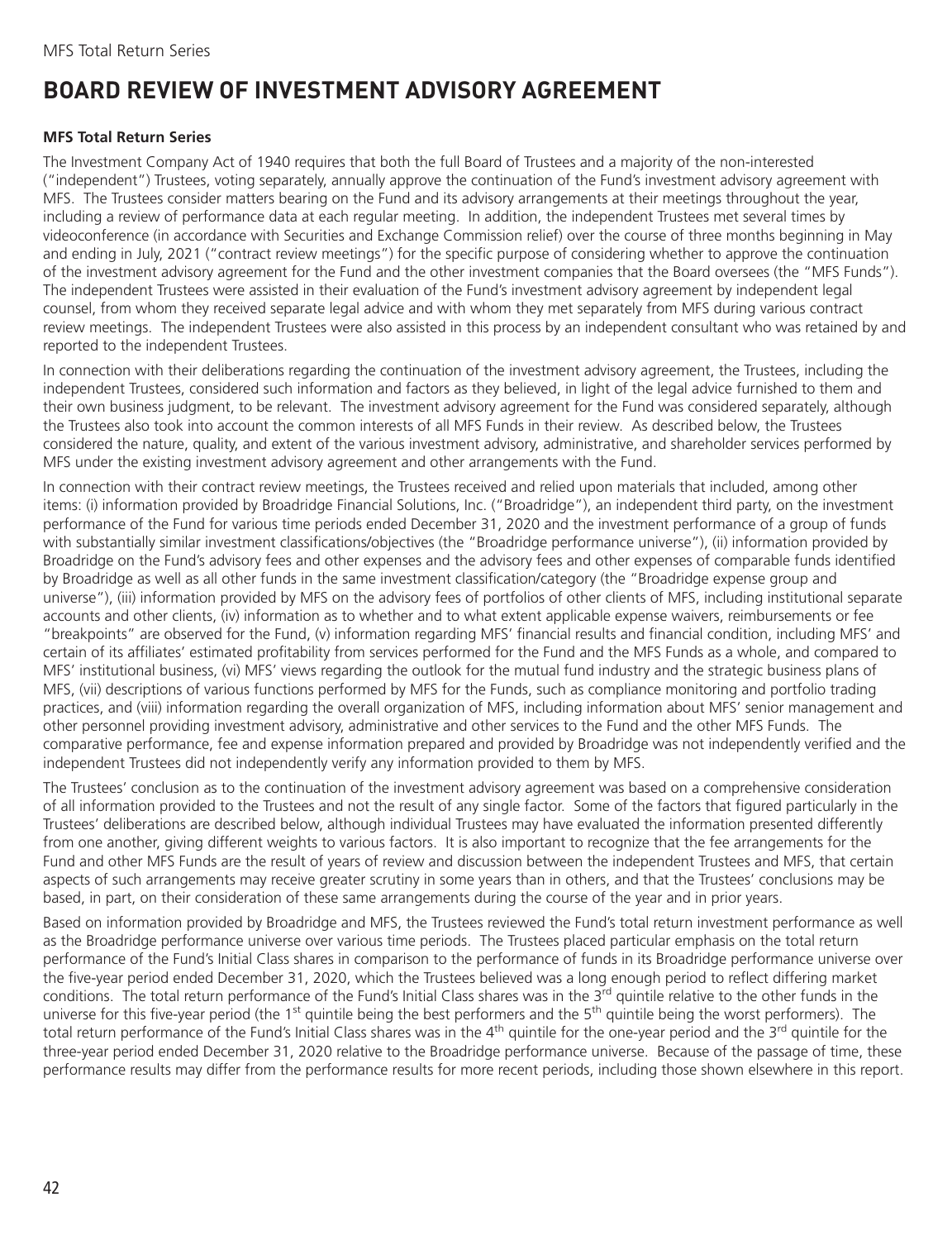### <span id="page-43-0"></span>**BOARD REVIEW OF INVESTMENT ADVISORY AGREEMENT**

#### **MFS Total Return Series**

The Investment Company Act of 1940 requires that both the full Board of Trustees and a majority of the non-interested ("independent") Trustees, voting separately, annually approve the continuation of the Fund's investment advisory agreement with MFS. The Trustees consider matters bearing on the Fund and its advisory arrangements at their meetings throughout the year, including a review of performance data at each regular meeting. In addition, the independent Trustees met several times by videoconference (in accordance with Securities and Exchange Commission relief) over the course of three months beginning in May and ending in July, 2021 ("contract review meetings") for the specific purpose of considering whether to approve the continuation of the investment advisory agreement for the Fund and the other investment companies that the Board oversees (the "MFS Funds"). The independent Trustees were assisted in their evaluation of the Fund's investment advisory agreement by independent legal counsel, from whom they received separate legal advice and with whom they met separately from MFS during various contract review meetings. The independent Trustees were also assisted in this process by an independent consultant who was retained by and reported to the independent Trustees.

In connection with their deliberations regarding the continuation of the investment advisory agreement, the Trustees, including the independent Trustees, considered such information and factors as they believed, in light of the legal advice furnished to them and their own business judgment, to be relevant. The investment advisory agreement for the Fund was considered separately, although the Trustees also took into account the common interests of all MFS Funds in their review. As described below, the Trustees considered the nature, quality, and extent of the various investment advisory, administrative, and shareholder services performed by MFS under the existing investment advisory agreement and other arrangements with the Fund.

In connection with their contract review meetings, the Trustees received and relied upon materials that included, among other items: (i) information provided by Broadridge Financial Solutions, Inc. ("Broadridge"), an independent third party, on the investment performance of the Fund for various time periods ended December 31, 2020 and the investment performance of a group of funds with substantially similar investment classifications/objectives (the "Broadridge performance universe"), (ii) information provided by Broadridge on the Fund's advisory fees and other expenses and the advisory fees and other expenses of comparable funds identified by Broadridge as well as all other funds in the same investment classification/category (the "Broadridge expense group and universe"), (iii) information provided by MFS on the advisory fees of portfolios of other clients of MFS, including institutional separate accounts and other clients, (iv) information as to whether and to what extent applicable expense waivers, reimbursements or fee "breakpoints" are observed for the Fund, (v) information regarding MFS' financial results and financial condition, including MFS' and certain of its affiliates' estimated profitability from services performed for the Fund and the MFS Funds as a whole, and compared to MFS' institutional business, (vi) MFS' views regarding the outlook for the mutual fund industry and the strategic business plans of MFS, (vii) descriptions of various functions performed by MFS for the Funds, such as compliance monitoring and portfolio trading practices, and (viii) information regarding the overall organization of MFS, including information about MFS' senior management and other personnel providing investment advisory, administrative and other services to the Fund and the other MFS Funds. The comparative performance, fee and expense information prepared and provided by Broadridge was not independently verified and the independent Trustees did not independently verify any information provided to them by MFS.

The Trustees' conclusion as to the continuation of the investment advisory agreement was based on a comprehensive consideration of all information provided to the Trustees and not the result of any single factor. Some of the factors that figured particularly in the Trustees' deliberations are described below, although individual Trustees may have evaluated the information presented differently from one another, giving different weights to various factors. It is also important to recognize that the fee arrangements for the Fund and other MFS Funds are the result of years of review and discussion between the independent Trustees and MFS, that certain aspects of such arrangements may receive greater scrutiny in some years than in others, and that the Trustees' conclusions may be based, in part, on their consideration of these same arrangements during the course of the year and in prior years.

Based on information provided by Broadridge and MFS, the Trustees reviewed the Fund's total return investment performance as well as the Broadridge performance universe over various time periods. The Trustees placed particular emphasis on the total return performance of the Fund's Initial Class shares in comparison to the performance of funds in its Broadridge performance universe over the five-year period ended December 31, 2020, which the Trustees believed was a long enough period to reflect differing market conditions. The total return performance of the Fund's Initial Class shares was in the 3rd quintile relative to the other funds in the universe for this five-year period (the 1<sup>st</sup> quintile being the best performers and the 5<sup>th</sup> quintile being the worst performers). The total return performance of the Fund's Initial Class shares was in the 4<sup>th</sup> quintile for the one-year period and the 3<sup>rd</sup> quintile for the three-year period ended December 31, 2020 relative to the Broadridge performance universe. Because of the passage of time, these performance results may differ from the performance results for more recent periods, including those shown elsewhere in this report.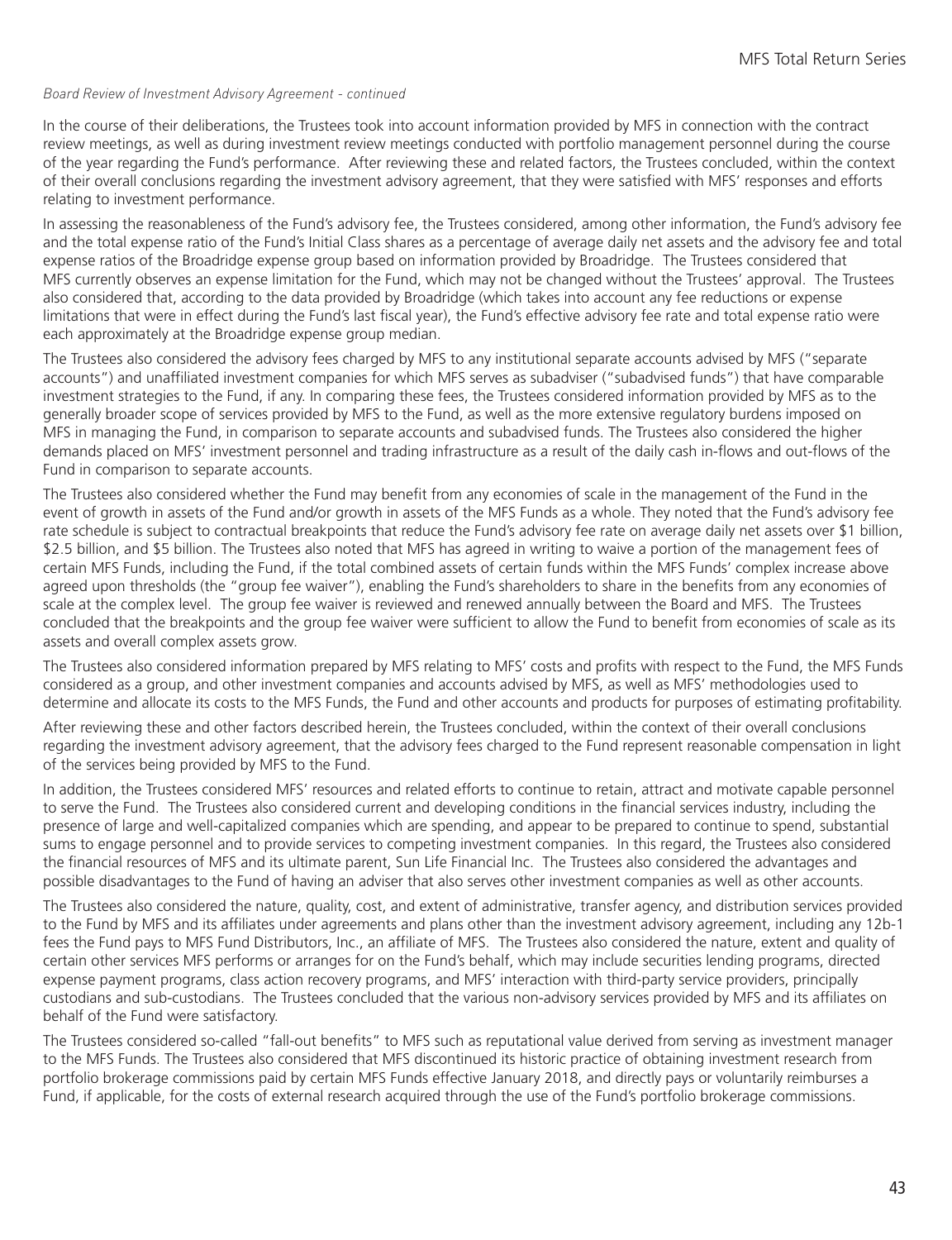#### *Board Review of Investment Advisory Agreement - continued*

In the course of their deliberations, the Trustees took into account information provided by MFS in connection with the contract review meetings, as well as during investment review meetings conducted with portfolio management personnel during the course of the year regarding the Fund's performance. After reviewing these and related factors, the Trustees concluded, within the context of their overall conclusions regarding the investment advisory agreement, that they were satisfied with MFS' responses and efforts relating to investment performance.

In assessing the reasonableness of the Fund's advisory fee, the Trustees considered, among other information, the Fund's advisory fee and the total expense ratio of the Fund's Initial Class shares as a percentage of average daily net assets and the advisory fee and total expense ratios of the Broadridge expense group based on information provided by Broadridge. The Trustees considered that MFS currently observes an expense limitation for the Fund, which may not be changed without the Trustees' approval. The Trustees also considered that, according to the data provided by Broadridge (which takes into account any fee reductions or expense limitations that were in effect during the Fund's last fiscal year), the Fund's effective advisory fee rate and total expense ratio were each approximately at the Broadridge expense group median.

The Trustees also considered the advisory fees charged by MFS to any institutional separate accounts advised by MFS ("separate accounts") and unaffiliated investment companies for which MFS serves as subadviser ("subadvised funds") that have comparable investment strategies to the Fund, if any. In comparing these fees, the Trustees considered information provided by MFS as to the generally broader scope of services provided by MFS to the Fund, as well as the more extensive regulatory burdens imposed on MFS in managing the Fund, in comparison to separate accounts and subadvised funds. The Trustees also considered the higher demands placed on MFS' investment personnel and trading infrastructure as a result of the daily cash in-flows and out-flows of the Fund in comparison to separate accounts.

The Trustees also considered whether the Fund may benefit from any economies of scale in the management of the Fund in the event of growth in assets of the Fund and/or growth in assets of the MFS Funds as a whole. They noted that the Fund's advisory fee rate schedule is subject to contractual breakpoints that reduce the Fund's advisory fee rate on average daily net assets over \$1 billion, \$2.5 billion, and \$5 billion. The Trustees also noted that MFS has agreed in writing to waive a portion of the management fees of certain MFS Funds, including the Fund, if the total combined assets of certain funds within the MFS Funds' complex increase above agreed upon thresholds (the "group fee waiver"), enabling the Fund's shareholders to share in the benefits from any economies of scale at the complex level. The group fee waiver is reviewed and renewed annually between the Board and MFS. The Trustees concluded that the breakpoints and the group fee waiver were sufficient to allow the Fund to benefit from economies of scale as its assets and overall complex assets grow.

The Trustees also considered information prepared by MFS relating to MFS' costs and profits with respect to the Fund, the MFS Funds considered as a group, and other investment companies and accounts advised by MFS, as well as MFS' methodologies used to determine and allocate its costs to the MFS Funds, the Fund and other accounts and products for purposes of estimating profitability.

After reviewing these and other factors described herein, the Trustees concluded, within the context of their overall conclusions regarding the investment advisory agreement, that the advisory fees charged to the Fund represent reasonable compensation in light of the services being provided by MFS to the Fund.

In addition, the Trustees considered MFS' resources and related efforts to continue to retain, attract and motivate capable personnel to serve the Fund. The Trustees also considered current and developing conditions in the financial services industry, including the presence of large and well-capitalized companies which are spending, and appear to be prepared to continue to spend, substantial sums to engage personnel and to provide services to competing investment companies. In this regard, the Trustees also considered the financial resources of MFS and its ultimate parent, Sun Life Financial Inc. The Trustees also considered the advantages and possible disadvantages to the Fund of having an adviser that also serves other investment companies as well as other accounts.

The Trustees also considered the nature, quality, cost, and extent of administrative, transfer agency, and distribution services provided to the Fund by MFS and its affiliates under agreements and plans other than the investment advisory agreement, including any 12b-1 fees the Fund pays to MFS Fund Distributors, Inc., an affiliate of MFS. The Trustees also considered the nature, extent and quality of certain other services MFS performs or arranges for on the Fund's behalf, which may include securities lending programs, directed expense payment programs, class action recovery programs, and MFS' interaction with third-party service providers, principally custodians and sub-custodians. The Trustees concluded that the various non-advisory services provided by MFS and its affiliates on behalf of the Fund were satisfactory.

The Trustees considered so-called "fall-out benefits" to MFS such as reputational value derived from serving as investment manager to the MFS Funds. The Trustees also considered that MFS discontinued its historic practice of obtaining investment research from portfolio brokerage commissions paid by certain MFS Funds effective January 2018, and directly pays or voluntarily reimburses a Fund, if applicable, for the costs of external research acquired through the use of the Fund's portfolio brokerage commissions.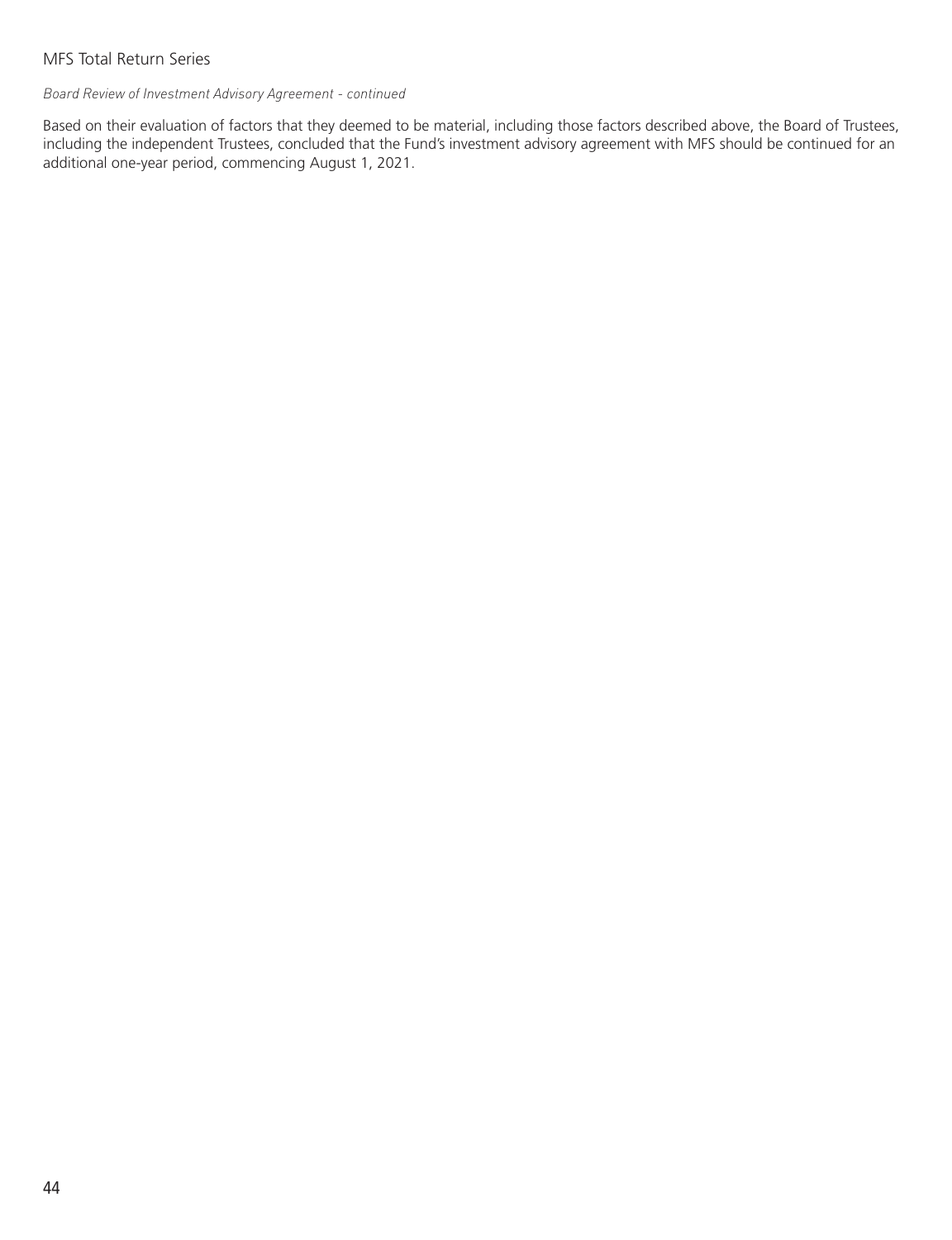*Board Review of Investment Advisory Agreement - continued*

Based on their evaluation of factors that they deemed to be material, including those factors described above, the Board of Trustees, including the independent Trustees, concluded that the Fund's investment advisory agreement with MFS should be continued for an additional one-year period, commencing August 1, 2021.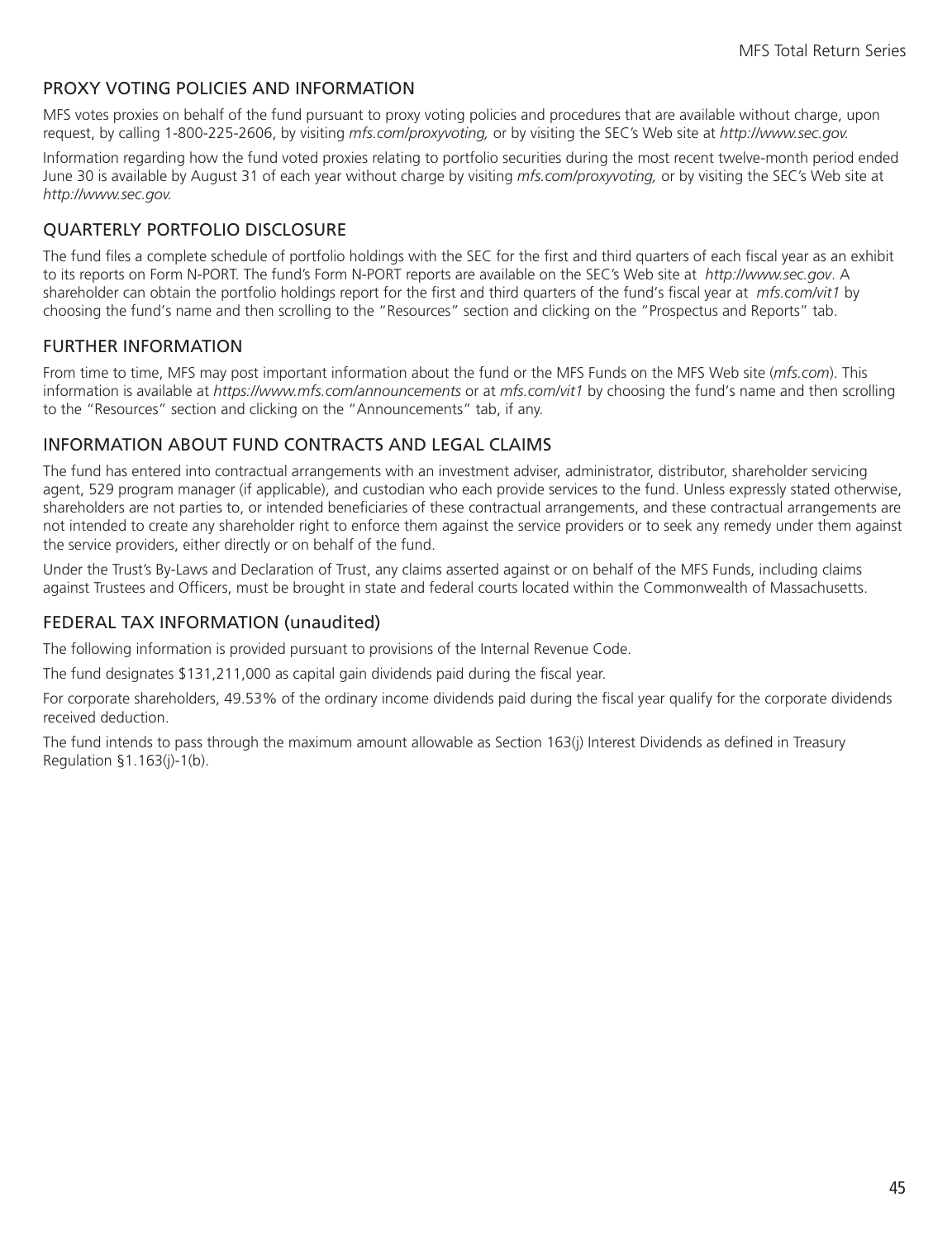#### <span id="page-46-0"></span>PROXY VOTING POLICIES AND INFORMATION

MFS votes proxies on behalf of the fund pursuant to proxy voting policies and procedures that are available without charge, upon request, by calling 1-800-225-2606, by visiting *mfs.com/proxyvoting,* or by visiting the SEC's Web site at *http://www.sec.gov.*

Information regarding how the fund voted proxies relating to portfolio securities during the most recent twelve-month period ended June 30 is available by August 31 of each year without charge by visiting *mfs.com/proxyvoting,* or by visiting the SEC's Web site at *http://www.sec.gov.*

### QUARTERLY PORTFOLIO DISCLOSURE

The fund files a complete schedule of portfolio holdings with the SEC for the first and third quarters of each fiscal year as an exhibit to its reports on Form N-PORT. The fund's Form N-PORT reports are available on the SEC's Web site at *http://www.sec.gov*. A shareholder can obtain the portfolio holdings report for the first and third quarters of the fund's fiscal year at *mfs.com/vit1* by choosing the fund's name and then scrolling to the "Resources" section and clicking on the "Prospectus and Reports" tab.

#### FURTHER INFORMATION

From time to time, MFS may post important information about the fund or the MFS Funds on the MFS Web site (*mfs.com*). This information is available at *https://www.mfs.com/announcements* or at *mfs.com/vit1* by choosing the fund's name and then scrolling to the "Resources" section and clicking on the "Announcements" tab, if any.

#### INFORMATION ABOUT FUND CONTRACTS AND LEGAL CLAIMS

The fund has entered into contractual arrangements with an investment adviser, administrator, distributor, shareholder servicing agent, 529 program manager (if applicable), and custodian who each provide services to the fund. Unless expressly stated otherwise, shareholders are not parties to, or intended beneficiaries of these contractual arrangements, and these contractual arrangements are not intended to create any shareholder right to enforce them against the service providers or to seek any remedy under them against the service providers, either directly or on behalf of the fund.

Under the Trust's By-Laws and Declaration of Trust, any claims asserted against or on behalf of the MFS Funds, including claims against Trustees and Officers, must be brought in state and federal courts located within the Commonwealth of Massachusetts.

#### FEDERAL TAX INFORMATION (unaudited)

The following information is provided pursuant to provisions of the Internal Revenue Code.

The fund designates \$131,211,000 as capital gain dividends paid during the fiscal year.

For corporate shareholders, 49.53% of the ordinary income dividends paid during the fiscal year qualify for the corporate dividends received deduction.

The fund intends to pass through the maximum amount allowable as Section 163(j) Interest Dividends as defined in Treasury Regulation §1.163(j)-1(b).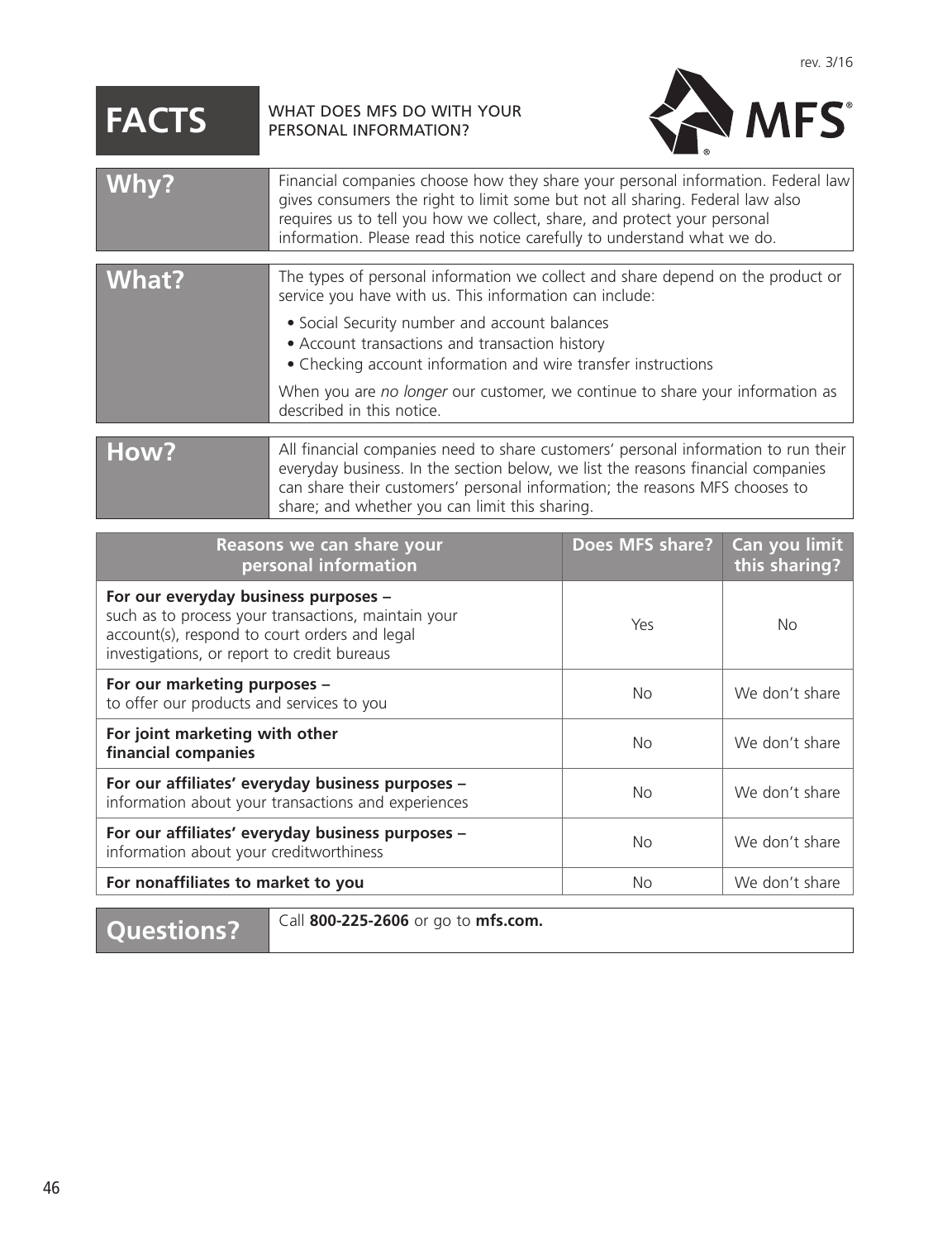# <span id="page-47-0"></span>**FACTS** WHAT DOES MFS DO WITH YOUR



| Reasons we can share your<br>personal information                                                                                                                                           | Does MFS share? | Can you limit<br>this sharing? |
|---------------------------------------------------------------------------------------------------------------------------------------------------------------------------------------------|-----------------|--------------------------------|
| For our everyday business purposes -<br>such as to process your transactions, maintain your<br>account(s), respond to court orders and legal<br>investigations, or report to credit bureaus | Yes             | <b>No</b>                      |
| For our marketing purposes -<br>to offer our products and services to you                                                                                                                   | No.             | We don't share                 |
| For joint marketing with other<br>financial companies                                                                                                                                       | <b>No</b>       | We don't share                 |
| For our affiliates' everyday business purposes -<br>information about your transactions and experiences                                                                                     | <b>No</b>       | We don't share                 |
| For our affiliates' everyday business purposes -<br>information about your creditworthiness                                                                                                 | No.             | We don't share                 |
| For nonaffiliates to market to you                                                                                                                                                          | No.             | We don't share                 |

**Questions?** Call **800-225-2606** or go to **mfs.com.**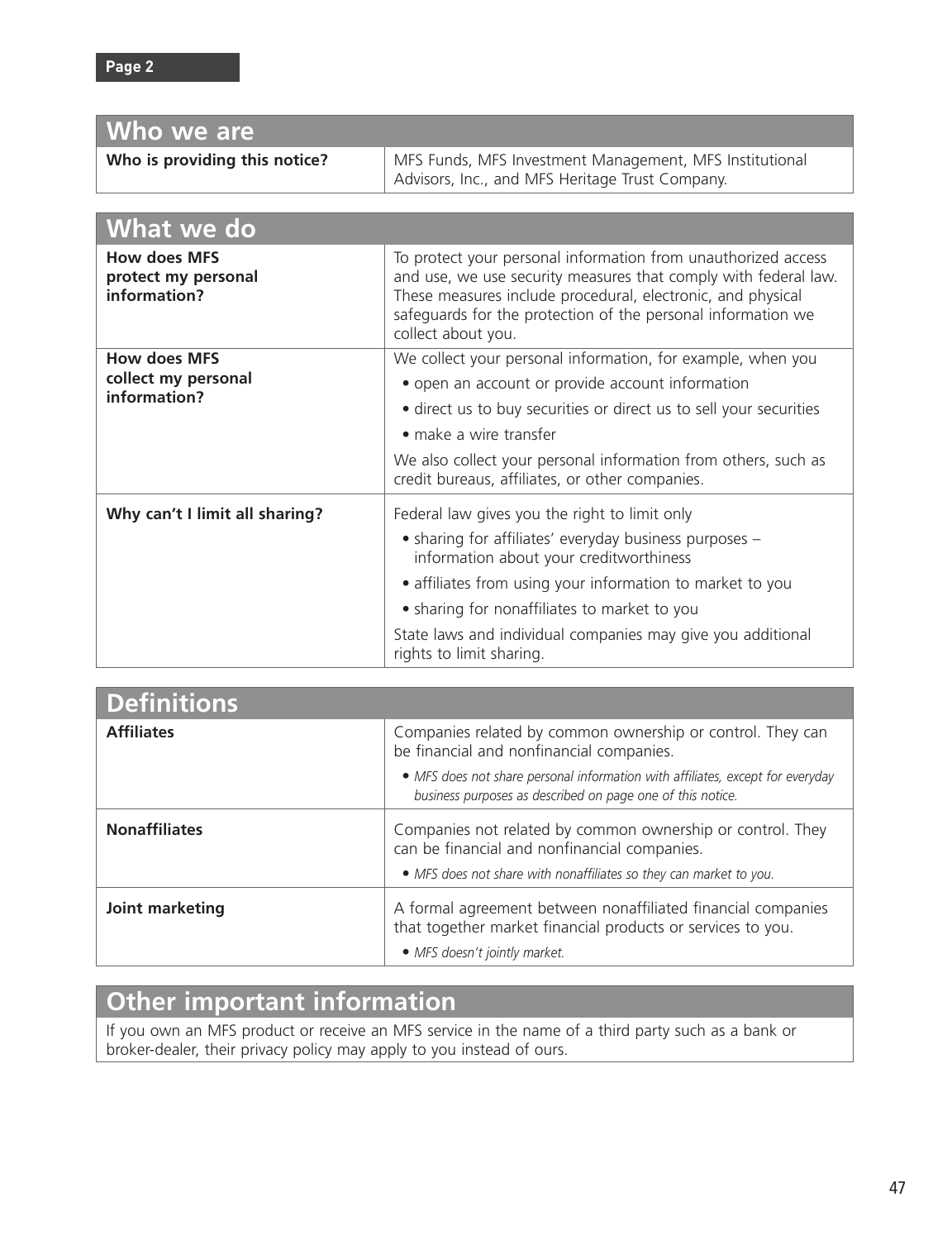| Who we are                                                 |                                                                                                                                                                                                                                                                                                                                                            |
|------------------------------------------------------------|------------------------------------------------------------------------------------------------------------------------------------------------------------------------------------------------------------------------------------------------------------------------------------------------------------------------------------------------------------|
| Who is providing this notice?                              | MFS Funds, MFS Investment Management, MFS Institutional<br>Advisors, Inc., and MFS Heritage Trust Company.                                                                                                                                                                                                                                                 |
|                                                            |                                                                                                                                                                                                                                                                                                                                                            |
| What we do                                                 |                                                                                                                                                                                                                                                                                                                                                            |
| <b>How does MFS</b><br>protect my personal<br>information? | To protect your personal information from unauthorized access<br>and use, we use security measures that comply with federal law.<br>These measures include procedural, electronic, and physical<br>safeguards for the protection of the personal information we<br>collect about you.                                                                      |
| <b>How does MFS</b><br>collect my personal<br>information? | We collect your personal information, for example, when you<br>• open an account or provide account information<br>• direct us to buy securities or direct us to sell your securities<br>$\bullet$ make a wire transfer<br>We also collect your personal information from others, such as<br>credit bureaus, affiliates, or other companies.               |
| Why can't I limit all sharing?                             | Federal law gives you the right to limit only<br>• sharing for affiliates' everyday business purposes -<br>information about your creditworthiness<br>· affiliates from using your information to market to you<br>• sharing for nonaffiliates to market to you<br>State laws and individual companies may give you additional<br>rights to limit sharing. |

| <b>Definitions</b>   |                                                                                                                                                                                  |
|----------------------|----------------------------------------------------------------------------------------------------------------------------------------------------------------------------------|
| <b>Affiliates</b>    | Companies related by common ownership or control. They can<br>be financial and nonfinancial companies.                                                                           |
|                      | • MFS does not share personal information with affiliates, except for everyday<br>business purposes as described on page one of this notice.                                     |
| <b>Nonaffiliates</b> | Companies not related by common ownership or control. They<br>can be financial and nonfinancial companies.<br>• MFS does not share with nonaffiliates so they can market to you. |
| Joint marketing      | A formal agreement between nonaffiliated financial companies<br>that together market financial products or services to you.<br>• MFS doesn't jointly market.                     |

## **Other important information**

If you own an MFS product or receive an MFS service in the name of a third party such as a bank or broker-dealer, their privacy policy may apply to you instead of ours.